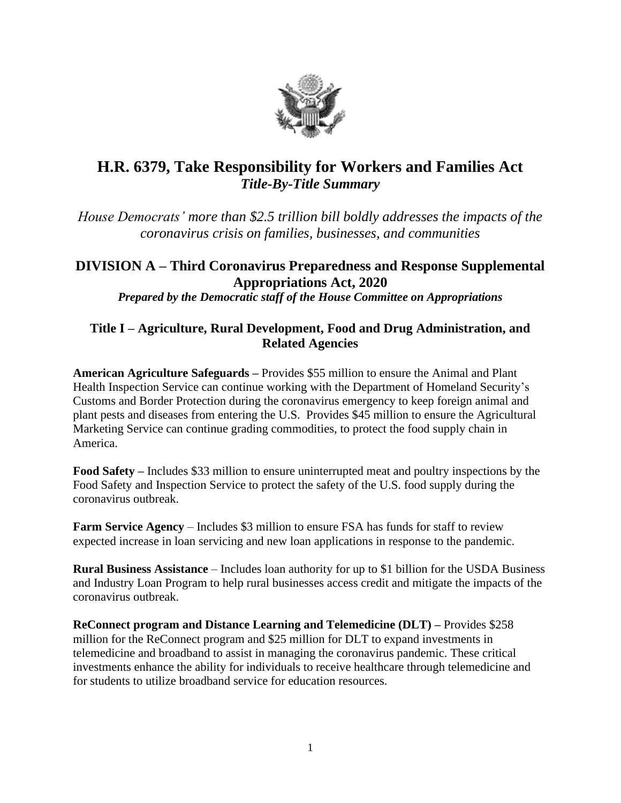

# **H.R. 6379, Take Responsibility for Workers and Families Act** *Title-By-Title Summary*

*House Democrats' more than \$2.5 trillion bill boldly addresses the impacts of the coronavirus crisis on families, businesses, and communities*

# **DIVISION A – Third Coronavirus Preparedness and Response Supplemental Appropriations Act, 2020** *Prepared by the Democratic staff of the House Committee on Appropriations*

## **Title I – Agriculture, Rural Development, Food and Drug Administration, and Related Agencies**

**American Agriculture Safeguards –** Provides \$55 million to ensure the Animal and Plant Health Inspection Service can continue working with the Department of Homeland Security's Customs and Border Protection during the coronavirus emergency to keep foreign animal and plant pests and diseases from entering the U.S. Provides \$45 million to ensure the Agricultural Marketing Service can continue grading commodities, to protect the food supply chain in America.

**Food Safety –** Includes \$33 million to ensure uninterrupted meat and poultry inspections by the Food Safety and Inspection Service to protect the safety of the U.S. food supply during the coronavirus outbreak.

**Farm Service Agency** – Includes \$3 million to ensure FSA has funds for staff to review expected increase in loan servicing and new loan applications in response to the pandemic.

**Rural Business Assistance** – Includes loan authority for up to \$1 billion for the USDA Business and Industry Loan Program to help rural businesses access credit and mitigate the impacts of the coronavirus outbreak.

**ReConnect program and Distance Learning and Telemedicine (DLT) –** Provides \$258 million for the ReConnect program and \$25 million for DLT to expand investments in telemedicine and broadband to assist in managing the coronavirus pandemic. These critical investments enhance the ability for individuals to receive healthcare through telemedicine and for students to utilize broadband service for education resources.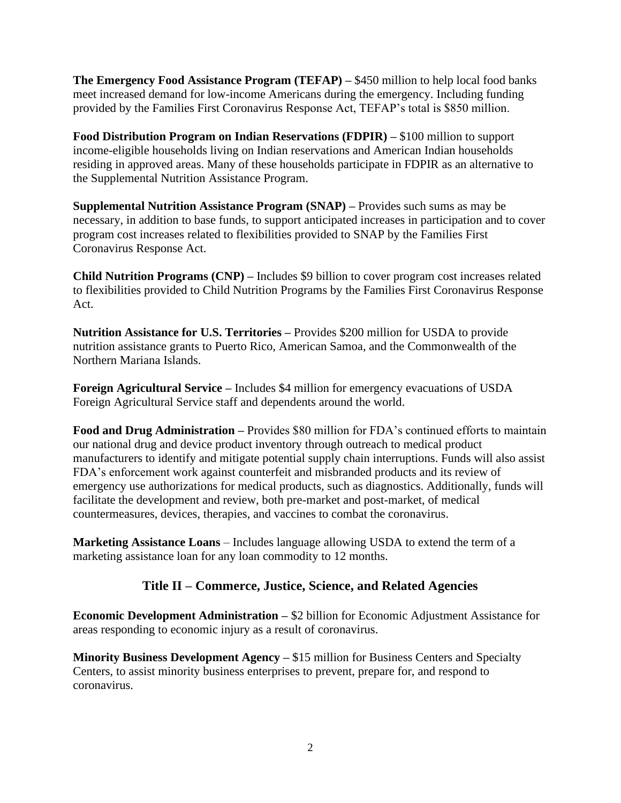**The Emergency Food Assistance Program (TEFAP) –** \$450 million to help local food banks meet increased demand for low-income Americans during the emergency. Including funding provided by the Families First Coronavirus Response Act, TEFAP's total is \$850 million.

**Food Distribution Program on Indian Reservations (FDPIR) –** \$100 million to support income-eligible households living on Indian reservations and American Indian households residing in approved areas. Many of these households participate in FDPIR as an alternative to the Supplemental Nutrition Assistance Program.

**Supplemental Nutrition Assistance Program (SNAP) –** Provides such sums as may be necessary, in addition to base funds, to support anticipated increases in participation and to cover program cost increases related to flexibilities provided to SNAP by the Families First Coronavirus Response Act.

**Child Nutrition Programs (CNP) –** Includes \$9 billion to cover program cost increases related to flexibilities provided to Child Nutrition Programs by the Families First Coronavirus Response Act.

**Nutrition Assistance for U.S. Territories –** Provides \$200 million for USDA to provide nutrition assistance grants to Puerto Rico, American Samoa, and the Commonwealth of the Northern Mariana Islands.

**Foreign Agricultural Service –** Includes \$4 million for emergency evacuations of USDA Foreign Agricultural Service staff and dependents around the world.

**Food and Drug Administration –** Provides \$80 million for FDA's continued efforts to maintain our national drug and device product inventory through outreach to medical product manufacturers to identify and mitigate potential supply chain interruptions. Funds will also assist FDA's enforcement work against counterfeit and misbranded products and its review of emergency use authorizations for medical products, such as diagnostics. Additionally, funds will facilitate the development and review, both pre-market and post-market, of medical countermeasures, devices, therapies, and vaccines to combat the coronavirus.

**Marketing Assistance Loans** – Includes language allowing USDA to extend the term of a marketing assistance loan for any loan commodity to 12 months.

## **Title II – Commerce, Justice, Science, and Related Agencies**

**Economic Development Administration –** \$2 billion for Economic Adjustment Assistance for areas responding to economic injury as a result of coronavirus.

**Minority Business Development Agency – \$15 million for Business Centers and Specialty** Centers, to assist minority business enterprises to prevent, prepare for, and respond to coronavirus.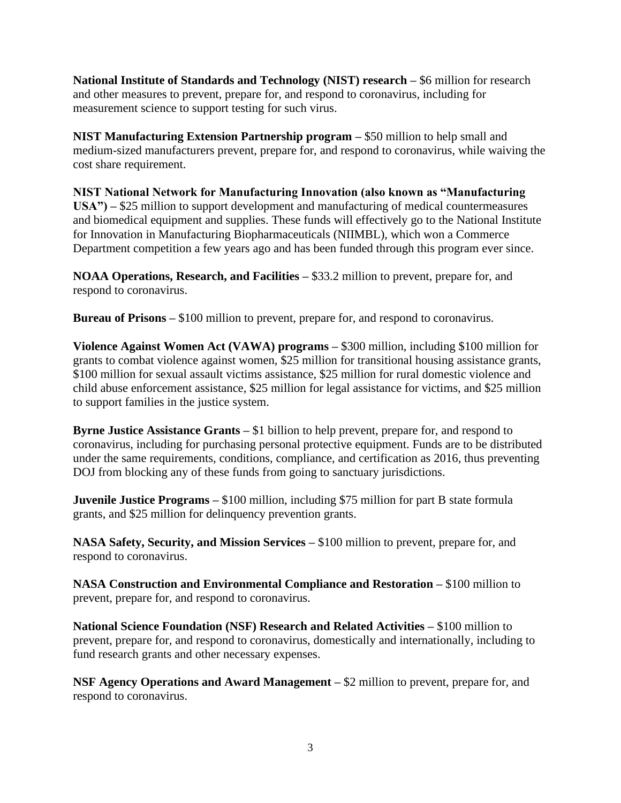**National Institute of Standards and Technology (NIST) research –** \$6 million for research and other measures to prevent, prepare for, and respond to coronavirus, including for measurement science to support testing for such virus.

**NIST Manufacturing Extension Partnership program –** \$50 million to help small and medium-sized manufacturers prevent, prepare for, and respond to coronavirus, while waiving the cost share requirement.

**NIST National Network for Manufacturing Innovation (also known as "Manufacturing USA") –** \$25 million to support development and manufacturing of medical countermeasures and biomedical equipment and supplies. These funds will effectively go to the National Institute for Innovation in Manufacturing Biopharmaceuticals (NIIMBL), which won a Commerce Department competition a few years ago and has been funded through this program ever since.

**NOAA Operations, Research, and Facilities –** \$33.2 million to prevent, prepare for, and respond to coronavirus.

**Bureau of Prisons –** \$100 million to prevent, prepare for, and respond to coronavirus.

**Violence Against Women Act (VAWA) programs –** \$300 million, including \$100 million for grants to combat violence against women, \$25 million for transitional housing assistance grants, \$100 million for sexual assault victims assistance, \$25 million for rural domestic violence and child abuse enforcement assistance, \$25 million for legal assistance for victims, and \$25 million to support families in the justice system.

**Byrne Justice Assistance Grants –** \$1 billion to help prevent, prepare for, and respond to coronavirus, including for purchasing personal protective equipment. Funds are to be distributed under the same requirements, conditions, compliance, and certification as 2016, thus preventing DOJ from blocking any of these funds from going to sanctuary jurisdictions.

**Juvenile Justice Programs** – \$100 million, including \$75 million for part B state formula grants, and \$25 million for delinquency prevention grants.

**NASA Safety, Security, and Mission Services –** \$100 million to prevent, prepare for, and respond to coronavirus.

**NASA Construction and Environmental Compliance and Restoration –** \$100 million to prevent, prepare for, and respond to coronavirus.

**National Science Foundation (NSF) Research and Related Activities –** \$100 million to prevent, prepare for, and respond to coronavirus, domestically and internationally, including to fund research grants and other necessary expenses.

**NSF Agency Operations and Award Management –** \$2 million to prevent, prepare for, and respond to coronavirus.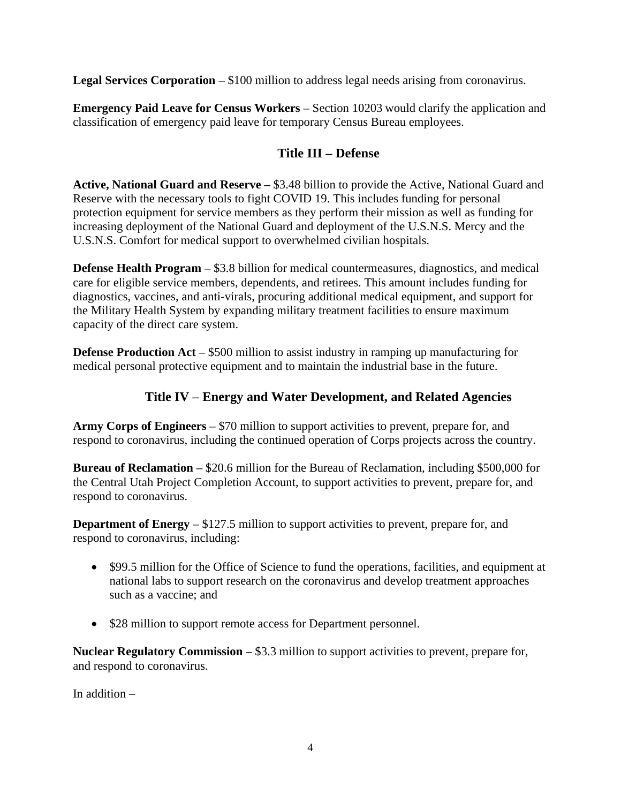**Legal Services Corporation –** \$100 million to address legal needs arising from coronavirus.

**Emergency Paid Leave for Census Workers –** Section 10203 would clarify the application and classification of emergency paid leave for temporary Census Bureau employees.

## **Title III – Defense**

**Active, National Guard and Reserve –** \$3.48 billion to provide the Active, National Guard and Reserve with the necessary tools to fight COVID 19. This includes funding for personal protection equipment for service members as they perform their mission as well as funding for increasing deployment of the National Guard and deployment of the U.S.N.S. Mercy and the U.S.N.S. Comfort for medical support to overwhelmed civilian hospitals.

**Defense Health Program –** \$3.8 billion for medical countermeasures, diagnostics, and medical care for eligible service members, dependents, and retirees. This amount includes funding for diagnostics, vaccines, and anti-virals, procuring additional medical equipment, and support for the Military Health System by expanding military treatment facilities to ensure maximum capacity of the direct care system.

**Defense Production Act** – \$500 million to assist industry in ramping up manufacturing for medical personal protective equipment and to maintain the industrial base in the future.

## **Title IV – Energy and Water Development, and Related Agencies**

**Army Corps of Engineers –** \$70 million to support activities to prevent, prepare for, and respond to coronavirus, including the continued operation of Corps projects across the country.

**Bureau of Reclamation –** \$20.6 million for the Bureau of Reclamation, including \$500,000 for the Central Utah Project Completion Account, to support activities to prevent, prepare for, and respond to coronavirus.

**Department of Energy –** \$127.5 million to support activities to prevent, prepare for, and respond to coronavirus, including:

- \$99.5 million for the Office of Science to fund the operations, facilities, and equipment at national labs to support research on the coronavirus and develop treatment approaches such as a vaccine; and
- \$28 million to support remote access for Department personnel.

**Nuclear Regulatory Commission –** \$3.3 million to support activities to prevent, prepare for, and respond to coronavirus.

In addition –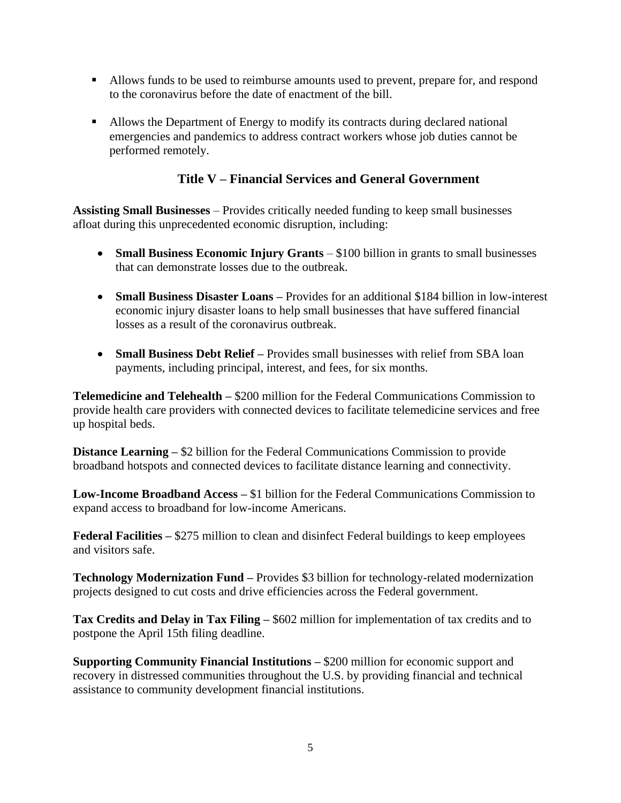- Allows funds to be used to reimburse amounts used to prevent, prepare for, and respond to the coronavirus before the date of enactment of the bill.
- Allows the Department of Energy to modify its contracts during declared national emergencies and pandemics to address contract workers whose job duties cannot be performed remotely.

### **Title V – Financial Services and General Government**

**Assisting Small Businesses** – Provides critically needed funding to keep small businesses afloat during this unprecedented economic disruption, including:

- **Small Business Economic Injury Grants** \$100 billion in grants to small businesses that can demonstrate losses due to the outbreak.
- **Small Business Disaster Loans –** Provides for an additional \$184 billion in low-interest economic injury disaster loans to help small businesses that have suffered financial losses as a result of the coronavirus outbreak.
- **Small Business Debt Relief –** Provides small businesses with relief from SBA loan payments, including principal, interest, and fees, for six months.

**Telemedicine and Telehealth –** \$200 million for the Federal Communications Commission to provide health care providers with connected devices to facilitate telemedicine services and free up hospital beds.

**Distance Learning – \$2 billion for the Federal Communications Commission to provide** broadband hotspots and connected devices to facilitate distance learning and connectivity.

**Low-Income Broadband Access –** \$1 billion for the Federal Communications Commission to expand access to broadband for low-income Americans.

**Federal Facilities –** \$275 million to clean and disinfect Federal buildings to keep employees and visitors safe.

**Technology Modernization Fund –** Provides \$3 billion for technology-related modernization projects designed to cut costs and drive efficiencies across the Federal government.

**Tax Credits and Delay in Tax Filing –** \$602 million for implementation of tax credits and to postpone the April 15th filing deadline.

**Supporting Community Financial Institutions –** \$200 million for economic support and recovery in distressed communities throughout the U.S. by providing financial and technical assistance to community development financial institutions.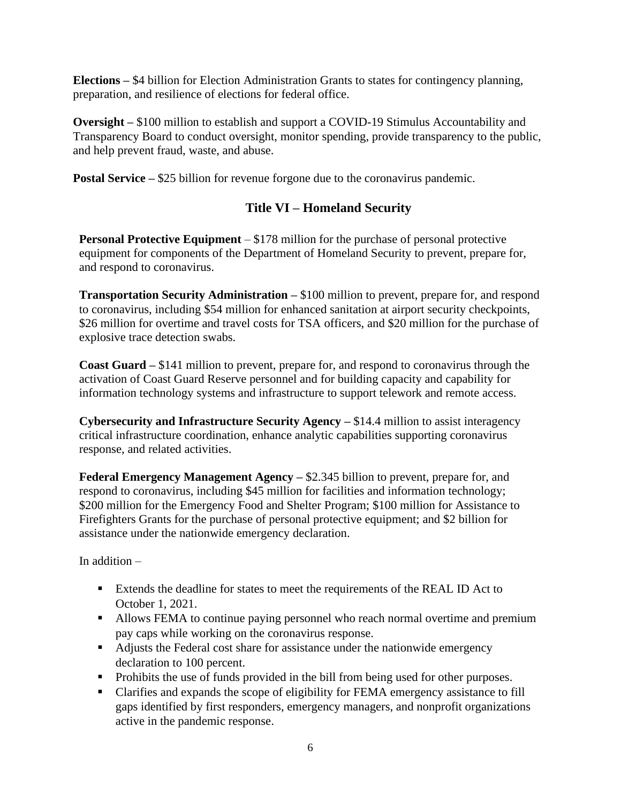**Elections –** \$4 billion for Election Administration Grants to states for contingency planning, preparation, and resilience of elections for federal office.

**Oversight –** \$100 million to establish and support a COVID-19 Stimulus Accountability and Transparency Board to conduct oversight, monitor spending, provide transparency to the public, and help prevent fraud, waste, and abuse.

**Postal Service –** \$25 billion for revenue forgone due to the coronavirus pandemic.

## **Title VI – Homeland Security**

**Personal Protective Equipment** – \$178 million for the purchase of personal protective equipment for components of the Department of Homeland Security to prevent, prepare for, and respond to coronavirus.

**Transportation Security Administration –** \$100 million to prevent, prepare for, and respond to coronavirus, including \$54 million for enhanced sanitation at airport security checkpoints, \$26 million for overtime and travel costs for TSA officers, and \$20 million for the purchase of explosive trace detection swabs.

**Coast Guard –** \$141 million to prevent, prepare for, and respond to coronavirus through the activation of Coast Guard Reserve personnel and for building capacity and capability for information technology systems and infrastructure to support telework and remote access.

**Cybersecurity and Infrastructure Security Agency –** \$14.4 million to assist interagency critical infrastructure coordination, enhance analytic capabilities supporting coronavirus response, and related activities.

**Federal Emergency Management Agency –** \$2.345 billion to prevent, prepare for, and respond to coronavirus, including \$45 million for facilities and information technology; \$200 million for the Emergency Food and Shelter Program; \$100 million for Assistance to Firefighters Grants for the purchase of personal protective equipment; and \$2 billion for assistance under the nationwide emergency declaration.

In addition –

- Extends the deadline for states to meet the requirements of the REAL ID Act to October 1, 2021.
- Allows FEMA to continue paying personnel who reach normal overtime and premium pay caps while working on the coronavirus response.
- Adjusts the Federal cost share for assistance under the nationwide emergency declaration to 100 percent.
- Prohibits the use of funds provided in the bill from being used for other purposes.
- Clarifies and expands the scope of eligibility for FEMA emergency assistance to fill gaps identified by first responders, emergency managers, and nonprofit organizations active in the pandemic response.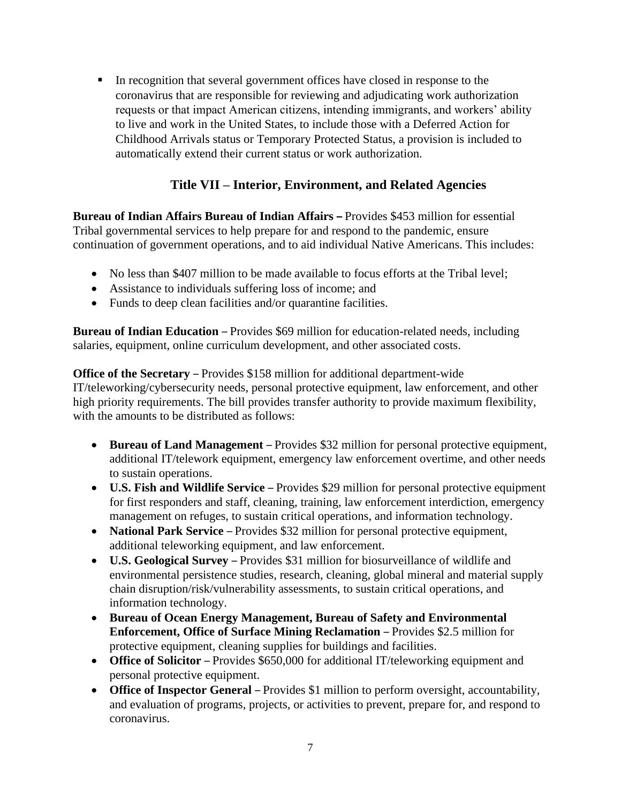▪ In recognition that several government offices have closed in response to the coronavirus that are responsible for reviewing and adjudicating work authorization requests or that impact American citizens, intending immigrants, and workers' ability to live and work in the United States, to include those with a Deferred Action for Childhood Arrivals status or Temporary Protected Status, a provision is included to automatically extend their current status or work authorization.

## **Title VII – Interior, Environment, and Related Agencies**

**Bureau of Indian Affairs Bureau of Indian Affairs –** Provides \$453 million for essential Tribal governmental services to help prepare for and respond to the pandemic, ensure continuation of government operations, and to aid individual Native Americans. This includes:

- No less than \$407 million to be made available to focus efforts at the Tribal level;
- Assistance to individuals suffering loss of income; and
- Funds to deep clean facilities and/or quarantine facilities.

**Bureau of Indian Education** – Provides \$69 million for education-related needs, including salaries, equipment, online curriculum development, and other associated costs.

**Office of the Secretary** – Provides \$158 million for additional department-wide IT/teleworking/cybersecurity needs, personal protective equipment, law enforcement, and other high priority requirements. The bill provides transfer authority to provide maximum flexibility, with the amounts to be distributed as follows:

- **Bureau of Land Management** Provides \$32 million for personal protective equipment, additional IT/telework equipment, emergency law enforcement overtime, and other needs to sustain operations.
- **U.S. Fish and Wildlife Service** Provides \$29 million for personal protective equipment for first responders and staff, cleaning, training, law enforcement interdiction, emergency management on refuges, to sustain critical operations, and information technology.
- **National Park Service** Provides \$32 million for personal protective equipment, additional teleworking equipment, and law enforcement.
- **U.S. Geological Survey** Provides \$31 million for biosurveillance of wildlife and environmental persistence studies, research, cleaning, global mineral and material supply chain disruption/risk/vulnerability assessments, to sustain critical operations, and information technology.
- **Bureau of Ocean Energy Management, Bureau of Safety and Environmental Enforcement, Office of Surface Mining Reclamation** – Provides \$2.5 million for protective equipment, cleaning supplies for buildings and facilities.
- **Office of Solicitor** Provides \$650,000 for additional IT/teleworking equipment and personal protective equipment.
- **Office of Inspector General** Provides \$1 million to perform oversight, accountability, and evaluation of programs, projects, or activities to prevent, prepare for, and respond to coronavirus.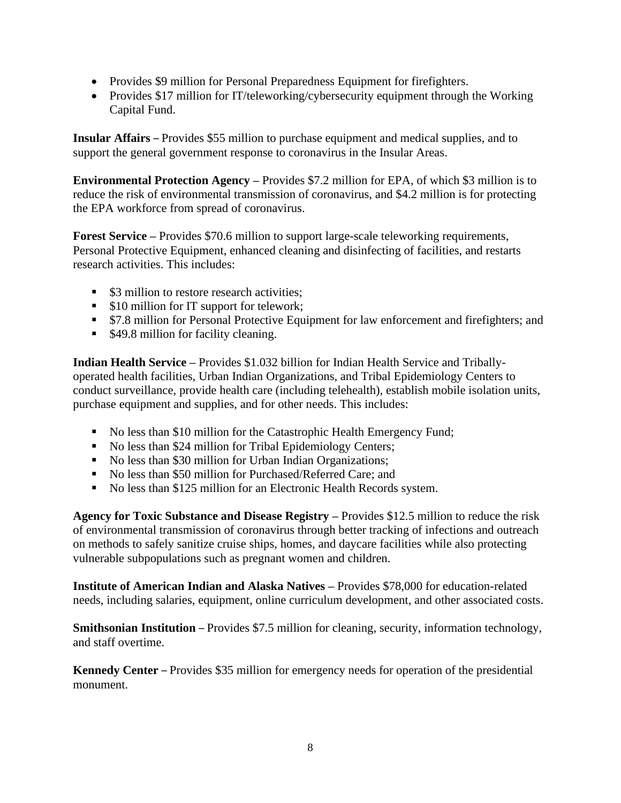- Provides \$9 million for Personal Preparedness Equipment for firefighters.
- Provides \$17 million for IT/teleworking/cybersecurity equipment through the Working Capital Fund.

**Insular Affairs** – Provides \$55 million to purchase equipment and medical supplies, and to support the general government response to coronavirus in the Insular Areas.

**Environmental Protection Agency –** Provides \$7.2 million for EPA, of which \$3 million is to reduce the risk of environmental transmission of coronavirus, and \$4.2 million is for protecting the EPA workforce from spread of coronavirus.

**Forest Service** – Provides \$70.6 million to support large-scale teleworking requirements, Personal Protective Equipment, enhanced cleaning and disinfecting of facilities, and restarts research activities. This includes:

- \$3 million to restore research activities;
- \$10 million for IT support for telework;
- \$7.8 million for Personal Protective Equipment for law enforcement and firefighters; and
- \$49.8 million for facility cleaning.

**Indian Health Service –** Provides \$1.032 billion for Indian Health Service and Triballyoperated health facilities, Urban Indian Organizations, and Tribal Epidemiology Centers to conduct surveillance, provide health care (including telehealth), establish mobile isolation units, purchase equipment and supplies, and for other needs. This includes:

- No less than \$10 million for the Catastrophic Health Emergency Fund;
- No less than \$24 million for Tribal Epidemiology Centers;
- No less than \$30 million for Urban Indian Organizations;
- No less than \$50 million for Purchased/Referred Care; and
- No less than \$125 million for an Electronic Health Records system.

**Agency for Toxic Substance and Disease Registry –** Provides \$12.5 million to reduce the risk of environmental transmission of coronavirus through better tracking of infections and outreach on methods to safely sanitize cruise ships, homes, and daycare facilities while also protecting vulnerable subpopulations such as pregnant women and children.

**Institute of American Indian and Alaska Natives –** Provides \$78,000 for education-related needs, including salaries, equipment, online curriculum development, and other associated costs.

**Smithsonian Institution** – Provides \$7.5 million for cleaning, security, information technology, and staff overtime.

**Kennedy Center** – Provides \$35 million for emergency needs for operation of the presidential monument.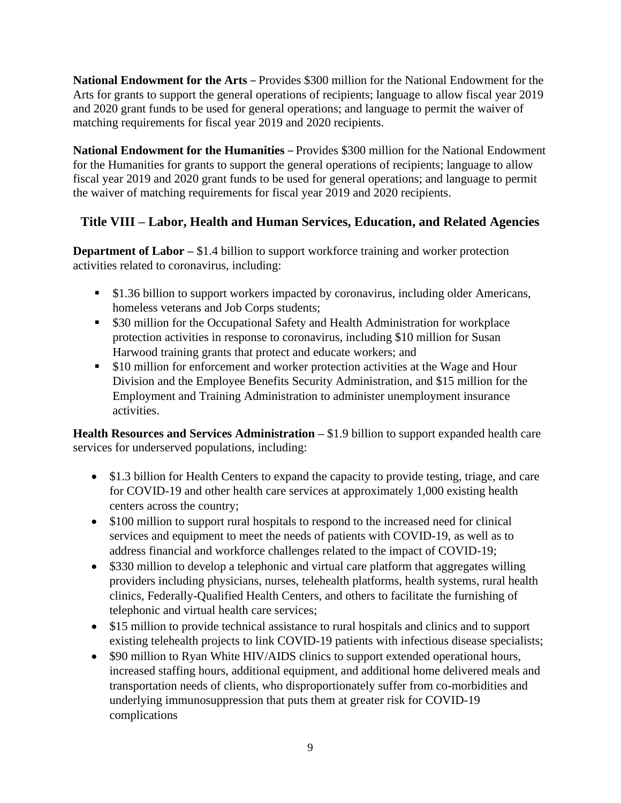**National Endowment for the Arts** – Provides \$300 million for the National Endowment for the Arts for grants to support the general operations of recipients; language to allow fiscal year 2019 and 2020 grant funds to be used for general operations; and language to permit the waiver of matching requirements for fiscal year 2019 and 2020 recipients.

**National Endowment for the Humanities** – Provides \$300 million for the National Endowment for the Humanities for grants to support the general operations of recipients; language to allow fiscal year 2019 and 2020 grant funds to be used for general operations; and language to permit the waiver of matching requirements for fiscal year 2019 and 2020 recipients.

## **Title VIII – Labor, Health and Human Services, Education, and Related Agencies**

**Department of Labor – \$1.4 billion to support workforce training and worker protection** activities related to coronavirus, including:

- \$1.36 billion to support workers impacted by coronavirus, including older Americans, homeless veterans and Job Corps students;
- \$30 million for the Occupational Safety and Health Administration for workplace protection activities in response to coronavirus, including \$10 million for Susan Harwood training grants that protect and educate workers; and
- \$10 million for enforcement and worker protection activities at the Wage and Hour Division and the Employee Benefits Security Administration, and \$15 million for the Employment and Training Administration to administer unemployment insurance activities.

**Health Resources and Services Administration – \$1.9 billion to support expanded health care** services for underserved populations, including:

- \$1.3 billion for Health Centers to expand the capacity to provide testing, triage, and care for COVID-19 and other health care services at approximately 1,000 existing health centers across the country;
- \$100 million to support rural hospitals to respond to the increased need for clinical services and equipment to meet the needs of patients with COVID-19, as well as to address financial and workforce challenges related to the impact of COVID-19;
- \$330 million to develop a telephonic and virtual care platform that aggregates willing providers including physicians, nurses, telehealth platforms, health systems, rural health clinics, Federally-Qualified Health Centers, and others to facilitate the furnishing of telephonic and virtual health care services;
- \$15 million to provide technical assistance to rural hospitals and clinics and to support existing telehealth projects to link COVID-19 patients with infectious disease specialists;
- \$90 million to Ryan White HIV/AIDS clinics to support extended operational hours, increased staffing hours, additional equipment, and additional home delivered meals and transportation needs of clients, who disproportionately suffer from co-morbidities and underlying immunosuppression that puts them at greater risk for COVID-19 complications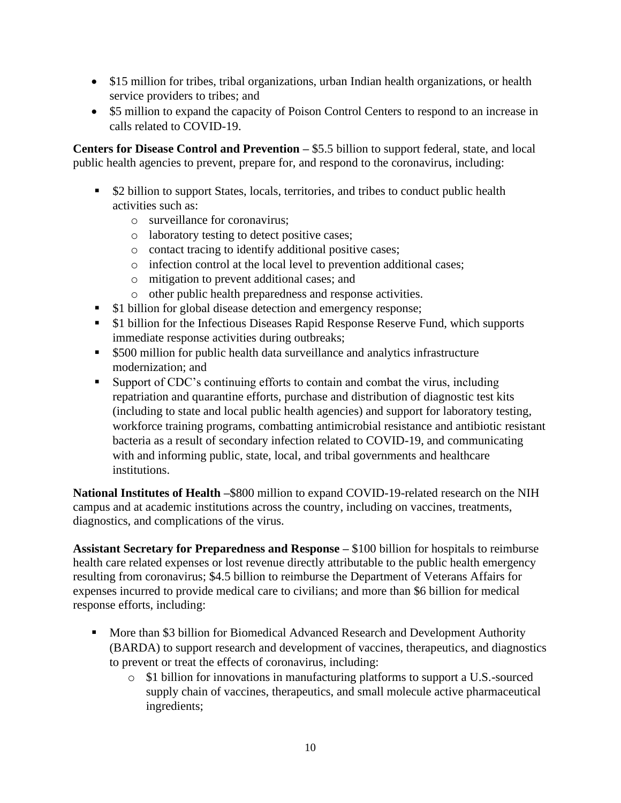- \$15 million for tribes, tribal organizations, urban Indian health organizations, or health service providers to tribes; and
- \$5 million to expand the capacity of Poison Control Centers to respond to an increase in calls related to COVID-19.

**Centers for Disease Control and Prevention –** \$5.5 billion to support federal, state, and local public health agencies to prevent, prepare for, and respond to the coronavirus, including:

- \$2 billion to support States, locals, territories, and tribes to conduct public health activities such as:
	- o surveillance for coronavirus;
	- o laboratory testing to detect positive cases;
	- o contact tracing to identify additional positive cases;
	- o infection control at the local level to prevention additional cases;
	- o mitigation to prevent additional cases; and
	- o other public health preparedness and response activities.
- \$1 billion for global disease detection and emergency response;
- \$1 billion for the Infectious Diseases Rapid Response Reserve Fund, which supports immediate response activities during outbreaks;
- \$500 million for public health data surveillance and analytics infrastructure modernization; and
- Support of CDC's continuing efforts to contain and combat the virus, including repatriation and quarantine efforts, purchase and distribution of diagnostic test kits (including to state and local public health agencies) and support for laboratory testing, workforce training programs, combatting antimicrobial resistance and antibiotic resistant bacteria as a result of secondary infection related to COVID-19, and communicating with and informing public, state, local, and tribal governments and healthcare institutions.

**National Institutes of Health –**\$800 million to expand COVID-19-related research on the NIH campus and at academic institutions across the country, including on vaccines, treatments, diagnostics, and complications of the virus.

**Assistant Secretary for Preparedness and Response –** \$100 billion for hospitals to reimburse health care related expenses or lost revenue directly attributable to the public health emergency resulting from coronavirus; \$4.5 billion to reimburse the Department of Veterans Affairs for expenses incurred to provide medical care to civilians; and more than \$6 billion for medical response efforts, including:

- More than \$3 billion for Biomedical Advanced Research and Development Authority (BARDA) to support research and development of vaccines, therapeutics, and diagnostics to prevent or treat the effects of coronavirus, including:
	- o \$1 billion for innovations in manufacturing platforms to support a U.S.-sourced supply chain of vaccines, therapeutics, and small molecule active pharmaceutical ingredients;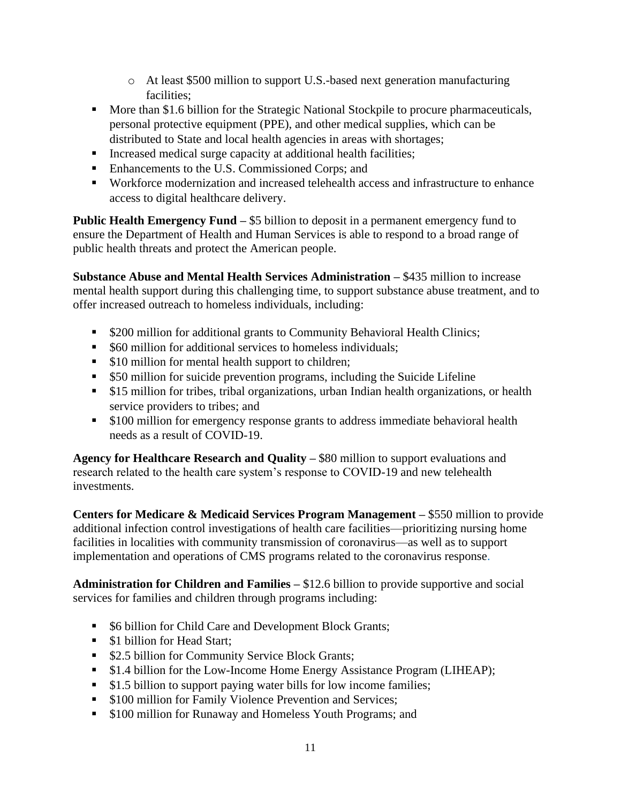- o At least \$500 million to support U.S.-based next generation manufacturing facilities;
- More than \$1.6 billion for the Strategic National Stockpile to procure pharmaceuticals, personal protective equipment (PPE), and other medical supplies, which can be distributed to State and local health agencies in areas with shortages;
- Increased medical surge capacity at additional health facilities;
- Enhancements to the U.S. Commissioned Corps; and
- Workforce modernization and increased telehealth access and infrastructure to enhance access to digital healthcare delivery.

**Public Health Emergency Fund –** \$5 billion to deposit in a permanent emergency fund to ensure the Department of Health and Human Services is able to respond to a broad range of public health threats and protect the American people.

**Substance Abuse and Mental Health Services Administration –** \$435 million to increase mental health support during this challenging time, to support substance abuse treatment, and to offer increased outreach to homeless individuals, including:

- \$200 million for additional grants to Community Behavioral Health Clinics;
- \$60 million for additional services to homeless individuals;
- \$10 million for mental health support to children;
- \$50 million for suicide prevention programs, including the Suicide Lifeline
- \$15 million for tribes, tribal organizations, urban Indian health organizations, or health service providers to tribes; and
- \$100 million for emergency response grants to address immediate behavioral health needs as a result of COVID-19.

**Agency for Healthcare Research and Quality –** \$80 million to support evaluations and research related to the health care system's response to COVID-19 and new telehealth investments.

**Centers for Medicare & Medicaid Services Program Management –** \$550 million to provide additional infection control investigations of health care facilities—prioritizing nursing home facilities in localities with community transmission of coronavirus—as well as to support implementation and operations of CMS programs related to the coronavirus response.

**Administration for Children and Families –** \$12.6 billion to provide supportive and social services for families and children through programs including:

- \$6 billion for Child Care and Development Block Grants;
- \$1 billion for Head Start:
- \$2.5 billion for Community Service Block Grants;
- \$1.4 billion for the Low-Income Home Energy Assistance Program (LIHEAP);
- \$1.5 billion to support paying water bills for low income families;
- \$100 million for Family Violence Prevention and Services;
- \$100 million for Runaway and Homeless Youth Programs; and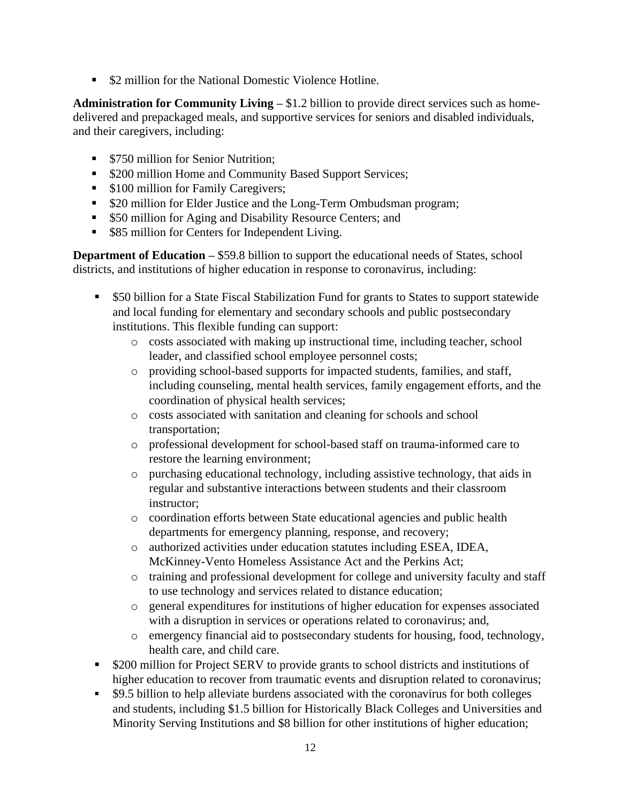■ \$2 million for the National Domestic Violence Hotline.

**Administration for Community Living –** \$1.2 billion to provide direct services such as homedelivered and prepackaged meals, and supportive services for seniors and disabled individuals, and their caregivers, including:

- \$750 million for Senior Nutrition:
- \$200 million Home and Community Based Support Services;
- \$100 million for Family Caregivers;
- \$20 million for Elder Justice and the Long-Term Ombudsman program;
- \$50 million for Aging and Disability Resource Centers; and
- \$85 million for Centers for Independent Living.

**Department of Education – \$59.8 billion to support the educational needs of States, school** districts, and institutions of higher education in response to coronavirus, including:

- \$50 billion for a State Fiscal Stabilization Fund for grants to States to support statewide and local funding for elementary and secondary schools and public postsecondary institutions. This flexible funding can support:
	- o costs associated with making up instructional time, including teacher, school leader, and classified school employee personnel costs;
	- o providing school-based supports for impacted students, families, and staff, including counseling, mental health services, family engagement efforts, and the coordination of physical health services;
	- o costs associated with sanitation and cleaning for schools and school transportation;
	- o professional development for school-based staff on trauma-informed care to restore the learning environment;
	- o purchasing educational technology, including assistive technology, that aids in regular and substantive interactions between students and their classroom instructor;
	- o coordination efforts between State educational agencies and public health departments for emergency planning, response, and recovery;
	- o authorized activities under education statutes including ESEA, IDEA, McKinney-Vento Homeless Assistance Act and the Perkins Act;
	- o training and professional development for college and university faculty and staff to use technology and services related to distance education;
	- o general expenditures for institutions of higher education for expenses associated with a disruption in services or operations related to coronavirus; and,
	- o emergency financial aid to postsecondary students for housing, food, technology, health care, and child care.
- \$200 million for Project SERV to provide grants to school districts and institutions of higher education to recover from traumatic events and disruption related to coronavirus;
- \$9.5 billion to help alleviate burdens associated with the coronavirus for both colleges and students, including \$1.5 billion for Historically Black Colleges and Universities and Minority Serving Institutions and \$8 billion for other institutions of higher education;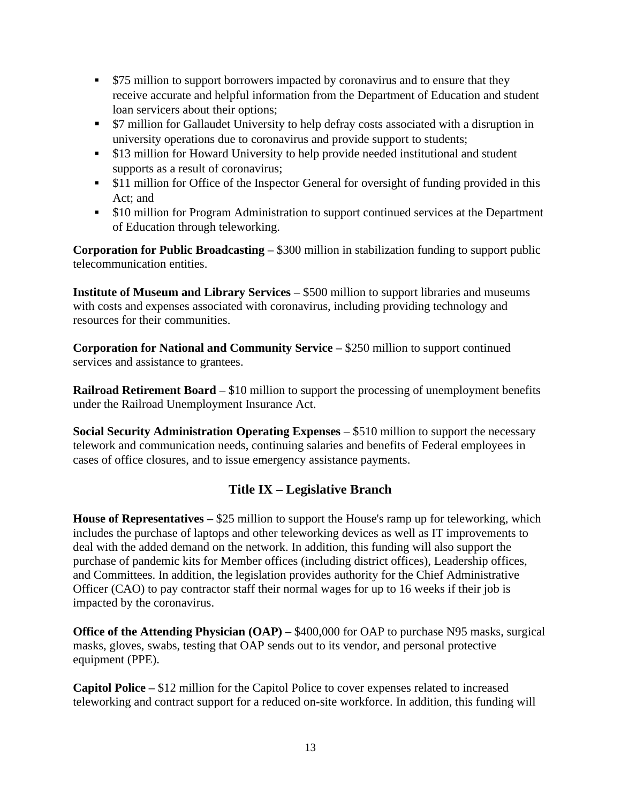- \$75 million to support borrowers impacted by coronavirus and to ensure that they receive accurate and helpful information from the Department of Education and student loan servicers about their options;
- \$7 million for Gallaudet University to help defray costs associated with a disruption in university operations due to coronavirus and provide support to students;
- \$13 million for Howard University to help provide needed institutional and student supports as a result of coronavirus;
- **•** \$11 million for Office of the Inspector General for oversight of funding provided in this Act; and
- \$10 million for Program Administration to support continued services at the Department of Education through teleworking.

**Corporation for Public Broadcasting –** \$300 million in stabilization funding to support public telecommunication entities.

**Institute of Museum and Library Services – \$500 million to support libraries and museums** with costs and expenses associated with coronavirus, including providing technology and resources for their communities.

**Corporation for National and Community Service –** \$250 million to support continued services and assistance to grantees.

**Railroad Retirement Board – \$10 million to support the processing of unemployment benefits** under the Railroad Unemployment Insurance Act.

**Social Security Administration Operating Expenses** – \$510 million to support the necessary telework and communication needs, continuing salaries and benefits of Federal employees in cases of office closures, and to issue emergency assistance payments.

## **Title IX – Legislative Branch**

**House of Representatives –** \$25 million to support the House's ramp up for teleworking, which includes the purchase of laptops and other teleworking devices as well as IT improvements to deal with the added demand on the network. In addition, this funding will also support the purchase of pandemic kits for Member offices (including district offices), Leadership offices, and Committees. In addition, the legislation provides authority for the Chief Administrative Officer (CAO) to pay contractor staff their normal wages for up to 16 weeks if their job is impacted by the coronavirus.

**Office of the Attending Physician (OAP) – \$400,000 for OAP to purchase N95 masks, surgical** masks, gloves, swabs, testing that OAP sends out to its vendor, and personal protective equipment (PPE).

**Capitol Police –** \$12 million for the Capitol Police to cover expenses related to increased teleworking and contract support for a reduced on-site workforce. In addition, this funding will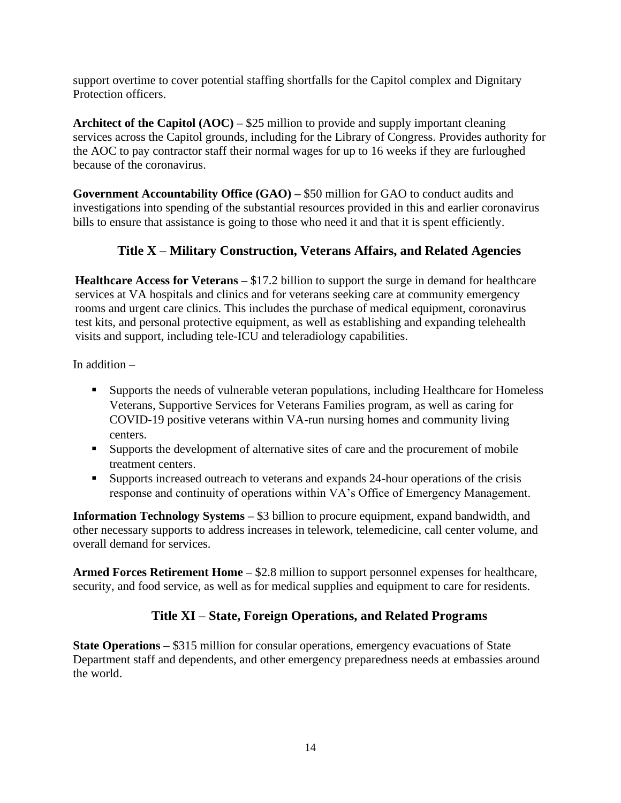support overtime to cover potential staffing shortfalls for the Capitol complex and Dignitary Protection officers.

**Architect of the Capitol (AOC) –** \$25 million to provide and supply important cleaning services across the Capitol grounds, including for the Library of Congress. Provides authority for the AOC to pay contractor staff their normal wages for up to 16 weeks if they are furloughed because of the coronavirus.

**Government Accountability Office (GAO) –** \$50 million for GAO to conduct audits and investigations into spending of the substantial resources provided in this and earlier coronavirus bills to ensure that assistance is going to those who need it and that it is spent efficiently.

# **Title X – Military Construction, Veterans Affairs, and Related Agencies**

**Healthcare Access for Veterans –** \$17.2 billion to support the surge in demand for healthcare services at VA hospitals and clinics and for veterans seeking care at community emergency rooms and urgent care clinics. This includes the purchase of medical equipment, coronavirus test kits, and personal protective equipment, as well as establishing and expanding telehealth visits and support, including tele-ICU and teleradiology capabilities.

In addition –

- Supports the needs of vulnerable veteran populations, including Healthcare for Homeless Veterans, Supportive Services for Veterans Families program, as well as caring for COVID-19 positive veterans within VA-run nursing homes and community living centers.
- Supports the development of alternative sites of care and the procurement of mobile treatment centers.
- Supports increased outreach to veterans and expands 24-hour operations of the crisis response and continuity of operations within VA's Office of Emergency Management.

**Information Technology Systems –** \$3 billion to procure equipment, expand bandwidth, and other necessary supports to address increases in telework, telemedicine, call center volume, and overall demand for services.

**Armed Forces Retirement Home –** \$2.8 million to support personnel expenses for healthcare, security, and food service, as well as for medical supplies and equipment to care for residents.

## **Title XI – State, Foreign Operations, and Related Programs**

**State Operations –** \$315 million for consular operations, emergency evacuations of State Department staff and dependents, and other emergency preparedness needs at embassies around the world.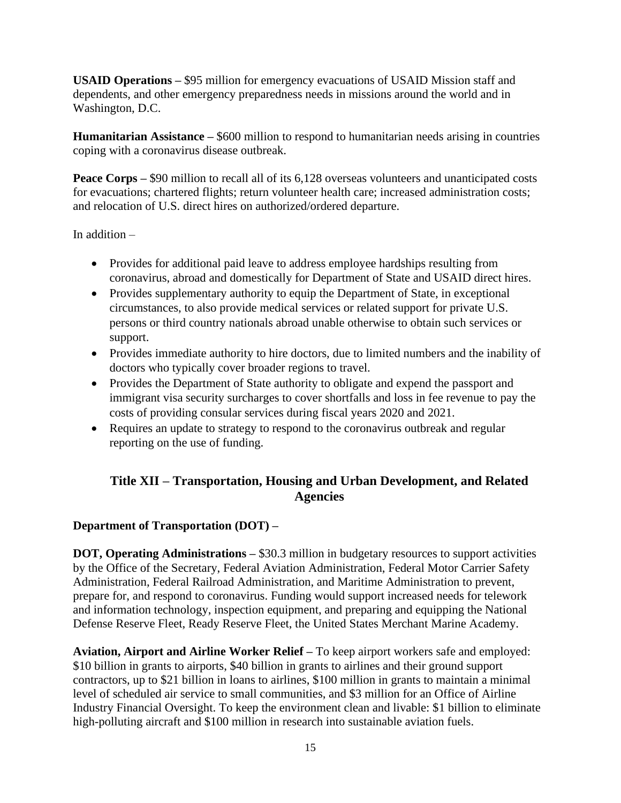**USAID Operations –** \$95 million for emergency evacuations of USAID Mission staff and dependents, and other emergency preparedness needs in missions around the world and in Washington, D.C.

**Humanitarian Assistance –** \$600 million to respond to humanitarian needs arising in countries coping with a coronavirus disease outbreak.

**Peace Corps – \$90 million to recall all of its 6,128 overseas volunteers and unanticipated costs** for evacuations; chartered flights; return volunteer health care; increased administration costs; and relocation of U.S. direct hires on authorized/ordered departure.

In addition –

- Provides for additional paid leave to address employee hardships resulting from coronavirus, abroad and domestically for Department of State and USAID direct hires.
- Provides supplementary authority to equip the Department of State, in exceptional circumstances, to also provide medical services or related support for private U.S. persons or third country nationals abroad unable otherwise to obtain such services or support.
- Provides immediate authority to hire doctors, due to limited numbers and the inability of doctors who typically cover broader regions to travel.
- Provides the Department of State authority to obligate and expend the passport and immigrant visa security surcharges to cover shortfalls and loss in fee revenue to pay the costs of providing consular services during fiscal years 2020 and 2021.
- Requires an update to strategy to respond to the coronavirus outbreak and regular reporting on the use of funding.

## **Title XII – Transportation, Housing and Urban Development, and Related Agencies**

## **Department of Transportation (DOT) –**

**DOT, Operating Administrations –** \$30.3 million in budgetary resources to support activities by the Office of the Secretary, Federal Aviation Administration, Federal Motor Carrier Safety Administration, Federal Railroad Administration, and Maritime Administration to prevent, prepare for, and respond to coronavirus. Funding would support increased needs for telework and information technology, inspection equipment, and preparing and equipping the National Defense Reserve Fleet, Ready Reserve Fleet, the United States Merchant Marine Academy.

**Aviation, Airport and Airline Worker Relief –** To keep airport workers safe and employed: \$10 billion in grants to airports, \$40 billion in grants to airlines and their ground support contractors, up to \$21 billion in loans to airlines, \$100 million in grants to maintain a minimal level of scheduled air service to small communities, and \$3 million for an Office of Airline Industry Financial Oversight. To keep the environment clean and livable: \$1 billion to eliminate high-polluting aircraft and \$100 million in research into sustainable aviation fuels.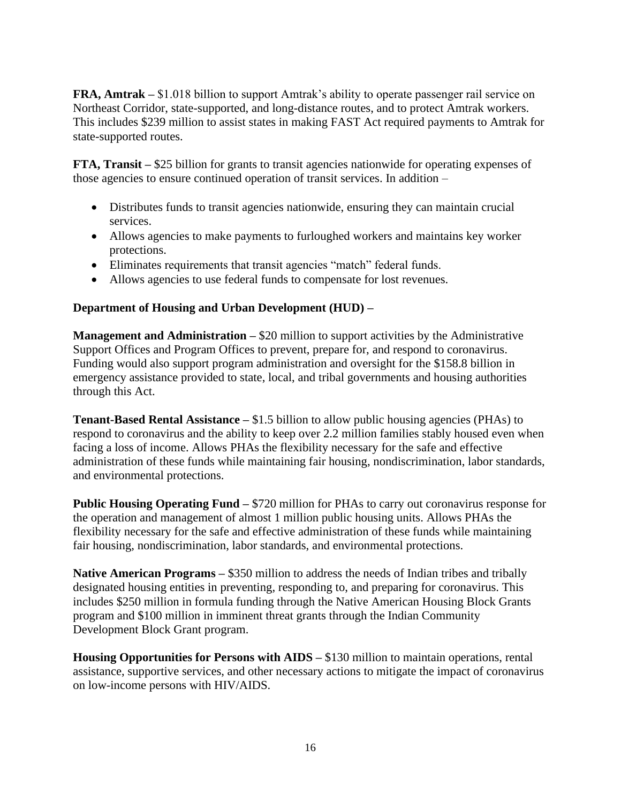**FRA, Amtrak –** \$1.018 billion to support Amtrak's ability to operate passenger rail service on Northeast Corridor, state-supported, and long-distance routes, and to protect Amtrak workers. This includes \$239 million to assist states in making FAST Act required payments to Amtrak for state-supported routes.

**FTA, Transit –** \$25 billion for grants to transit agencies nationwide for operating expenses of those agencies to ensure continued operation of transit services. In addition –

- Distributes funds to transit agencies nationwide, ensuring they can maintain crucial services.
- Allows agencies to make payments to furloughed workers and maintains key worker protections.
- Eliminates requirements that transit agencies "match" federal funds.
- Allows agencies to use federal funds to compensate for lost revenues.

#### **Department of Housing and Urban Development (HUD) –**

**Management and Administration – \$20 million to support activities by the Administrative** Support Offices and Program Offices to prevent, prepare for, and respond to coronavirus. Funding would also support program administration and oversight for the \$158.8 billion in emergency assistance provided to state, local, and tribal governments and housing authorities through this Act.

**Tenant-Based Rental Assistance –** \$1.5 billion to allow public housing agencies (PHAs) to respond to coronavirus and the ability to keep over 2.2 million families stably housed even when facing a loss of income. Allows PHAs the flexibility necessary for the safe and effective administration of these funds while maintaining fair housing, nondiscrimination, labor standards, and environmental protections.

**Public Housing Operating Fund – \$720 million for PHAs to carry out coronavirus response for** the operation and management of almost 1 million public housing units. Allows PHAs the flexibility necessary for the safe and effective administration of these funds while maintaining fair housing, nondiscrimination, labor standards, and environmental protections.

**Native American Programs** – \$350 million to address the needs of Indian tribes and tribally designated housing entities in preventing, responding to, and preparing for coronavirus. This includes \$250 million in formula funding through the Native American Housing Block Grants program and \$100 million in imminent threat grants through the Indian Community Development Block Grant program.

**Housing Opportunities for Persons with AIDS – \$130 million to maintain operations, rental** assistance, supportive services, and other necessary actions to mitigate the impact of coronavirus on low-income persons with HIV/AIDS.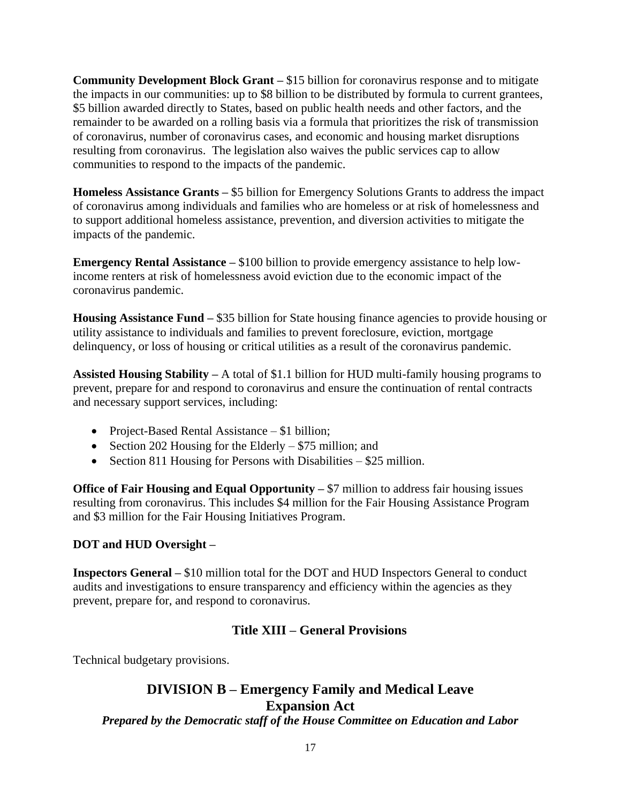**Community Development Block Grant –** \$15 billion for coronavirus response and to mitigate the impacts in our communities: up to \$8 billion to be distributed by formula to current grantees, \$5 billion awarded directly to States, based on public health needs and other factors, and the remainder to be awarded on a rolling basis via a formula that prioritizes the risk of transmission of coronavirus, number of coronavirus cases, and economic and housing market disruptions resulting from coronavirus. The legislation also waives the public services cap to allow communities to respond to the impacts of the pandemic.

**Homeless Assistance Grants –** \$5 billion for Emergency Solutions Grants to address the impact of coronavirus among individuals and families who are homeless or at risk of homelessness and to support additional homeless assistance, prevention, and diversion activities to mitigate the impacts of the pandemic.

**Emergency Rental Assistance** – \$100 billion to provide emergency assistance to help lowincome renters at risk of homelessness avoid eviction due to the economic impact of the coronavirus pandemic.

**Housing Assistance Fund –** \$35 billion for State housing finance agencies to provide housing or utility assistance to individuals and families to prevent foreclosure, eviction, mortgage delinquency, or loss of housing or critical utilities as a result of the coronavirus pandemic.

**Assisted Housing Stability –** A total of \$1.1 billion for HUD multi-family housing programs to prevent, prepare for and respond to coronavirus and ensure the continuation of rental contracts and necessary support services, including:

- Project-Based Rental Assistance \$1 billion;
- Section 202 Housing for the Elderly \$75 million; and
- Section 811 Housing for Persons with Disabilities \$25 million.

**Office of Fair Housing and Equal Opportunity – \$7 million to address fair housing issues** resulting from coronavirus. This includes \$4 million for the Fair Housing Assistance Program and \$3 million for the Fair Housing Initiatives Program.

#### **DOT and HUD Oversight –**

**Inspectors General –** \$10 million total for the DOT and HUD Inspectors General to conduct audits and investigations to ensure transparency and efficiency within the agencies as they prevent, prepare for, and respond to coronavirus.

## **Title XIII – General Provisions**

Technical budgetary provisions.

# **DIVISION B – Emergency Family and Medical Leave Expansion Act**

*Prepared by the Democratic staff of the House Committee on Education and Labor*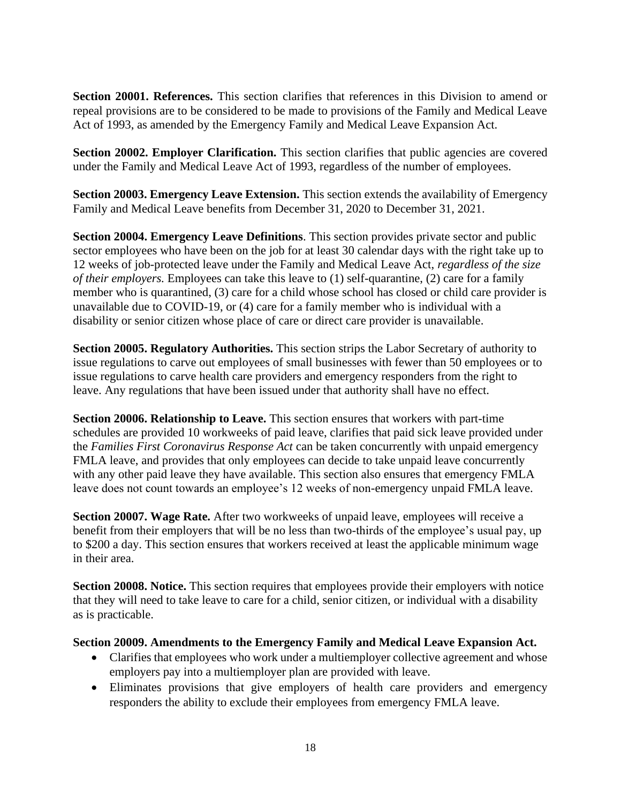**Section 20001. References.** This section clarifies that references in this Division to amend or repeal provisions are to be considered to be made to provisions of the Family and Medical Leave Act of 1993, as amended by the Emergency Family and Medical Leave Expansion Act.

**Section 20002. Employer Clarification.** This section clarifies that public agencies are covered under the Family and Medical Leave Act of 1993, regardless of the number of employees.

**Section 20003. Emergency Leave Extension.** This section extends the availability of Emergency Family and Medical Leave benefits from December 31, 2020 to December 31, 2021.

**Section 20004. Emergency Leave Definitions**. This section provides private sector and public sector employees who have been on the job for at least 30 calendar days with the right take up to 12 weeks of job-protected leave under the Family and Medical Leave Act, *regardless of the size of their employers.* Employees can take this leave to (1) self-quarantine, (2) care for a family member who is quarantined, (3) care for a child whose school has closed or child care provider is unavailable due to COVID-19, or (4) care for a family member who is individual with a disability or senior citizen whose place of care or direct care provider is unavailable.

**Section 20005. Regulatory Authorities.** This section strips the Labor Secretary of authority to issue regulations to carve out employees of small businesses with fewer than 50 employees or to issue regulations to carve health care providers and emergency responders from the right to leave. Any regulations that have been issued under that authority shall have no effect.

**Section 20006. Relationship to Leave.** This section ensures that workers with part-time schedules are provided 10 workweeks of paid leave, clarifies that paid sick leave provided under the *Families First Coronavirus Response Act* can be taken concurrently with unpaid emergency FMLA leave, and provides that only employees can decide to take unpaid leave concurrently with any other paid leave they have available. This section also ensures that emergency FMLA leave does not count towards an employee's 12 weeks of non-emergency unpaid FMLA leave.

**Section 20007. Wage Rate.** After two workweeks of unpaid leave, employees will receive a benefit from their employers that will be no less than two-thirds of the employee's usual pay, up to \$200 a day. This section ensures that workers received at least the applicable minimum wage in their area.

**Section 20008. Notice.** This section requires that employees provide their employers with notice that they will need to take leave to care for a child, senior citizen, or individual with a disability as is practicable.

#### **Section 20009. Amendments to the Emergency Family and Medical Leave Expansion Act.**

- Clarifies that employees who work under a multiemployer collective agreement and whose employers pay into a multiemployer plan are provided with leave.
- Eliminates provisions that give employers of health care providers and emergency responders the ability to exclude their employees from emergency FMLA leave.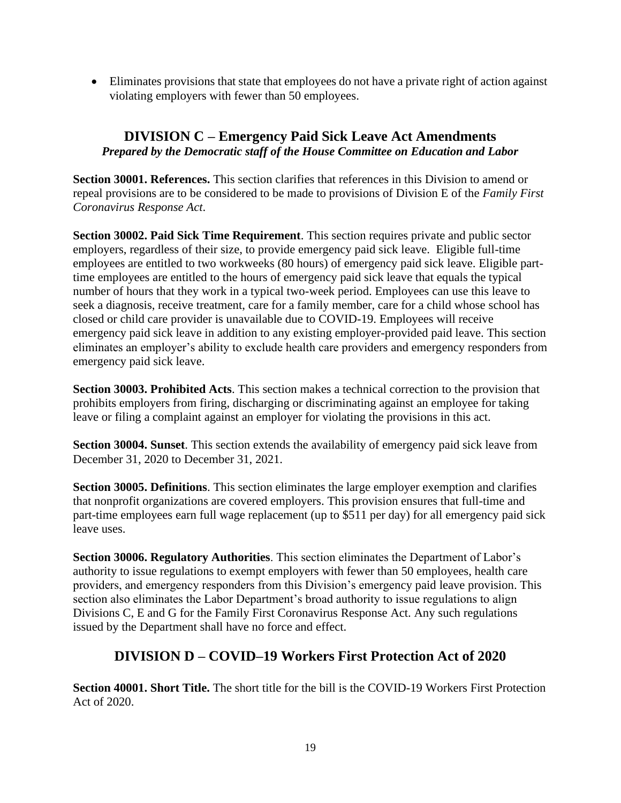• Eliminates provisions that state that employees do not have a private right of action against violating employers with fewer than 50 employees.

## **DIVISION C – Emergency Paid Sick Leave Act Amendments** *Prepared by the Democratic staff of the House Committee on Education and Labor*

**Section 30001. References.** This section clarifies that references in this Division to amend or repeal provisions are to be considered to be made to provisions of Division E of the *Family First Coronavirus Response Act*.

**Section 30002. Paid Sick Time Requirement**. This section requires private and public sector employers, regardless of their size, to provide emergency paid sick leave. Eligible full-time employees are entitled to two workweeks (80 hours) of emergency paid sick leave. Eligible parttime employees are entitled to the hours of emergency paid sick leave that equals the typical number of hours that they work in a typical two-week period. Employees can use this leave to seek a diagnosis, receive treatment, care for a family member, care for a child whose school has closed or child care provider is unavailable due to COVID-19. Employees will receive emergency paid sick leave in addition to any existing employer-provided paid leave. This section eliminates an employer's ability to exclude health care providers and emergency responders from emergency paid sick leave.

**Section 30003. Prohibited Acts**. This section makes a technical correction to the provision that prohibits employers from firing, discharging or discriminating against an employee for taking leave or filing a complaint against an employer for violating the provisions in this act.

**Section 30004. Sunset**. This section extends the availability of emergency paid sick leave from December 31, 2020 to December 31, 2021.

**Section 30005. Definitions**. This section eliminates the large employer exemption and clarifies that nonprofit organizations are covered employers. This provision ensures that full-time and part-time employees earn full wage replacement (up to \$511 per day) for all emergency paid sick leave uses.

**Section 30006. Regulatory Authorities**. This section eliminates the Department of Labor's authority to issue regulations to exempt employers with fewer than 50 employees, health care providers, and emergency responders from this Division's emergency paid leave provision. This section also eliminates the Labor Department's broad authority to issue regulations to align Divisions C, E and G for the Family First Coronavirus Response Act. Any such regulations issued by the Department shall have no force and effect.

## **DIVISION D – COVID–19 Workers First Protection Act of 2020**

**Section 40001. Short Title.** The short title for the bill is the COVID-19 Workers First Protection Act of 2020.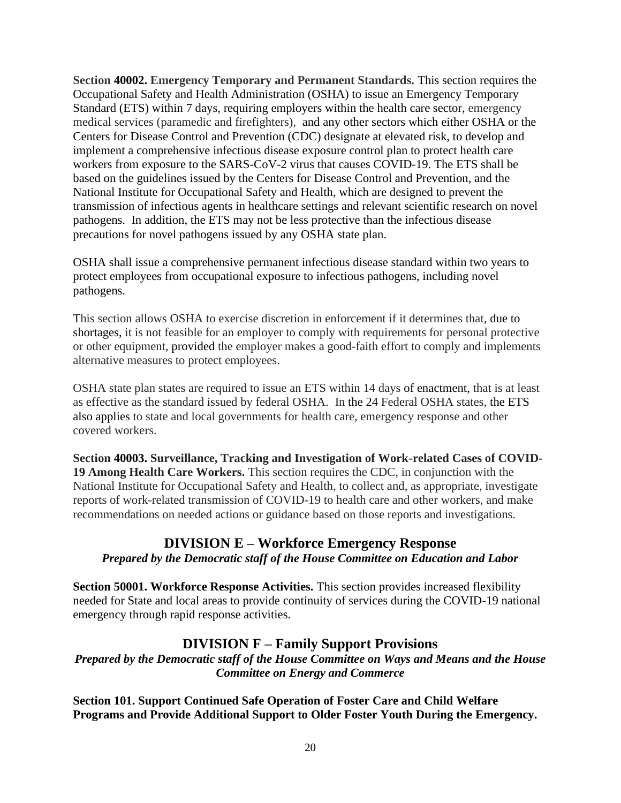**Section 40002. Emergency Temporary and Permanent Standards.** This section requires the Occupational Safety and Health Administration (OSHA) to issue an Emergency Temporary Standard (ETS) within 7 days, requiring employers within the health care sector, emergency medical services (paramedic and firefighters), and any other sectors which either OSHA or the Centers for Disease Control and Prevention (CDC) designate at elevated risk, to develop and implement a comprehensive infectious disease exposure control plan to protect health care workers from exposure to the SARS-CoV-2 virus that causes COVID-19. The ETS shall be based on the guidelines issued by the Centers for Disease Control and Prevention, and the National Institute for Occupational Safety and Health, which are designed to prevent the transmission of infectious agents in healthcare settings and relevant scientific research on novel pathogens. In addition, the ETS may not be less protective than the infectious disease precautions for novel pathogens issued by any OSHA state plan.

OSHA shall issue a comprehensive permanent infectious disease standard within two years to protect employees from occupational exposure to infectious pathogens, including novel pathogens.

This section allows OSHA to exercise discretion in enforcement if it determines that, due to shortages, it is not feasible for an employer to comply with requirements for personal protective or other equipment, provided the employer makes a good-faith effort to comply and implements alternative measures to protect employees.

OSHA state plan states are required to issue an ETS within 14 days of enactment, that is at least as effective as the standard issued by federal OSHA. In the 24 Federal OSHA states, the ETS also applies to state and local governments for health care, emergency response and other covered workers.

**Section 40003. Surveillance, Tracking and Investigation of Work-related Cases of COVID-19 Among Health Care Workers.** This section requires the CDC, in conjunction with the National Institute for Occupational Safety and Health, to collect and, as appropriate, investigate reports of work-related transmission of COVID-19 to health care and other workers, and make recommendations on needed actions or guidance based on those reports and investigations.

#### **DIVISION E – Workforce Emergency Response** *Prepared by the Democratic staff of the House Committee on Education and Labor*

**Section 50001. Workforce Response Activities.** This section provides increased flexibility needed for State and local areas to provide continuity of services during the COVID-19 national emergency through rapid response activities.

## **DIVISION F – Family Support Provisions**

*Prepared by the Democratic staff of the House Committee on Ways and Means and the House Committee on Energy and Commerce*

**Section 101. Support Continued Safe Operation of Foster Care and Child Welfare Programs and Provide Additional Support to Older Foster Youth During the Emergency.**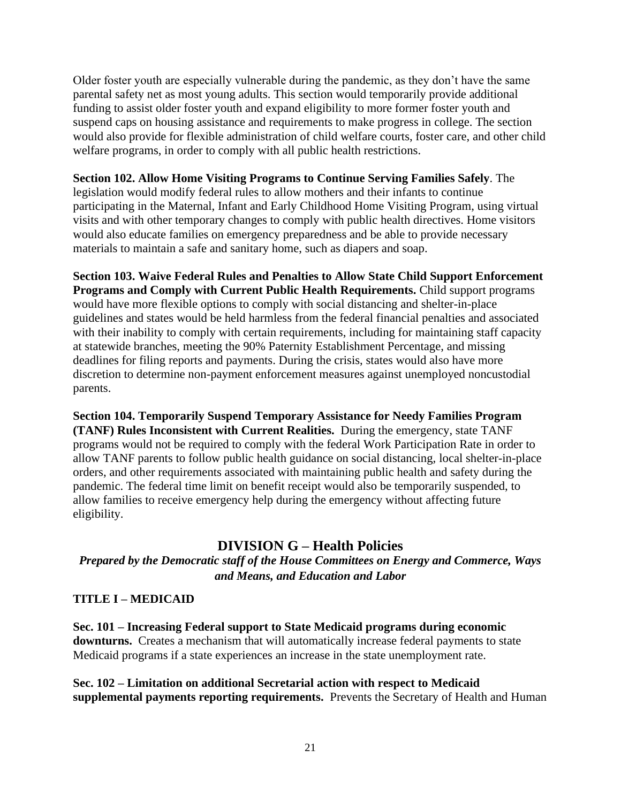Older foster youth are especially vulnerable during the pandemic, as they don't have the same parental safety net as most young adults. This section would temporarily provide additional funding to assist older foster youth and expand eligibility to more former foster youth and suspend caps on housing assistance and requirements to make progress in college. The section would also provide for flexible administration of child welfare courts, foster care, and other child welfare programs, in order to comply with all public health restrictions.

#### **Section 102. Allow Home Visiting Programs to Continue Serving Families Safely**. The

legislation would modify federal rules to allow mothers and their infants to continue participating in the Maternal, Infant and Early Childhood Home Visiting Program, using virtual visits and with other temporary changes to comply with public health directives. Home visitors would also educate families on emergency preparedness and be able to provide necessary materials to maintain a safe and sanitary home, such as diapers and soap.

**Section 103. Waive Federal Rules and Penalties to Allow State Child Support Enforcement Programs and Comply with Current Public Health Requirements.** Child support programs would have more flexible options to comply with social distancing and shelter-in-place guidelines and states would be held harmless from the federal financial penalties and associated with their inability to comply with certain requirements, including for maintaining staff capacity at statewide branches, meeting the 90% Paternity Establishment Percentage, and missing deadlines for filing reports and payments. During the crisis, states would also have more discretion to determine non-payment enforcement measures against unemployed noncustodial parents.

**Section 104. Temporarily Suspend Temporary Assistance for Needy Families Program (TANF) Rules Inconsistent with Current Realities.** During the emergency, state TANF programs would not be required to comply with the federal Work Participation Rate in order to allow TANF parents to follow public health guidance on social distancing, local shelter-in-place orders, and other requirements associated with maintaining public health and safety during the pandemic. The federal time limit on benefit receipt would also be temporarily suspended, to allow families to receive emergency help during the emergency without affecting future eligibility.

## **DIVISION G – Health Policies**

*Prepared by the Democratic staff of the House Committees on Energy and Commerce, Ways and Means, and Education and Labor*

#### **TITLE I – MEDICAID**

**Sec. 101 – Increasing Federal support to State Medicaid programs during economic downturns.** Creates a mechanism that will automatically increase federal payments to state Medicaid programs if a state experiences an increase in the state unemployment rate.

**Sec. 102 – Limitation on additional Secretarial action with respect to Medicaid supplemental payments reporting requirements.** Prevents the Secretary of Health and Human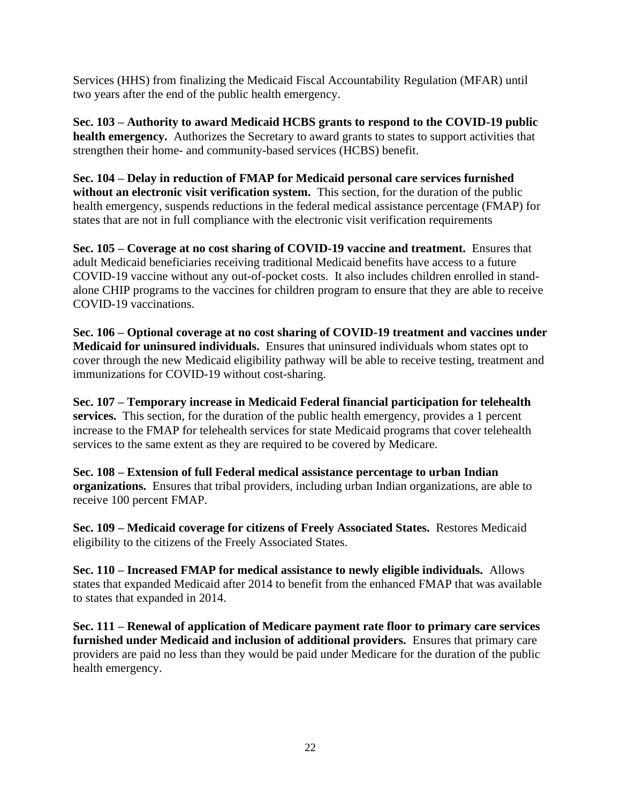Services (HHS) from finalizing the Medicaid Fiscal Accountability Regulation (MFAR) until two years after the end of the public health emergency.

**Sec. 103 – Authority to award Medicaid HCBS grants to respond to the COVID-19 public health emergency.** Authorizes the Secretary to award grants to states to support activities that strengthen their home- and community-based services (HCBS) benefit.

**Sec. 104 – Delay in reduction of FMAP for Medicaid personal care services furnished**  without an electronic visit verification system. This section, for the duration of the public health emergency, suspends reductions in the federal medical assistance percentage (FMAP) for states that are not in full compliance with the electronic visit verification requirements

**Sec. 105 – Coverage at no cost sharing of COVID-19 vaccine and treatment.** Ensures that adult Medicaid beneficiaries receiving traditional Medicaid benefits have access to a future COVID-19 vaccine without any out-of-pocket costs. It also includes children enrolled in standalone CHIP programs to the vaccines for children program to ensure that they are able to receive COVID-19 vaccinations.

**Sec. 106 – Optional coverage at no cost sharing of COVID-19 treatment and vaccines under Medicaid for uninsured individuals.** Ensures that uninsured individuals whom states opt to cover through the new Medicaid eligibility pathway will be able to receive testing, treatment and immunizations for COVID-19 without cost-sharing.

**Sec. 107 – Temporary increase in Medicaid Federal financial participation for telehealth services.** This section, for the duration of the public health emergency, provides a 1 percent increase to the FMAP for telehealth services for state Medicaid programs that cover telehealth services to the same extent as they are required to be covered by Medicare.

**Sec. 108 – Extension of full Federal medical assistance percentage to urban Indian organizations.** Ensures that tribal providers, including urban Indian organizations, are able to receive 100 percent FMAP.

**Sec. 109 – Medicaid coverage for citizens of Freely Associated States.** Restores Medicaid eligibility to the citizens of the Freely Associated States.

**Sec. 110 – Increased FMAP for medical assistance to newly eligible individuals.** Allows states that expanded Medicaid after 2014 to benefit from the enhanced FMAP that was available to states that expanded in 2014.

**Sec. 111 – Renewal of application of Medicare payment rate floor to primary care services furnished under Medicaid and inclusion of additional providers.** Ensures that primary care providers are paid no less than they would be paid under Medicare for the duration of the public health emergency.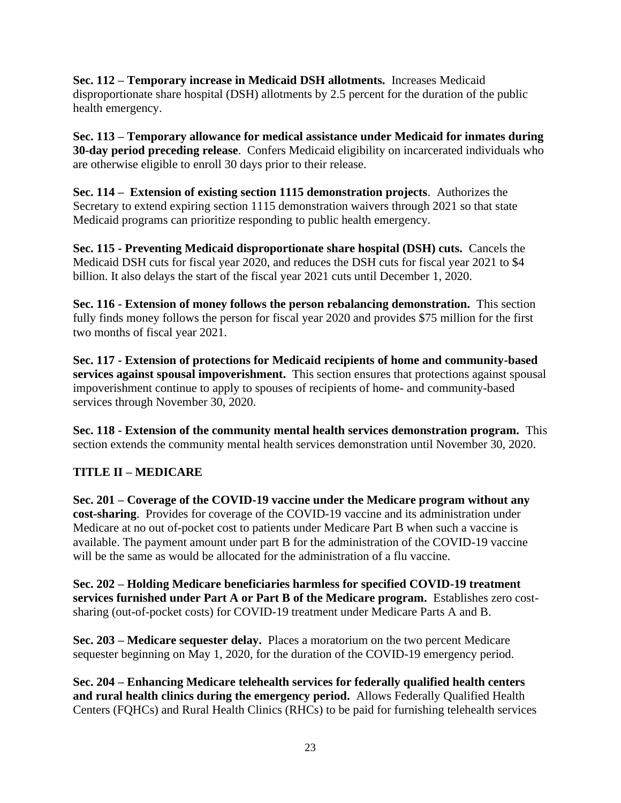**Sec. 112 – Temporary increase in Medicaid DSH allotments.** Increases Medicaid disproportionate share hospital (DSH) allotments by 2.5 percent for the duration of the public health emergency.

**Sec. 113 – Temporary allowance for medical assistance under Medicaid for inmates during 30-day period preceding release**. Confers Medicaid eligibility on incarcerated individuals who are otherwise eligible to enroll 30 days prior to their release.

**Sec. 114 – Extension of existing section 1115 demonstration projects**. Authorizes the Secretary to extend expiring section 1115 demonstration waivers through 2021 so that state Medicaid programs can prioritize responding to public health emergency.

**Sec. 115 - Preventing Medicaid disproportionate share hospital (DSH) cuts.** Cancels the Medicaid DSH cuts for fiscal year 2020, and reduces the DSH cuts for fiscal year 2021 to \$4 billion. It also delays the start of the fiscal year 2021 cuts until December 1, 2020.

**Sec. 116 - Extension of money follows the person rebalancing demonstration.** This section fully finds money follows the person for fiscal year 2020 and provides \$75 million for the first two months of fiscal year 2021.

**Sec. 117 - Extension of protections for Medicaid recipients of home and community-based services against spousal impoverishment.** This section ensures that protections against spousal impoverishment continue to apply to spouses of recipients of home- and community-based services through November 30, 2020.

**Sec. 118 - Extension of the community mental health services demonstration program.** This section extends the community mental health services demonstration until November 30, 2020.

## **TITLE II – MEDICARE**

**Sec. 201 – Coverage of the COVID-19 vaccine under the Medicare program without any cost-sharing**. Provides for coverage of the COVID-19 vaccine and its administration under Medicare at no out of-pocket cost to patients under Medicare Part B when such a vaccine is available. The payment amount under part B for the administration of the COVID-19 vaccine will be the same as would be allocated for the administration of a flu vaccine.

**Sec. 202 – Holding Medicare beneficiaries harmless for specified COVID-19 treatment services furnished under Part A or Part B of the Medicare program.** Establishes zero costsharing (out-of-pocket costs) for COVID-19 treatment under Medicare Parts A and B.

**Sec. 203 – Medicare sequester delay.** Places a moratorium on the two percent Medicare sequester beginning on May 1, 2020, for the duration of the COVID-19 emergency period.

**Sec. 204 – Enhancing Medicare telehealth services for federally qualified health centers and rural health clinics during the emergency period.** Allows Federally Qualified Health Centers (FQHCs) and Rural Health Clinics (RHCs) to be paid for furnishing telehealth services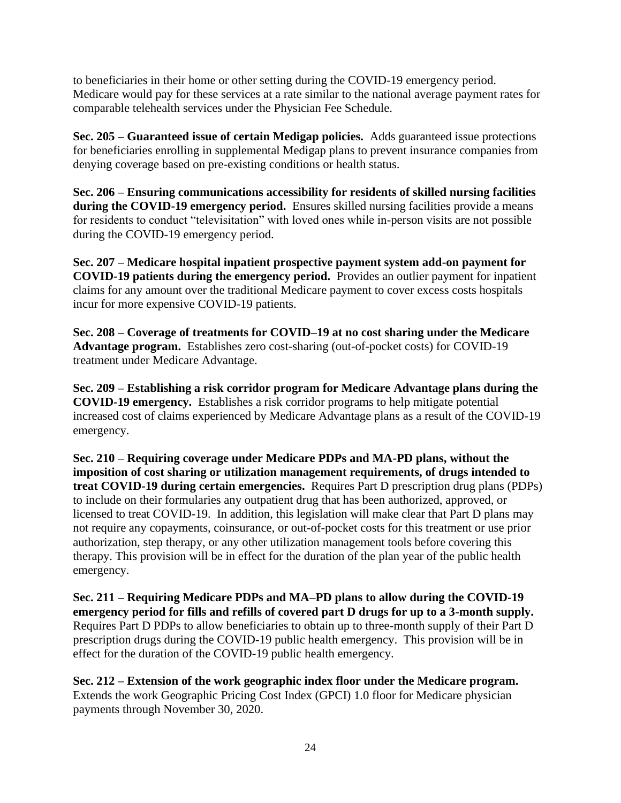to beneficiaries in their home or other setting during the COVID-19 emergency period. Medicare would pay for these services at a rate similar to the national average payment rates for comparable telehealth services under the Physician Fee Schedule.

**Sec. 205 – Guaranteed issue of certain Medigap policies.** Adds guaranteed issue protections for beneficiaries enrolling in supplemental Medigap plans to prevent insurance companies from denying coverage based on pre-existing conditions or health status.

**Sec. 206 – Ensuring communications accessibility for residents of skilled nursing facilities during the COVID-19 emergency period.** Ensures skilled nursing facilities provide a means for residents to conduct "televisitation" with loved ones while in-person visits are not possible during the COVID-19 emergency period.

**Sec. 207 – Medicare hospital inpatient prospective payment system add-on payment for COVID-19 patients during the emergency period.** Provides an outlier payment for inpatient claims for any amount over the traditional Medicare payment to cover excess costs hospitals incur for more expensive COVID-19 patients.

**Sec. 208 – Coverage of treatments for COVID–19 at no cost sharing under the Medicare Advantage program.** Establishes zero cost-sharing (out-of-pocket costs) for COVID-19 treatment under Medicare Advantage.

**Sec. 209 – Establishing a risk corridor program for Medicare Advantage plans during the COVID-19 emergency.** Establishes a risk corridor programs to help mitigate potential increased cost of claims experienced by Medicare Advantage plans as a result of the COVID-19 emergency.

**Sec. 210 – Requiring coverage under Medicare PDPs and MA-PD plans, without the imposition of cost sharing or utilization management requirements, of drugs intended to treat COVID-19 during certain emergencies.** Requires Part D prescription drug plans (PDPs) to include on their formularies any outpatient drug that has been authorized, approved, or licensed to treat COVID-19. In addition, this legislation will make clear that Part D plans may not require any copayments, coinsurance, or out-of-pocket costs for this treatment or use prior authorization, step therapy, or any other utilization management tools before covering this therapy. This provision will be in effect for the duration of the plan year of the public health emergency.

**Sec. 211 – Requiring Medicare PDPs and MA–PD plans to allow during the COVID-19 emergency period for fills and refills of covered part D drugs for up to a 3-month supply.**  Requires Part D PDPs to allow beneficiaries to obtain up to three-month supply of their Part D prescription drugs during the COVID-19 public health emergency. This provision will be in effect for the duration of the COVID-19 public health emergency.

**Sec. 212 – Extension of the work geographic index floor under the Medicare program.**  Extends the work Geographic Pricing Cost Index (GPCI) 1.0 floor for Medicare physician payments through November 30, 2020.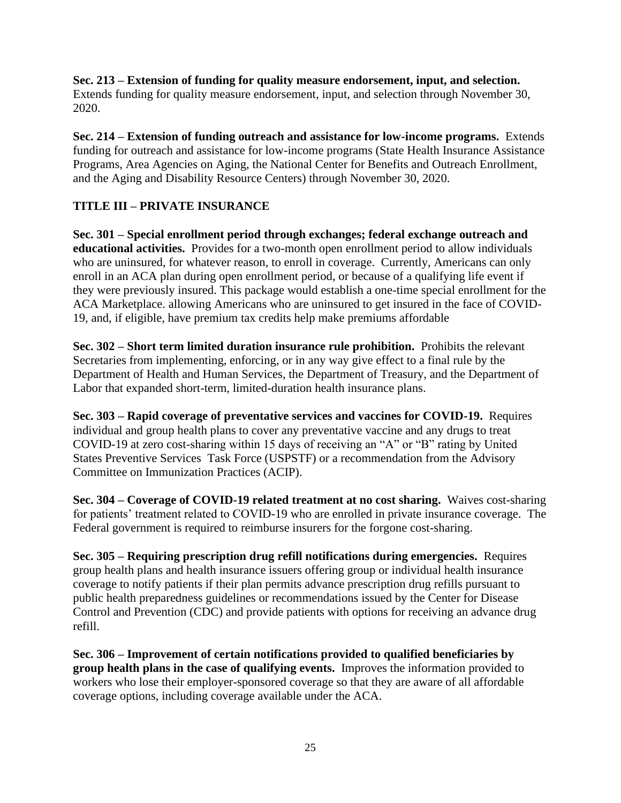**Sec. 213 – Extension of funding for quality measure endorsement, input, and selection.**  Extends funding for quality measure endorsement, input, and selection through November 30, 2020.

**Sec. 214 – Extension of funding outreach and assistance for low-income programs.** Extends funding for outreach and assistance for low-income programs (State Health Insurance Assistance Programs, Area Agencies on Aging, the National Center for Benefits and Outreach Enrollment, and the Aging and Disability Resource Centers) through November 30, 2020.

## **TITLE III – PRIVATE INSURANCE**

**Sec. 301 – Special enrollment period through exchanges; federal exchange outreach and educational activities.** Provides for a two-month open enrollment period to allow individuals who are uninsured, for whatever reason, to enroll in coverage. Currently, Americans can only enroll in an ACA plan during open enrollment period, or because of a qualifying life event if they were previously insured. This package would establish a one-time special enrollment for the ACA Marketplace. allowing Americans who are uninsured to get insured in the face of COVID-19, and, if eligible, have premium tax credits help make premiums affordable

**Sec. 302 – Short term limited duration insurance rule prohibition.** Prohibits the relevant Secretaries from implementing, enforcing, or in any way give effect to a final rule by the Department of Health and Human Services, the Department of Treasury, and the Department of Labor that expanded short-term, limited-duration health insurance plans.

**Sec. 303 – Rapid coverage of preventative services and vaccines for COVID-19.** Requires individual and group health plans to cover any preventative vaccine and any drugs to treat COVID-19 at zero cost-sharing within 15 days of receiving an "A" or "B" rating by United States Preventive Services Task Force (USPSTF) or a recommendation from the Advisory Committee on Immunization Practices (ACIP).

**Sec. 304 – Coverage of COVID-19 related treatment at no cost sharing.** Waives cost-sharing for patients' treatment related to COVID-19 who are enrolled in private insurance coverage. The Federal government is required to reimburse insurers for the forgone cost-sharing.

**Sec. 305 – Requiring prescription drug refill notifications during emergencies.** Requires group health plans and health insurance issuers offering group or individual health insurance coverage to notify patients if their plan permits advance prescription drug refills pursuant to public health preparedness guidelines or recommendations issued by the Center for Disease Control and Prevention (CDC) and provide patients with options for receiving an advance drug refill.

**Sec. 306 – Improvement of certain notifications provided to qualified beneficiaries by group health plans in the case of qualifying events.** Improves the information provided to workers who lose their employer-sponsored coverage so that they are aware of all affordable coverage options, including coverage available under the ACA.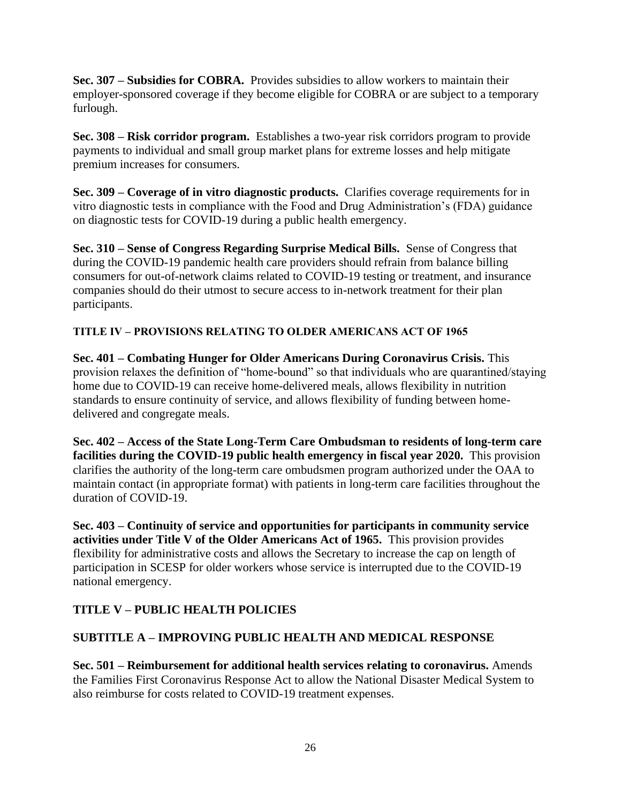**Sec. 307 – Subsidies for COBRA.** Provides subsidies to allow workers to maintain their employer-sponsored coverage if they become eligible for COBRA or are subject to a temporary furlough.

**Sec. 308 – Risk corridor program.** Establishes a two-year risk corridors program to provide payments to individual and small group market plans for extreme losses and help mitigate premium increases for consumers.

**Sec. 309 – Coverage of in vitro diagnostic products.** Clarifies coverage requirements for in vitro diagnostic tests in compliance with the Food and Drug Administration's (FDA) guidance on diagnostic tests for COVID-19 during a public health emergency.

**Sec. 310 – Sense of Congress Regarding Surprise Medical Bills.** Sense of Congress that during the COVID-19 pandemic health care providers should refrain from balance billing consumers for out-of-network claims related to COVID-19 testing or treatment, and insurance companies should do their utmost to secure access to in-network treatment for their plan participants.

#### **TITLE IV – PROVISIONS RELATING TO OLDER AMERICANS ACT OF 1965**

**Sec. 401 – Combating Hunger for Older Americans During Coronavirus Crisis.** This provision relaxes the definition of "home-bound" so that individuals who are quarantined/staying home due to COVID-19 can receive home-delivered meals, allows flexibility in nutrition standards to ensure continuity of service, and allows flexibility of funding between homedelivered and congregate meals.

**Sec. 402 – Access of the State Long-Term Care Ombudsman to residents of long-term care facilities during the COVID-19 public health emergency in fiscal year 2020.** This provision clarifies the authority of the long-term care ombudsmen program authorized under the OAA to maintain contact (in appropriate format) with patients in long-term care facilities throughout the duration of COVID-19.

**Sec. 403 – Continuity of service and opportunities for participants in community service activities under Title V of the Older Americans Act of 1965.** This provision provides flexibility for administrative costs and allows the Secretary to increase the cap on length of participation in SCESP for older workers whose service is interrupted due to the COVID-19 national emergency.

## **TITLE V – PUBLIC HEALTH POLICIES**

#### **SUBTITLE A – IMPROVING PUBLIC HEALTH AND MEDICAL RESPONSE**

**Sec. 501 – Reimbursement for additional health services relating to coronavirus.** Amends the Families First Coronavirus Response Act to allow the National Disaster Medical System to also reimburse for costs related to COVID-19 treatment expenses.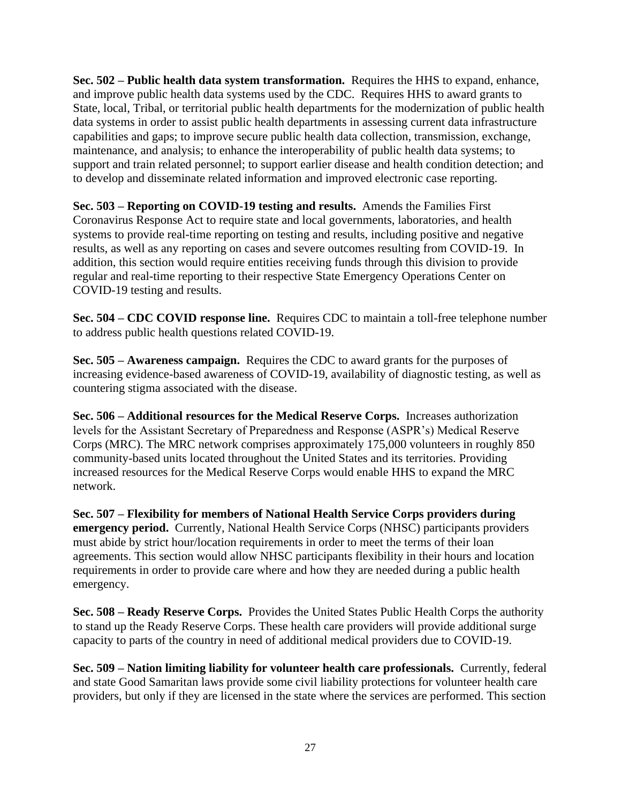**Sec. 502 – Public health data system transformation.** Requires the HHS to expand, enhance, and improve public health data systems used by the CDC. Requires HHS to award grants to State, local, Tribal, or territorial public health departments for the modernization of public health data systems in order to assist public health departments in assessing current data infrastructure capabilities and gaps; to improve secure public health data collection, transmission, exchange, maintenance, and analysis; to enhance the interoperability of public health data systems; to support and train related personnel; to support earlier disease and health condition detection; and to develop and disseminate related information and improved electronic case reporting.

**Sec. 503 – Reporting on COVID-19 testing and results.** Amends the Families First Coronavirus Response Act to require state and local governments, laboratories, and health systems to provide real-time reporting on testing and results, including positive and negative results, as well as any reporting on cases and severe outcomes resulting from COVID-19. In addition, this section would require entities receiving funds through this division to provide regular and real-time reporting to their respective State Emergency Operations Center on COVID-19 testing and results.

**Sec. 504 – CDC COVID response line.** Requires CDC to maintain a toll-free telephone number to address public health questions related COVID-19.

**Sec. 505 – Awareness campaign.** Requires the CDC to award grants for the purposes of increasing evidence-based awareness of COVID-19, availability of diagnostic testing, as well as countering stigma associated with the disease.

**Sec. 506 – Additional resources for the Medical Reserve Corps.** Increases authorization levels for the Assistant Secretary of Preparedness and Response (ASPR's) Medical Reserve Corps (MRC). The MRC network comprises approximately 175,000 volunteers in roughly 850 community-based units located throughout the United States and its territories. Providing increased resources for the Medical Reserve Corps would enable HHS to expand the MRC network.

**Sec. 507 – Flexibility for members of National Health Service Corps providers during emergency period.** Currently, National Health Service Corps (NHSC) participants providers must abide by strict hour/location requirements in order to meet the terms of their loan agreements. This section would allow NHSC participants flexibility in their hours and location requirements in order to provide care where and how they are needed during a public health emergency.

**Sec. 508 – Ready Reserve Corps.** Provides the United States Public Health Corps the authority to stand up the Ready Reserve Corps. These health care providers will provide additional surge capacity to parts of the country in need of additional medical providers due to COVID-19.

**Sec. 509 – Nation limiting liability for volunteer health care professionals.** Currently, federal and state Good Samaritan laws provide some civil liability protections for volunteer health care providers, but only if they are licensed in the state where the services are performed. This section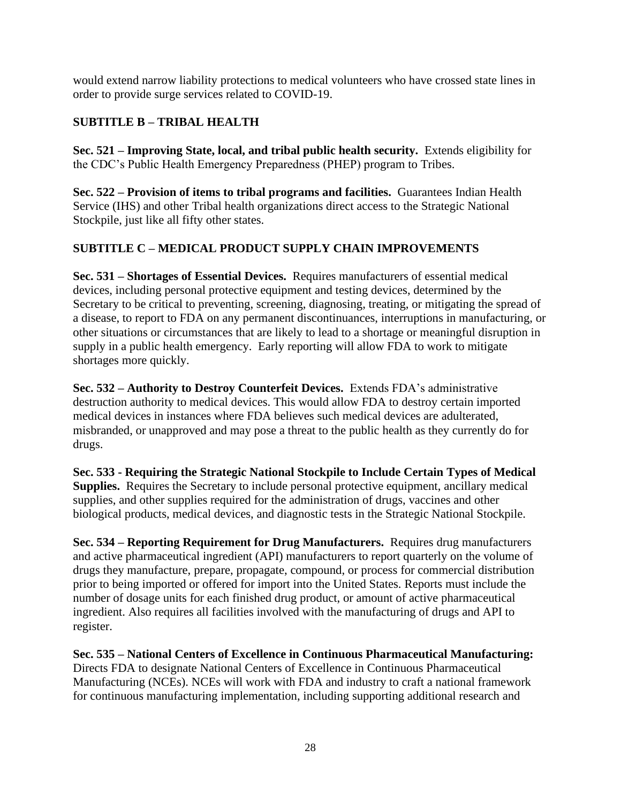would extend narrow liability protections to medical volunteers who have crossed state lines in order to provide surge services related to COVID-19.

## **SUBTITLE B – TRIBAL HEALTH**

**Sec. 521 – Improving State, local, and tribal public health security.** Extends eligibility for the CDC's Public Health Emergency Preparedness (PHEP) program to Tribes.

**Sec. 522 – Provision of items to tribal programs and facilities.** Guarantees Indian Health Service (IHS) and other Tribal health organizations direct access to the Strategic National Stockpile, just like all fifty other states.

## **SUBTITLE C – MEDICAL PRODUCT SUPPLY CHAIN IMPROVEMENTS**

**Sec. 531 – Shortages of Essential Devices.** Requires manufacturers of essential medical devices, including personal protective equipment and testing devices, determined by the Secretary to be critical to preventing, screening, diagnosing, treating, or mitigating the spread of a disease, to report to FDA on any permanent discontinuances, interruptions in manufacturing, or other situations or circumstances that are likely to lead to a shortage or meaningful disruption in supply in a public health emergency. Early reporting will allow FDA to work to mitigate shortages more quickly.

**Sec. 532 – Authority to Destroy Counterfeit Devices.** Extends FDA's administrative destruction authority to medical devices. This would allow FDA to destroy certain imported medical devices in instances where FDA believes such medical devices are adulterated, misbranded, or unapproved and may pose a threat to the public health as they currently do for drugs.

**Sec. 533 - Requiring the Strategic National Stockpile to Include Certain Types of Medical Supplies.** Requires the Secretary to include personal protective equipment, ancillary medical supplies, and other supplies required for the administration of drugs, vaccines and other biological products, medical devices, and diagnostic tests in the Strategic National Stockpile.

**Sec. 534 – Reporting Requirement for Drug Manufacturers.** Requires drug manufacturers and active pharmaceutical ingredient (API) manufacturers to report quarterly on the volume of drugs they manufacture, prepare, propagate, compound, or process for commercial distribution prior to being imported or offered for import into the United States. Reports must include the number of dosage units for each finished drug product, or amount of active pharmaceutical ingredient. Also requires all facilities involved with the manufacturing of drugs and API to register.

**Sec. 535 – National Centers of Excellence in Continuous Pharmaceutical Manufacturing:**  Directs FDA to designate National Centers of Excellence in Continuous Pharmaceutical Manufacturing (NCEs). NCEs will work with FDA and industry to craft a national framework for continuous manufacturing implementation, including supporting additional research and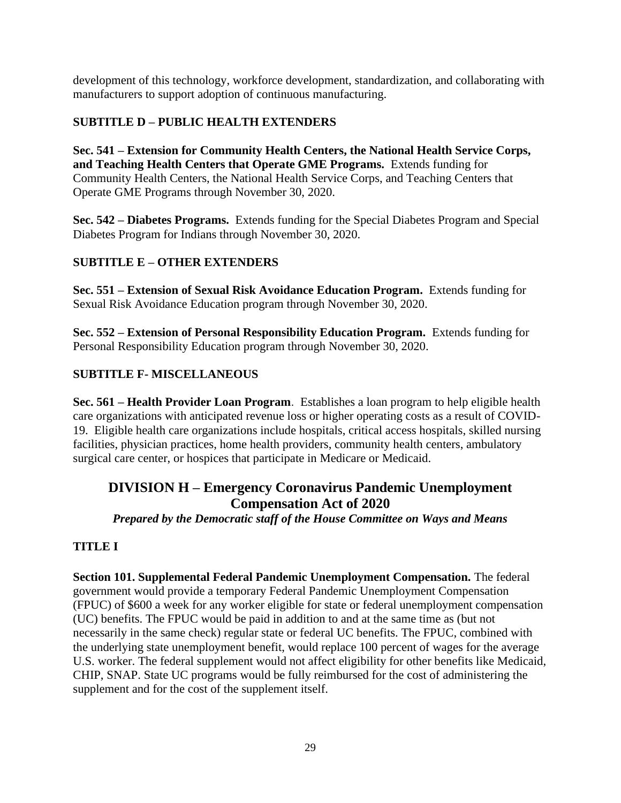development of this technology, workforce development, standardization, and collaborating with manufacturers to support adoption of continuous manufacturing.

## **SUBTITLE D – PUBLIC HEALTH EXTENDERS**

**Sec. 541 – Extension for Community Health Centers, the National Health Service Corps, and Teaching Health Centers that Operate GME Programs.** Extends funding for Community Health Centers, the National Health Service Corps, and Teaching Centers that Operate GME Programs through November 30, 2020.

**Sec. 542 – Diabetes Programs.** Extends funding for the Special Diabetes Program and Special Diabetes Program for Indians through November 30, 2020.

## **SUBTITLE E – OTHER EXTENDERS**

**Sec. 551 – Extension of Sexual Risk Avoidance Education Program.** Extends funding for Sexual Risk Avoidance Education program through November 30, 2020.

**Sec. 552 – Extension of Personal Responsibility Education Program.** Extends funding for Personal Responsibility Education program through November 30, 2020.

## **SUBTITLE F- MISCELLANEOUS**

**Sec. 561 – Health Provider Loan Program**. Establishes a loan program to help eligible health care organizations with anticipated revenue loss or higher operating costs as a result of COVID-19. Eligible health care organizations include hospitals, critical access hospitals, skilled nursing facilities, physician practices, home health providers, community health centers, ambulatory surgical care center, or hospices that participate in Medicare or Medicaid.

# **DIVISION H – Emergency Coronavirus Pandemic Unemployment Compensation Act of 2020**

*Prepared by the Democratic staff of the House Committee on Ways and Means*

## **TITLE I**

**Section 101. Supplemental Federal Pandemic Unemployment Compensation.** The federal government would provide a temporary Federal Pandemic Unemployment Compensation (FPUC) of \$600 a week for any worker eligible for state or federal unemployment compensation (UC) benefits. The FPUC would be paid in addition to and at the same time as (but not necessarily in the same check) regular state or federal UC benefits. The FPUC, combined with the underlying state unemployment benefit, would replace 100 percent of wages for the average U.S. worker. The federal supplement would not affect eligibility for other benefits like Medicaid, CHIP, SNAP. State UC programs would be fully reimbursed for the cost of administering the supplement and for the cost of the supplement itself.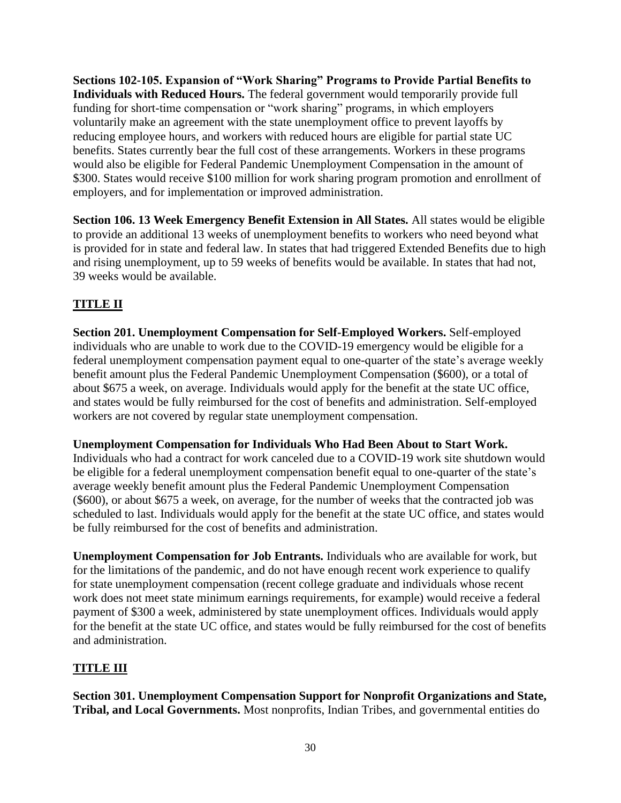**Sections 102-105. Expansion of "Work Sharing" Programs to Provide Partial Benefits to Individuals with Reduced Hours.** The federal government would temporarily provide full funding for short-time compensation or "work sharing" programs, in which employers voluntarily make an agreement with the state unemployment office to prevent layoffs by reducing employee hours, and workers with reduced hours are eligible for partial state UC benefits. States currently bear the full cost of these arrangements. Workers in these programs would also be eligible for Federal Pandemic Unemployment Compensation in the amount of \$300. States would receive \$100 million for work sharing program promotion and enrollment of employers, and for implementation or improved administration.

**Section 106. 13 Week Emergency Benefit Extension in All States.** All states would be eligible to provide an additional 13 weeks of unemployment benefits to workers who need beyond what is provided for in state and federal law. In states that had triggered Extended Benefits due to high and rising unemployment, up to 59 weeks of benefits would be available. In states that had not, 39 weeks would be available.

## **TITLE II**

**Section 201. Unemployment Compensation for Self-Employed Workers.** Self-employed individuals who are unable to work due to the COVID-19 emergency would be eligible for a federal unemployment compensation payment equal to one-quarter of the state's average weekly benefit amount plus the Federal Pandemic Unemployment Compensation (\$600), or a total of about \$675 a week, on average. Individuals would apply for the benefit at the state UC office, and states would be fully reimbursed for the cost of benefits and administration. Self-employed workers are not covered by regular state unemployment compensation.

#### **Unemployment Compensation for Individuals Who Had Been About to Start Work.**

Individuals who had a contract for work canceled due to a COVID-19 work site shutdown would be eligible for a federal unemployment compensation benefit equal to one-quarter of the state's average weekly benefit amount plus the Federal Pandemic Unemployment Compensation (\$600), or about \$675 a week, on average, for the number of weeks that the contracted job was scheduled to last. Individuals would apply for the benefit at the state UC office, and states would be fully reimbursed for the cost of benefits and administration.

**Unemployment Compensation for Job Entrants.** Individuals who are available for work, but for the limitations of the pandemic, and do not have enough recent work experience to qualify for state unemployment compensation (recent college graduate and individuals whose recent work does not meet state minimum earnings requirements, for example) would receive a federal payment of \$300 a week, administered by state unemployment offices. Individuals would apply for the benefit at the state UC office, and states would be fully reimbursed for the cost of benefits and administration.

#### **TITLE III**

**Section 301. Unemployment Compensation Support for Nonprofit Organizations and State, Tribal, and Local Governments.** Most nonprofits, Indian Tribes, and governmental entities do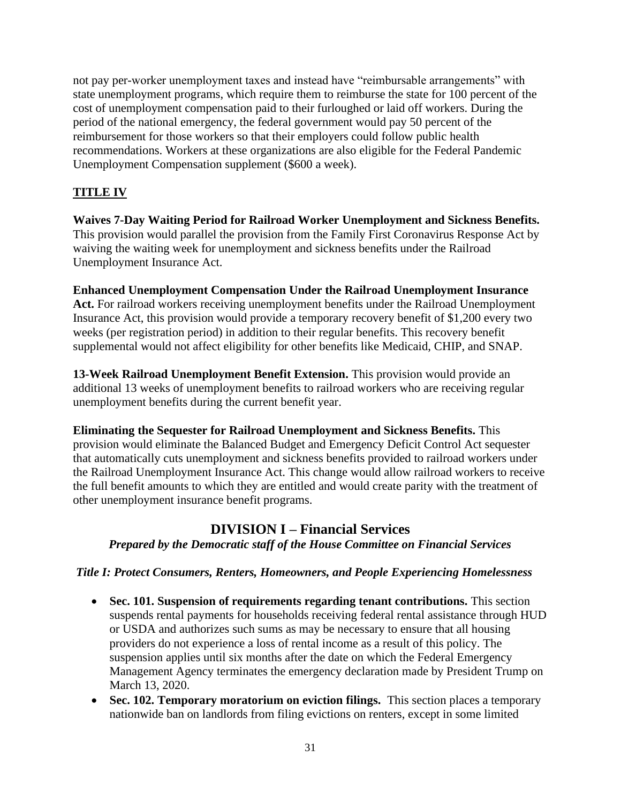not pay per-worker unemployment taxes and instead have "reimbursable arrangements" with state unemployment programs, which require them to reimburse the state for 100 percent of the cost of unemployment compensation paid to their furloughed or laid off workers. During the period of the national emergency, the federal government would pay 50 percent of the reimbursement for those workers so that their employers could follow public health recommendations. Workers at these organizations are also eligible for the Federal Pandemic Unemployment Compensation supplement (\$600 a week).

## **TITLE IV**

**Waives 7-Day Waiting Period for Railroad Worker Unemployment and Sickness Benefits.**  This provision would parallel the provision from the Family First Coronavirus Response Act by waiving the waiting week for unemployment and sickness benefits under the Railroad Unemployment Insurance Act.

#### **Enhanced Unemployment Compensation Under the Railroad Unemployment Insurance**

**Act.** For railroad workers receiving unemployment benefits under the Railroad Unemployment Insurance Act, this provision would provide a temporary recovery benefit of \$1,200 every two weeks (per registration period) in addition to their regular benefits. This recovery benefit supplemental would not affect eligibility for other benefits like Medicaid, CHIP, and SNAP.

**13-Week Railroad Unemployment Benefit Extension.** This provision would provide an additional 13 weeks of unemployment benefits to railroad workers who are receiving regular unemployment benefits during the current benefit year.

**Eliminating the Sequester for Railroad Unemployment and Sickness Benefits.** This provision would eliminate the Balanced Budget and Emergency Deficit Control Act sequester that automatically cuts unemployment and sickness benefits provided to railroad workers under the Railroad Unemployment Insurance Act. This change would allow railroad workers to receive the full benefit amounts to which they are entitled and would create parity with the treatment of other unemployment insurance benefit programs.

## **DIVISION I – Financial Services**

*Prepared by the Democratic staff of the House Committee on Financial Services*

#### *Title I: Protect Consumers, Renters, Homeowners, and People Experiencing Homelessness*

- **Sec. 101. Suspension of requirements regarding tenant contributions.** This section suspends rental payments for households receiving federal rental assistance through HUD or USDA and authorizes such sums as may be necessary to ensure that all housing providers do not experience a loss of rental income as a result of this policy. The suspension applies until six months after the date on which the Federal Emergency Management Agency terminates the emergency declaration made by President Trump on March 13, 2020.
- **Sec. 102. Temporary moratorium on eviction filings.** This section places a temporary nationwide ban on landlords from filing evictions on renters, except in some limited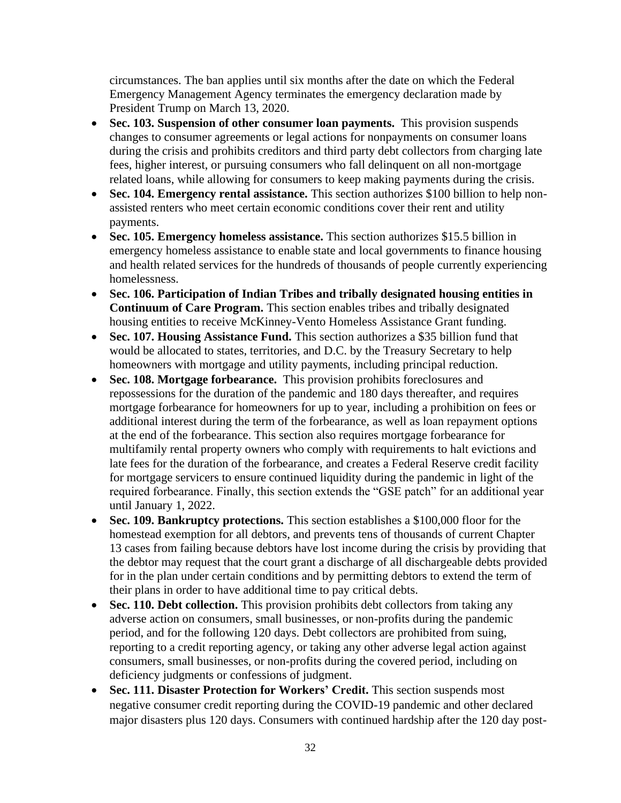circumstances. The ban applies until six months after the date on which the Federal Emergency Management Agency terminates the emergency declaration made by President Trump on March 13, 2020.

- **Sec. 103. Suspension of other consumer loan payments.** This provision suspends changes to consumer agreements or legal actions for nonpayments on consumer loans during the crisis and prohibits creditors and third party debt collectors from charging late fees, higher interest, or pursuing consumers who fall delinquent on all non-mortgage related loans, while allowing for consumers to keep making payments during the crisis.
- **Sec. 104. Emergency rental assistance.** This section authorizes \$100 billion to help nonassisted renters who meet certain economic conditions cover their rent and utility payments.
- **Sec. 105. Emergency homeless assistance.** This section authorizes \$15.5 billion in emergency homeless assistance to enable state and local governments to finance housing and health related services for the hundreds of thousands of people currently experiencing homelessness.
- **Sec. 106. Participation of Indian Tribes and tribally designated housing entities in Continuum of Care Program.** This section enables tribes and tribally designated housing entities to receive McKinney-Vento Homeless Assistance Grant funding.
- **Sec. 107. Housing Assistance Fund.** This section authorizes a \$35 billion fund that would be allocated to states, territories, and D.C. by the Treasury Secretary to help homeowners with mortgage and utility payments, including principal reduction.
- **Sec. 108. Mortgage forbearance.** This provision prohibits foreclosures and repossessions for the duration of the pandemic and 180 days thereafter, and requires mortgage forbearance for homeowners for up to year, including a prohibition on fees or additional interest during the term of the forbearance, as well as loan repayment options at the end of the forbearance. This section also requires mortgage forbearance for multifamily rental property owners who comply with requirements to halt evictions and late fees for the duration of the forbearance, and creates a Federal Reserve credit facility for mortgage servicers to ensure continued liquidity during the pandemic in light of the required forbearance. Finally, this section extends the "GSE patch" for an additional year until January 1, 2022.
- **Sec. 109. Bankruptcy protections.** This section establishes a \$100,000 floor for the homestead exemption for all debtors, and prevents tens of thousands of current Chapter 13 cases from failing because debtors have lost income during the crisis by providing that the debtor may request that the court grant a discharge of all dischargeable debts provided for in the plan under certain conditions and by permitting debtors to extend the term of their plans in order to have additional time to pay critical debts.
- **Sec. 110. Debt collection.** This provision prohibits debt collectors from taking any adverse action on consumers, small businesses, or non-profits during the pandemic period, and for the following 120 days. Debt collectors are prohibited from suing, reporting to a credit reporting agency, or taking any other adverse legal action against consumers, small businesses, or non-profits during the covered period, including on deficiency judgments or confessions of judgment.
- **Sec. 111. Disaster Protection for Workers' Credit.** This section suspends most negative consumer credit reporting during the COVID-19 pandemic and other declared major disasters plus 120 days. Consumers with continued hardship after the 120 day post-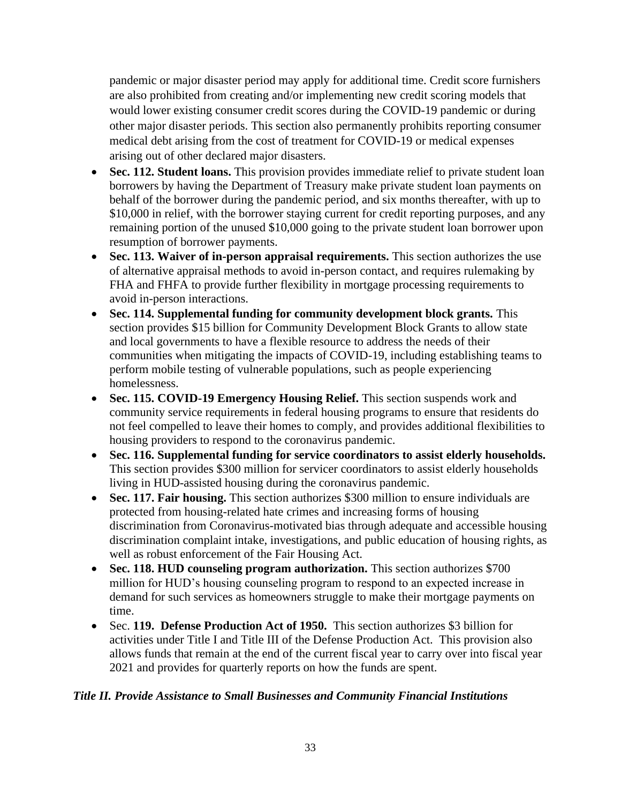pandemic or major disaster period may apply for additional time. Credit score furnishers are also prohibited from creating and/or implementing new credit scoring models that would lower existing consumer credit scores during the COVID-19 pandemic or during other major disaster periods. This section also permanently prohibits reporting consumer medical debt arising from the cost of treatment for COVID-19 or medical expenses arising out of other declared major disasters.

- **Sec. 112. Student loans.** This provision provides immediate relief to private student loan borrowers by having the Department of Treasury make private student loan payments on behalf of the borrower during the pandemic period, and six months thereafter, with up to \$10,000 in relief, with the borrower staying current for credit reporting purposes, and any remaining portion of the unused \$10,000 going to the private student loan borrower upon resumption of borrower payments.
- **Sec. 113. Waiver of in-person appraisal requirements.** This section authorizes the use of alternative appraisal methods to avoid in-person contact, and requires rulemaking by FHA and FHFA to provide further flexibility in mortgage processing requirements to avoid in-person interactions.
- **Sec. 114. Supplemental funding for community development block grants.** This section provides \$15 billion for Community Development Block Grants to allow state and local governments to have a flexible resource to address the needs of their communities when mitigating the impacts of COVID-19, including establishing teams to perform mobile testing of vulnerable populations, such as people experiencing homelessness.
- **Sec. 115. COVID-19 Emergency Housing Relief.** This section suspends work and community service requirements in federal housing programs to ensure that residents do not feel compelled to leave their homes to comply, and provides additional flexibilities to housing providers to respond to the coronavirus pandemic.
- **Sec. 116. Supplemental funding for service coordinators to assist elderly households.** This section provides \$300 million for servicer coordinators to assist elderly households living in HUD-assisted housing during the coronavirus pandemic.
- Sec. 117. Fair housing. This section authorizes \$300 million to ensure individuals are protected from housing-related hate crimes and increasing forms of housing discrimination from Coronavirus-motivated bias through adequate and accessible housing discrimination complaint intake, investigations, and public education of housing rights, as well as robust enforcement of the Fair Housing Act.
- **Sec. 118. HUD counseling program authorization.** This section authorizes \$700 million for HUD's housing counseling program to respond to an expected increase in demand for such services as homeowners struggle to make their mortgage payments on time.
- Sec. **119. Defense Production Act of 1950.** This section authorizes \$3 billion for activities under Title I and Title III of the Defense Production Act. This provision also allows funds that remain at the end of the current fiscal year to carry over into fiscal year 2021 and provides for quarterly reports on how the funds are spent.

#### *Title II. Provide Assistance to Small Businesses and Community Financial Institutions*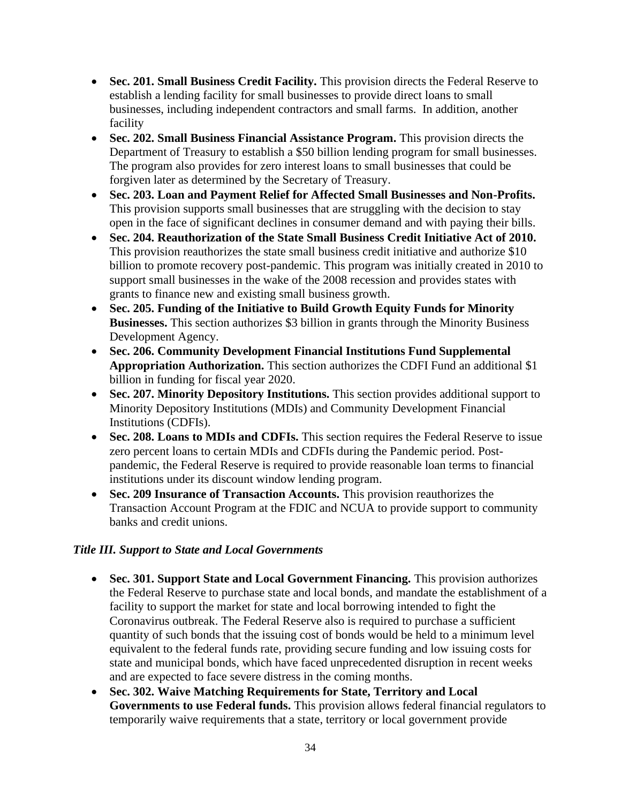- **Sec. 201. Small Business Credit Facility.** This provision directs the Federal Reserve to establish a lending facility for small businesses to provide direct loans to small businesses, including independent contractors and small farms. In addition, another facility
- **Sec. 202. Small Business Financial Assistance Program.** This provision directs the Department of Treasury to establish a \$50 billion lending program for small businesses. The program also provides for zero interest loans to small businesses that could be forgiven later as determined by the Secretary of Treasury.
- **Sec. 203. Loan and Payment Relief for Affected Small Businesses and Non-Profits.**  This provision supports small businesses that are struggling with the decision to stay open in the face of significant declines in consumer demand and with paying their bills.
- **Sec. 204. Reauthorization of the State Small Business Credit Initiative Act of 2010.**  This provision reauthorizes the state small business credit initiative and authorize \$10 billion to promote recovery post-pandemic. This program was initially created in 2010 to support small businesses in the wake of the 2008 recession and provides states with grants to finance new and existing small business growth.
- **Sec. 205. Funding of the Initiative to Build Growth Equity Funds for Minority Businesses.** This section authorizes \$3 billion in grants through the Minority Business Development Agency.
- **Sec. 206. Community Development Financial Institutions Fund Supplemental Appropriation Authorization.** This section authorizes the CDFI Fund an additional \$1 billion in funding for fiscal year 2020.
- **Sec. 207. Minority Depository Institutions.** This section provides additional support to Minority Depository Institutions (MDIs) and Community Development Financial Institutions (CDFIs).
- **Sec. 208. Loans to MDIs and CDFIs.** This section requires the Federal Reserve to issue zero percent loans to certain MDIs and CDFIs during the Pandemic period. Postpandemic, the Federal Reserve is required to provide reasonable loan terms to financial institutions under its discount window lending program.
- **Sec. 209 Insurance of Transaction Accounts.** This provision reauthorizes the Transaction Account Program at the FDIC and NCUA to provide support to community banks and credit unions.

#### *Title III. Support to State and Local Governments*

- **Sec. 301. Support State and Local Government Financing.** This provision authorizes the Federal Reserve to purchase state and local bonds, and mandate the establishment of a facility to support the market for state and local borrowing intended to fight the Coronavirus outbreak. The Federal Reserve also is required to purchase a sufficient quantity of such bonds that the issuing cost of bonds would be held to a minimum level equivalent to the federal funds rate, providing secure funding and low issuing costs for state and municipal bonds, which have faced unprecedented disruption in recent weeks and are expected to face severe distress in the coming months.
- **Sec. 302. Waive Matching Requirements for State, Territory and Local Governments to use Federal funds.** This provision allows federal financial regulators to temporarily waive requirements that a state, territory or local government provide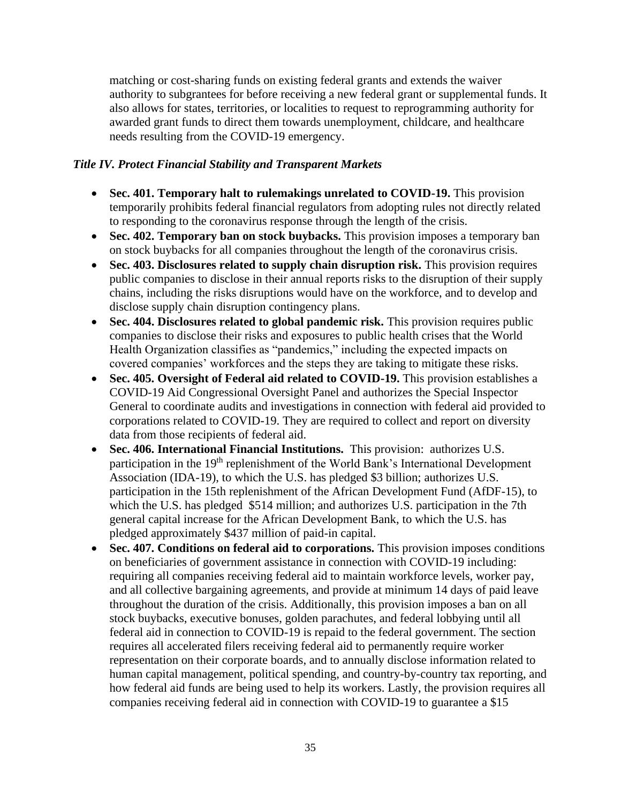matching or cost-sharing funds on existing federal grants and extends the waiver authority to subgrantees for before receiving a new federal grant or supplemental funds. It also allows for states, territories, or localities to request to reprogramming authority for awarded grant funds to direct them towards unemployment, childcare, and healthcare needs resulting from the COVID-19 emergency.

#### *Title IV. Protect Financial Stability and Transparent Markets*

- **Sec. 401. Temporary halt to rulemakings unrelated to COVID-19.** This provision temporarily prohibits federal financial regulators from adopting rules not directly related to responding to the coronavirus response through the length of the crisis.
- **Sec. 402. Temporary ban on stock buybacks.** This provision imposes a temporary ban on stock buybacks for all companies throughout the length of the coronavirus crisis.
- **Sec. 403. Disclosures related to supply chain disruption risk.** This provision requires public companies to disclose in their annual reports risks to the disruption of their supply chains, including the risks disruptions would have on the workforce, and to develop and disclose supply chain disruption contingency plans.
- **Sec. 404. Disclosures related to global pandemic risk.** This provision requires public companies to disclose their risks and exposures to public health crises that the World Health Organization classifies as "pandemics," including the expected impacts on covered companies' workforces and the steps they are taking to mitigate these risks.
- **Sec. 405. Oversight of Federal aid related to COVID-19.** This provision establishes a COVID-19 Aid Congressional Oversight Panel and authorizes the Special Inspector General to coordinate audits and investigations in connection with federal aid provided to corporations related to COVID-19. They are required to collect and report on diversity data from those recipients of federal aid.
- **Sec. 406. International Financial Institutions.** This provision: authorizes U.S. participation in the 19<sup>th</sup> replenishment of the World Bank's International Development Association (IDA-19), to which the U.S. has pledged \$3 billion; authorizes U.S. participation in the 15th replenishment of the African Development Fund (AfDF-15), to which the U.S. has pledged \$514 million; and authorizes U.S. participation in the 7th general capital increase for the African Development Bank, to which the U.S. has pledged approximately \$437 million of paid-in capital.
- **Sec. 407. Conditions on federal aid to corporations.** This provision imposes conditions on beneficiaries of government assistance in connection with COVID-19 including: requiring all companies receiving federal aid to maintain workforce levels, worker pay, and all collective bargaining agreements, and provide at minimum 14 days of paid leave throughout the duration of the crisis. Additionally, this provision imposes a ban on all stock buybacks, executive bonuses, golden parachutes, and federal lobbying until all federal aid in connection to COVID-19 is repaid to the federal government. The section requires all accelerated filers receiving federal aid to permanently require worker representation on their corporate boards, and to annually disclose information related to human capital management, political spending, and country-by-country tax reporting, and how federal aid funds are being used to help its workers. Lastly, the provision requires all companies receiving federal aid in connection with COVID-19 to guarantee a \$15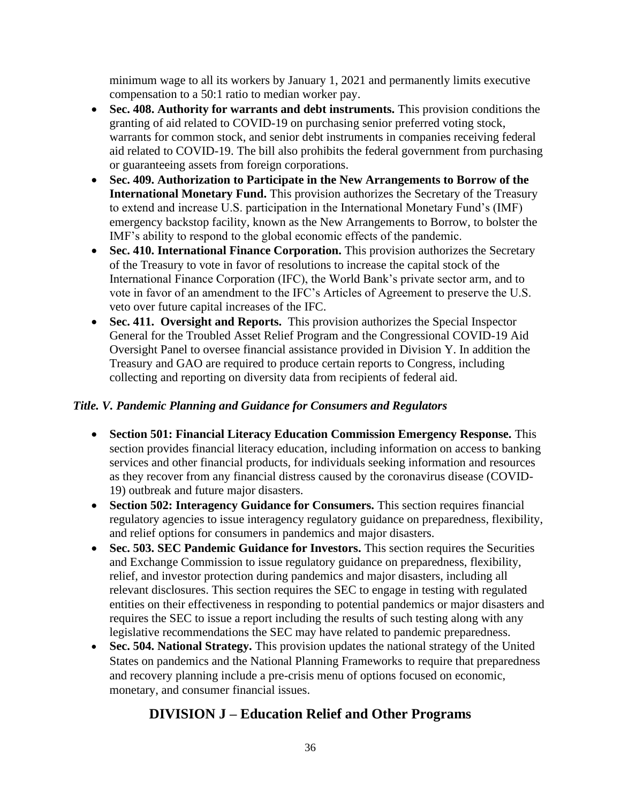minimum wage to all its workers by January 1, 2021 and permanently limits executive compensation to a 50:1 ratio to median worker pay.

- **Sec. 408. Authority for warrants and debt instruments.** This provision conditions the granting of aid related to COVID-19 on purchasing senior preferred voting stock, warrants for common stock, and senior debt instruments in companies receiving federal aid related to COVID-19. The bill also prohibits the federal government from purchasing or guaranteeing assets from foreign corporations.
- **Sec. 409. Authorization to Participate in the New Arrangements to Borrow of the International Monetary Fund.** This provision authorizes the Secretary of the Treasury to extend and increase U.S. participation in the International Monetary Fund's (IMF) emergency backstop facility, known as the New Arrangements to Borrow, to bolster the IMF's ability to respond to the global economic effects of the pandemic.
- **Sec. 410. International Finance Corporation.** This provision authorizes the Secretary of the Treasury to vote in favor of resolutions to increase the capital stock of the International Finance Corporation (IFC), the World Bank's private sector arm, and to vote in favor of an amendment to the IFC's Articles of Agreement to preserve the U.S. veto over future capital increases of the IFC.
- **Sec. 411. Oversight and Reports.** This provision authorizes the Special Inspector General for the Troubled Asset Relief Program and the Congressional COVID-19 Aid Oversight Panel to oversee financial assistance provided in Division Y. In addition the Treasury and GAO are required to produce certain reports to Congress, including collecting and reporting on diversity data from recipients of federal aid.

#### *Title. V. Pandemic Planning and Guidance for Consumers and Regulators*

- **Section 501: Financial Literacy Education Commission Emergency Response.** This section provides financial literacy education, including information on access to banking services and other financial products, for individuals seeking information and resources as they recover from any financial distress caused by the coronavirus disease (COVID-19) outbreak and future major disasters.
- **Section 502: Interagency Guidance for Consumers.** This section requires financial regulatory agencies to issue interagency regulatory guidance on preparedness, flexibility, and relief options for consumers in pandemics and major disasters.
- **Sec. 503. SEC Pandemic Guidance for Investors.** This section requires the Securities and Exchange Commission to issue regulatory guidance on preparedness, flexibility, relief, and investor protection during pandemics and major disasters, including all relevant disclosures. This section requires the SEC to engage in testing with regulated entities on their effectiveness in responding to potential pandemics or major disasters and requires the SEC to issue a report including the results of such testing along with any legislative recommendations the SEC may have related to pandemic preparedness.
- **Sec. 504. National Strategy.** This provision updates the national strategy of the United States on pandemics and the National Planning Frameworks to require that preparedness and recovery planning include a pre-crisis menu of options focused on economic, monetary, and consumer financial issues.

# **DIVISION J – Education Relief and Other Programs**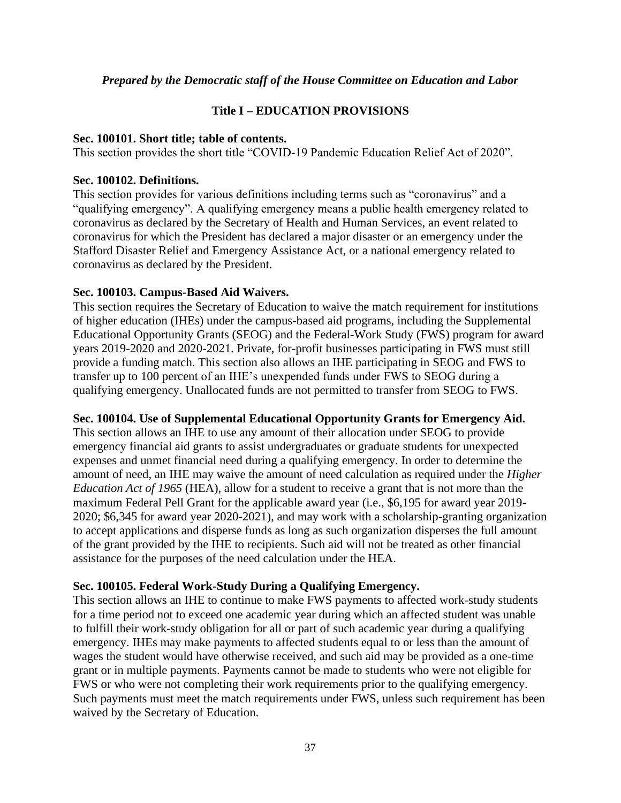#### *Prepared by the Democratic staff of the House Committee on Education and Labor*

#### **Title I – EDUCATION PROVISIONS**

#### **Sec. 100101. Short title; table of contents.**

This section provides the short title "COVID-19 Pandemic Education Relief Act of 2020".

#### **Sec. 100102. Definitions.**

This section provides for various definitions including terms such as "coronavirus" and a "qualifying emergency". A qualifying emergency means a public health emergency related to coronavirus as declared by the Secretary of Health and Human Services, an event related to coronavirus for which the President has declared a major disaster or an emergency under the Stafford Disaster Relief and Emergency Assistance Act, or a national emergency related to coronavirus as declared by the President.

#### **Sec. 100103. Campus-Based Aid Waivers.**

This section requires the Secretary of Education to waive the match requirement for institutions of higher education (IHEs) under the campus-based aid programs, including the Supplemental Educational Opportunity Grants (SEOG) and the Federal-Work Study (FWS) program for award years 2019-2020 and 2020-2021. Private, for-profit businesses participating in FWS must still provide a funding match. This section also allows an IHE participating in SEOG and FWS to transfer up to 100 percent of an IHE's unexpended funds under FWS to SEOG during a qualifying emergency. Unallocated funds are not permitted to transfer from SEOG to FWS.

#### **Sec. 100104. Use of Supplemental Educational Opportunity Grants for Emergency Aid.**

This section allows an IHE to use any amount of their allocation under SEOG to provide emergency financial aid grants to assist undergraduates or graduate students for unexpected expenses and unmet financial need during a qualifying emergency. In order to determine the amount of need, an IHE may waive the amount of need calculation as required under the *Higher Education Act of 1965* (HEA), allow for a student to receive a grant that is not more than the maximum Federal Pell Grant for the applicable award year (i.e., \$6,195 for award year 2019- 2020; \$6,345 for award year 2020-2021), and may work with a scholarship-granting organization to accept applications and disperse funds as long as such organization disperses the full amount of the grant provided by the IHE to recipients. Such aid will not be treated as other financial assistance for the purposes of the need calculation under the HEA.

#### **Sec. 100105. Federal Work-Study During a Qualifying Emergency.**

This section allows an IHE to continue to make FWS payments to affected work-study students for a time period not to exceed one academic year during which an affected student was unable to fulfill their work-study obligation for all or part of such academic year during a qualifying emergency. IHEs may make payments to affected students equal to or less than the amount of wages the student would have otherwise received, and such aid may be provided as a one-time grant or in multiple payments. Payments cannot be made to students who were not eligible for FWS or who were not completing their work requirements prior to the qualifying emergency. Such payments must meet the match requirements under FWS, unless such requirement has been waived by the Secretary of Education.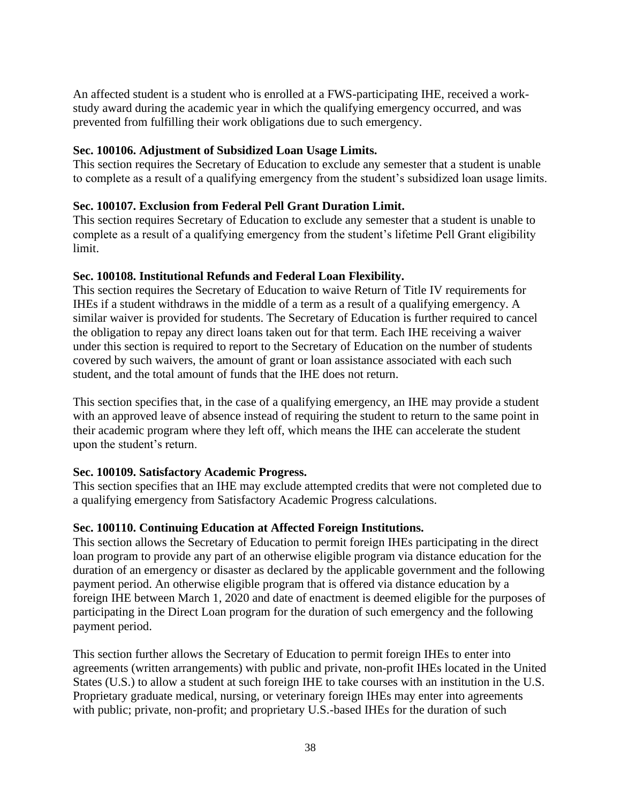An affected student is a student who is enrolled at a FWS-participating IHE, received a workstudy award during the academic year in which the qualifying emergency occurred, and was prevented from fulfilling their work obligations due to such emergency.

#### **Sec. 100106. Adjustment of Subsidized Loan Usage Limits.**

This section requires the Secretary of Education to exclude any semester that a student is unable to complete as a result of a qualifying emergency from the student's subsidized loan usage limits.

#### **Sec. 100107. Exclusion from Federal Pell Grant Duration Limit.**

This section requires Secretary of Education to exclude any semester that a student is unable to complete as a result of a qualifying emergency from the student's lifetime Pell Grant eligibility limit.

#### **Sec. 100108. Institutional Refunds and Federal Loan Flexibility.**

This section requires the Secretary of Education to waive Return of Title IV requirements for IHEs if a student withdraws in the middle of a term as a result of a qualifying emergency. A similar waiver is provided for students. The Secretary of Education is further required to cancel the obligation to repay any direct loans taken out for that term. Each IHE receiving a waiver under this section is required to report to the Secretary of Education on the number of students covered by such waivers, the amount of grant or loan assistance associated with each such student, and the total amount of funds that the IHE does not return.

This section specifies that, in the case of a qualifying emergency, an IHE may provide a student with an approved leave of absence instead of requiring the student to return to the same point in their academic program where they left off, which means the IHE can accelerate the student upon the student's return.

#### **Sec. 100109. Satisfactory Academic Progress.**

This section specifies that an IHE may exclude attempted credits that were not completed due to a qualifying emergency from Satisfactory Academic Progress calculations.

#### **Sec. 100110. Continuing Education at Affected Foreign Institutions.**

This section allows the Secretary of Education to permit foreign IHEs participating in the direct loan program to provide any part of an otherwise eligible program via distance education for the duration of an emergency or disaster as declared by the applicable government and the following payment period. An otherwise eligible program that is offered via distance education by a foreign IHE between March 1, 2020 and date of enactment is deemed eligible for the purposes of participating in the Direct Loan program for the duration of such emergency and the following payment period.

This section further allows the Secretary of Education to permit foreign IHEs to enter into agreements (written arrangements) with public and private, non-profit IHEs located in the United States (U.S.) to allow a student at such foreign IHE to take courses with an institution in the U.S. Proprietary graduate medical, nursing, or veterinary foreign IHEs may enter into agreements with public; private, non-profit; and proprietary U.S.-based IHEs for the duration of such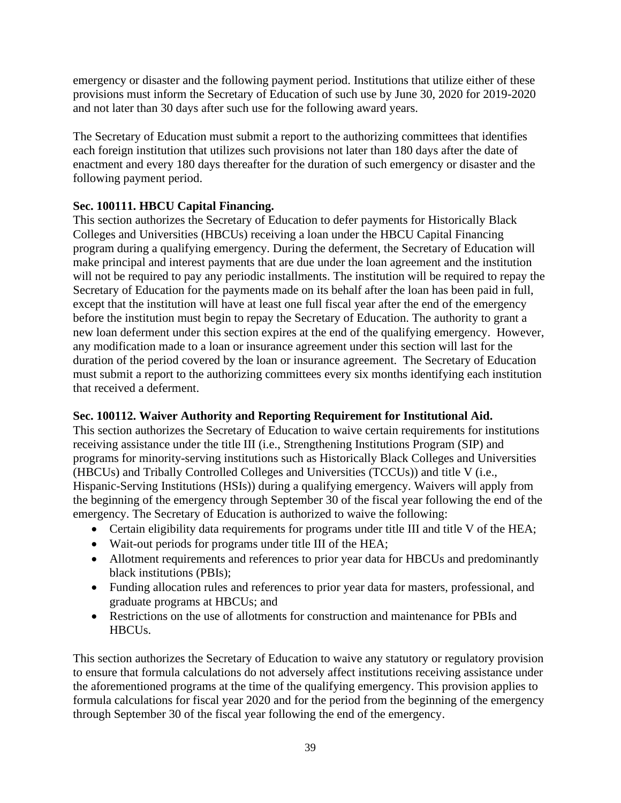emergency or disaster and the following payment period. Institutions that utilize either of these provisions must inform the Secretary of Education of such use by June 30, 2020 for 2019-2020 and not later than 30 days after such use for the following award years.

The Secretary of Education must submit a report to the authorizing committees that identifies each foreign institution that utilizes such provisions not later than 180 days after the date of enactment and every 180 days thereafter for the duration of such emergency or disaster and the following payment period.

#### **Sec. 100111. HBCU Capital Financing.**

This section authorizes the Secretary of Education to defer payments for Historically Black Colleges and Universities (HBCUs) receiving a loan under the HBCU Capital Financing program during a qualifying emergency. During the deferment, the Secretary of Education will make principal and interest payments that are due under the loan agreement and the institution will not be required to pay any periodic installments. The institution will be required to repay the Secretary of Education for the payments made on its behalf after the loan has been paid in full, except that the institution will have at least one full fiscal year after the end of the emergency before the institution must begin to repay the Secretary of Education. The authority to grant a new loan deferment under this section expires at the end of the qualifying emergency. However, any modification made to a loan or insurance agreement under this section will last for the duration of the period covered by the loan or insurance agreement. The Secretary of Education must submit a report to the authorizing committees every six months identifying each institution that received a deferment.

#### **Sec. 100112. Waiver Authority and Reporting Requirement for Institutional Aid.**

This section authorizes the Secretary of Education to waive certain requirements for institutions receiving assistance under the title III (i.e., Strengthening Institutions Program (SIP) and programs for minority-serving institutions such as Historically Black Colleges and Universities (HBCUs) and Tribally Controlled Colleges and Universities (TCCUs)) and title V (i.e., Hispanic-Serving Institutions (HSIs)) during a qualifying emergency. Waivers will apply from the beginning of the emergency through September 30 of the fiscal year following the end of the emergency. The Secretary of Education is authorized to waive the following:

- Certain eligibility data requirements for programs under title III and title V of the HEA;
- Wait-out periods for programs under title III of the HEA;
- Allotment requirements and references to prior year data for HBCUs and predominantly black institutions (PBIs);
- Funding allocation rules and references to prior year data for masters, professional, and graduate programs at HBCUs; and
- Restrictions on the use of allotments for construction and maintenance for PBIs and HBCUs.

This section authorizes the Secretary of Education to waive any statutory or regulatory provision to ensure that formula calculations do not adversely affect institutions receiving assistance under the aforementioned programs at the time of the qualifying emergency. This provision applies to formula calculations for fiscal year 2020 and for the period from the beginning of the emergency through September 30 of the fiscal year following the end of the emergency.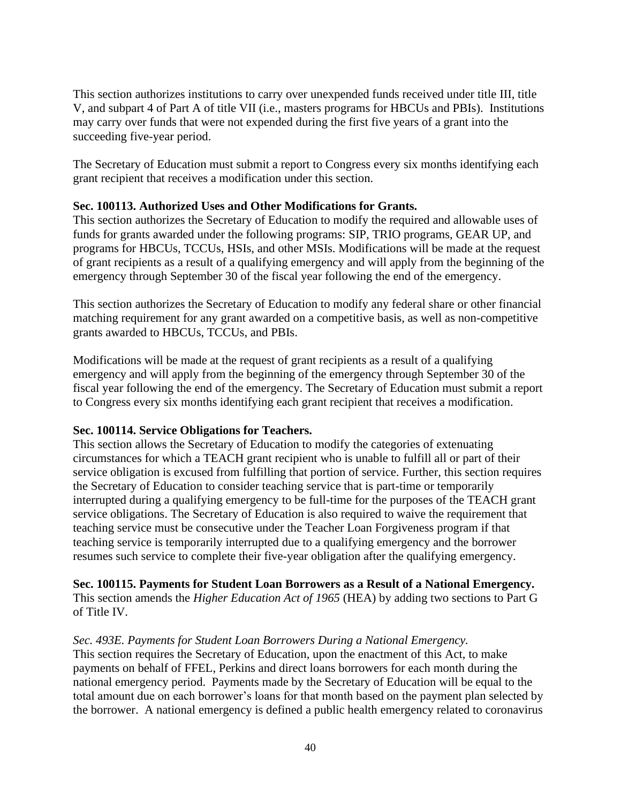This section authorizes institutions to carry over unexpended funds received under title III, title V, and subpart 4 of Part A of title VII (i.e., masters programs for HBCUs and PBIs). Institutions may carry over funds that were not expended during the first five years of a grant into the succeeding five-year period.

The Secretary of Education must submit a report to Congress every six months identifying each grant recipient that receives a modification under this section.

#### **Sec. 100113. Authorized Uses and Other Modifications for Grants.**

This section authorizes the Secretary of Education to modify the required and allowable uses of funds for grants awarded under the following programs: SIP, TRIO programs, GEAR UP, and programs for HBCUs, TCCUs, HSIs, and other MSIs. Modifications will be made at the request of grant recipients as a result of a qualifying emergency and will apply from the beginning of the emergency through September 30 of the fiscal year following the end of the emergency.

This section authorizes the Secretary of Education to modify any federal share or other financial matching requirement for any grant awarded on a competitive basis, as well as non-competitive grants awarded to HBCUs, TCCUs, and PBIs.

Modifications will be made at the request of grant recipients as a result of a qualifying emergency and will apply from the beginning of the emergency through September 30 of the fiscal year following the end of the emergency. The Secretary of Education must submit a report to Congress every six months identifying each grant recipient that receives a modification.

#### **Sec. 100114. Service Obligations for Teachers.**

This section allows the Secretary of Education to modify the categories of extenuating circumstances for which a TEACH grant recipient who is unable to fulfill all or part of their service obligation is excused from fulfilling that portion of service. Further, this section requires the Secretary of Education to consider teaching service that is part-time or temporarily interrupted during a qualifying emergency to be full-time for the purposes of the TEACH grant service obligations. The Secretary of Education is also required to waive the requirement that teaching service must be consecutive under the Teacher Loan Forgiveness program if that teaching service is temporarily interrupted due to a qualifying emergency and the borrower resumes such service to complete their five-year obligation after the qualifying emergency.

# **Sec. 100115. Payments for Student Loan Borrowers as a Result of a National Emergency.**

This section amends the *Higher Education Act of 1965* (HEA) by adding two sections to Part G of Title IV.

#### *Sec. 493E. Payments for Student Loan Borrowers During a National Emergency.*

This section requires the Secretary of Education, upon the enactment of this Act, to make payments on behalf of FFEL, Perkins and direct loans borrowers for each month during the national emergency period. Payments made by the Secretary of Education will be equal to the total amount due on each borrower's loans for that month based on the payment plan selected by the borrower. A national emergency is defined a public health emergency related to coronavirus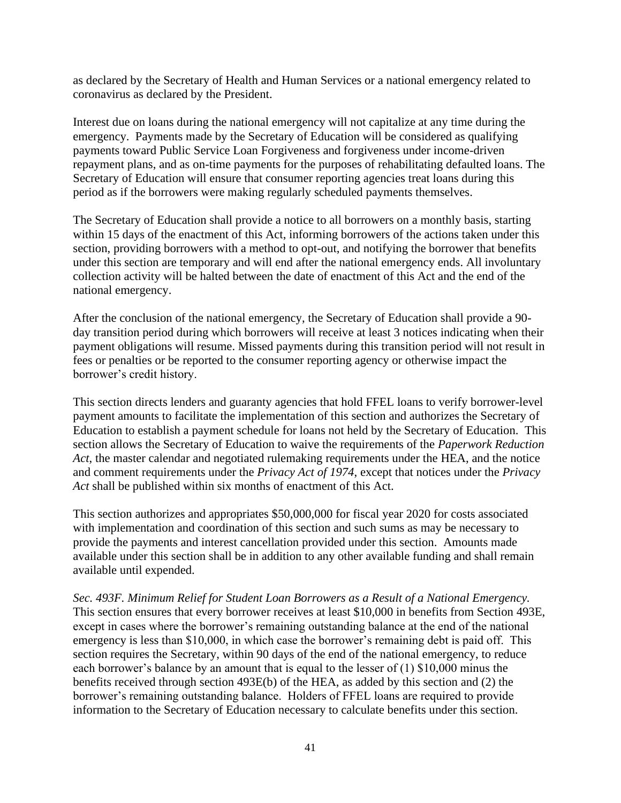as declared by the Secretary of Health and Human Services or a national emergency related to coronavirus as declared by the President.

Interest due on loans during the national emergency will not capitalize at any time during the emergency. Payments made by the Secretary of Education will be considered as qualifying payments toward Public Service Loan Forgiveness and forgiveness under income-driven repayment plans, and as on-time payments for the purposes of rehabilitating defaulted loans. The Secretary of Education will ensure that consumer reporting agencies treat loans during this period as if the borrowers were making regularly scheduled payments themselves.

The Secretary of Education shall provide a notice to all borrowers on a monthly basis, starting within 15 days of the enactment of this Act, informing borrowers of the actions taken under this section, providing borrowers with a method to opt-out, and notifying the borrower that benefits under this section are temporary and will end after the national emergency ends. All involuntary collection activity will be halted between the date of enactment of this Act and the end of the national emergency.

After the conclusion of the national emergency, the Secretary of Education shall provide a 90 day transition period during which borrowers will receive at least 3 notices indicating when their payment obligations will resume. Missed payments during this transition period will not result in fees or penalties or be reported to the consumer reporting agency or otherwise impact the borrower's credit history.

This section directs lenders and guaranty agencies that hold FFEL loans to verify borrower-level payment amounts to facilitate the implementation of this section and authorizes the Secretary of Education to establish a payment schedule for loans not held by the Secretary of Education. This section allows the Secretary of Education to waive the requirements of the *Paperwork Reduction Act*, the master calendar and negotiated rulemaking requirements under the HEA, and the notice and comment requirements under the *Privacy Act of 1974*, except that notices under the *Privacy Act* shall be published within six months of enactment of this Act.

This section authorizes and appropriates \$50,000,000 for fiscal year 2020 for costs associated with implementation and coordination of this section and such sums as may be necessary to provide the payments and interest cancellation provided under this section. Amounts made available under this section shall be in addition to any other available funding and shall remain available until expended.

*Sec. 493F. Minimum Relief for Student Loan Borrowers as a Result of a National Emergency.* This section ensures that every borrower receives at least \$10,000 in benefits from Section 493E, except in cases where the borrower's remaining outstanding balance at the end of the national emergency is less than \$10,000, in which case the borrower's remaining debt is paid off. This section requires the Secretary, within 90 days of the end of the national emergency, to reduce each borrower's balance by an amount that is equal to the lesser of (1) \$10,000 minus the benefits received through section 493E(b) of the HEA, as added by this section and (2) the borrower's remaining outstanding balance. Holders of FFEL loans are required to provide information to the Secretary of Education necessary to calculate benefits under this section.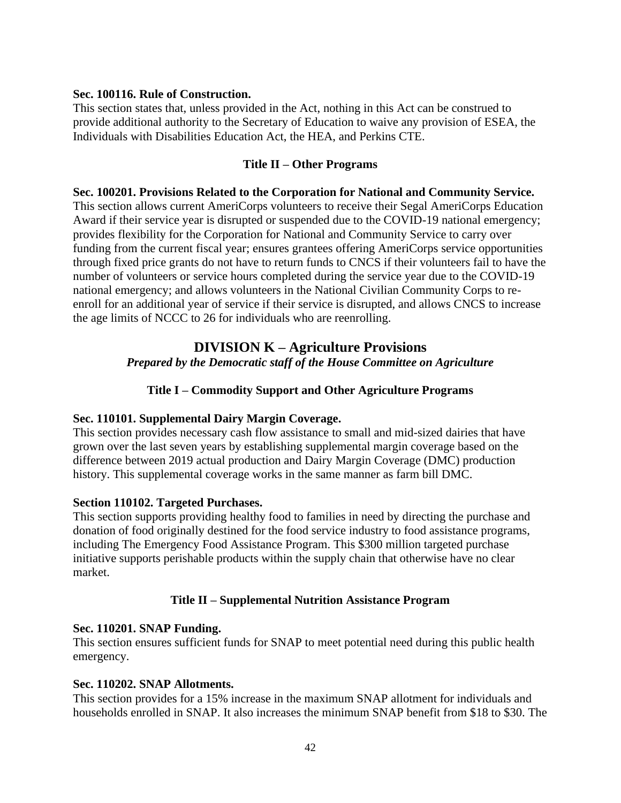#### **Sec. 100116. Rule of Construction.**

This section states that, unless provided in the Act, nothing in this Act can be construed to provide additional authority to the Secretary of Education to waive any provision of ESEA, the Individuals with Disabilities Education Act, the HEA, and Perkins CTE.

#### **Title II – Other Programs**

#### **Sec. 100201. Provisions Related to the Corporation for National and Community Service.**

This section allows current AmeriCorps volunteers to receive their Segal AmeriCorps Education Award if their service year is disrupted or suspended due to the COVID-19 national emergency; provides flexibility for the Corporation for National and Community Service to carry over funding from the current fiscal year; ensures grantees offering AmeriCorps service opportunities through fixed price grants do not have to return funds to CNCS if their volunteers fail to have the number of volunteers or service hours completed during the service year due to the COVID-19 national emergency; and allows volunteers in the National Civilian Community Corps to reenroll for an additional year of service if their service is disrupted, and allows CNCS to increase the age limits of NCCC to 26 for individuals who are reenrolling.

## **DIVISION K – Agriculture Provisions**

*Prepared by the Democratic staff of the House Committee on Agriculture*

#### **Title I – Commodity Support and Other Agriculture Programs**

#### **Sec. 110101. Supplemental Dairy Margin Coverage.**

This section provides necessary cash flow assistance to small and mid-sized dairies that have grown over the last seven years by establishing supplemental margin coverage based on the difference between 2019 actual production and Dairy Margin Coverage (DMC) production history. This supplemental coverage works in the same manner as farm bill DMC.

#### **Section 110102. Targeted Purchases.**

This section supports providing healthy food to families in need by directing the purchase and donation of food originally destined for the food service industry to food assistance programs, including The Emergency Food Assistance Program. This \$300 million targeted purchase initiative supports perishable products within the supply chain that otherwise have no clear market.

#### **Title II – Supplemental Nutrition Assistance Program**

#### **Sec. 110201. SNAP Funding.**

This section ensures sufficient funds for SNAP to meet potential need during this public health emergency.

#### **Sec. 110202. SNAP Allotments.**

This section provides for a 15% increase in the maximum SNAP allotment for individuals and households enrolled in SNAP. It also increases the minimum SNAP benefit from \$18 to \$30. The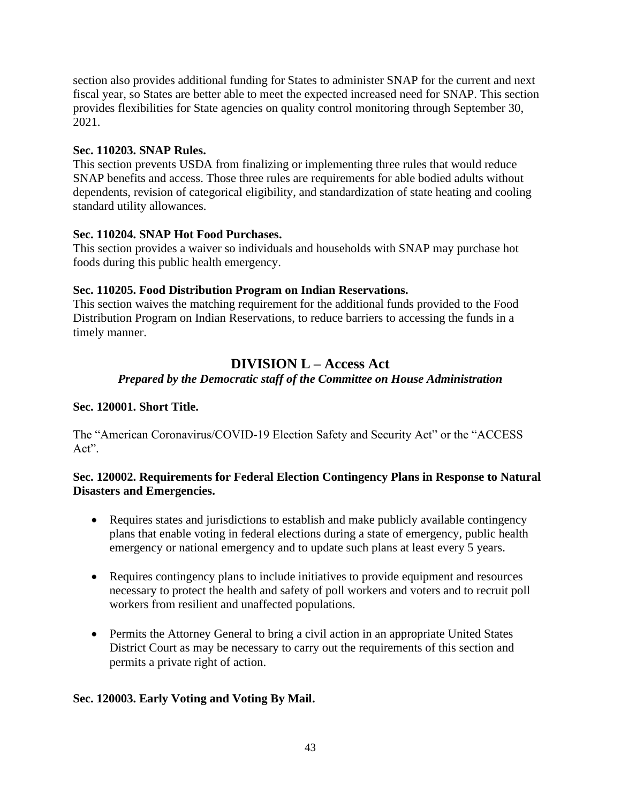section also provides additional funding for States to administer SNAP for the current and next fiscal year, so States are better able to meet the expected increased need for SNAP. This section provides flexibilities for State agencies on quality control monitoring through September 30, 2021.

#### **Sec. 110203. SNAP Rules.**

This section prevents USDA from finalizing or implementing three rules that would reduce SNAP benefits and access. Those three rules are requirements for able bodied adults without dependents, revision of categorical eligibility, and standardization of state heating and cooling standard utility allowances.

#### **Sec. 110204. SNAP Hot Food Purchases.**

This section provides a waiver so individuals and households with SNAP may purchase hot foods during this public health emergency.

#### **Sec. 110205. Food Distribution Program on Indian Reservations.**

This section waives the matching requirement for the additional funds provided to the Food Distribution Program on Indian Reservations, to reduce barriers to accessing the funds in a timely manner.

#### **DIVISION L – Access Act** *Prepared by the Democratic staff of the Committee on House Administration*

#### **Sec. 120001. Short Title.**

The "American Coronavirus/COVID-19 Election Safety and Security Act" or the "ACCESS Act".

#### **Sec. 120002. Requirements for Federal Election Contingency Plans in Response to Natural Disasters and Emergencies.**

- Requires states and jurisdictions to establish and make publicly available contingency plans that enable voting in federal elections during a state of emergency, public health emergency or national emergency and to update such plans at least every 5 years.
- Requires contingency plans to include initiatives to provide equipment and resources necessary to protect the health and safety of poll workers and voters and to recruit poll workers from resilient and unaffected populations.
- Permits the Attorney General to bring a civil action in an appropriate United States District Court as may be necessary to carry out the requirements of this section and permits a private right of action.

#### **Sec. 120003. Early Voting and Voting By Mail.**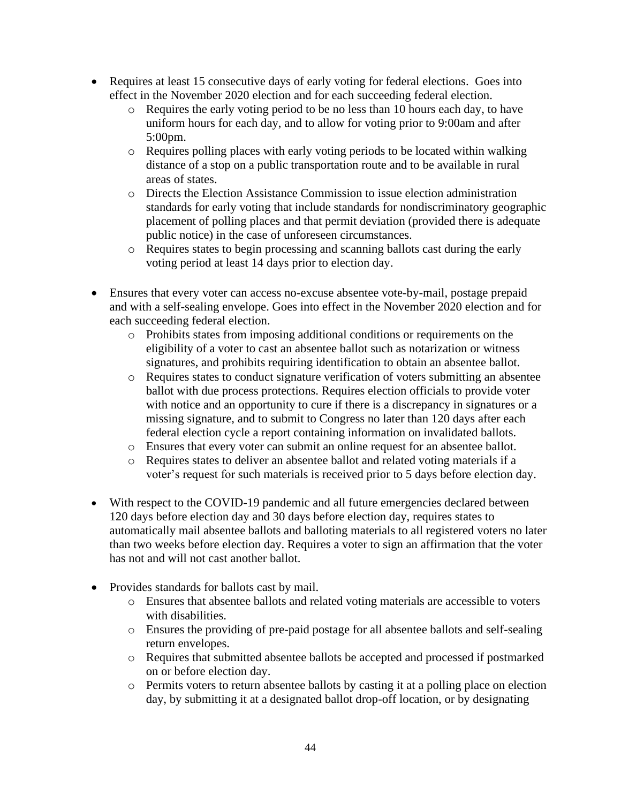- Requires at least 15 consecutive days of early voting for federal elections. Goes into effect in the November 2020 election and for each succeeding federal election.
	- o Requires the early voting period to be no less than 10 hours each day, to have uniform hours for each day, and to allow for voting prior to 9:00am and after 5:00pm.
	- o Requires polling places with early voting periods to be located within walking distance of a stop on a public transportation route and to be available in rural areas of states.
	- o Directs the Election Assistance Commission to issue election administration standards for early voting that include standards for nondiscriminatory geographic placement of polling places and that permit deviation (provided there is adequate public notice) in the case of unforeseen circumstances.
	- o Requires states to begin processing and scanning ballots cast during the early voting period at least 14 days prior to election day.
- Ensures that every voter can access no-excuse absentee vote-by-mail, postage prepaid and with a self-sealing envelope. Goes into effect in the November 2020 election and for each succeeding federal election.
	- o Prohibits states from imposing additional conditions or requirements on the eligibility of a voter to cast an absentee ballot such as notarization or witness signatures, and prohibits requiring identification to obtain an absentee ballot.
	- o Requires states to conduct signature verification of voters submitting an absentee ballot with due process protections. Requires election officials to provide voter with notice and an opportunity to cure if there is a discrepancy in signatures or a missing signature, and to submit to Congress no later than 120 days after each federal election cycle a report containing information on invalidated ballots.
	- o Ensures that every voter can submit an online request for an absentee ballot.
	- o Requires states to deliver an absentee ballot and related voting materials if a voter's request for such materials is received prior to 5 days before election day.
- With respect to the COVID-19 pandemic and all future emergencies declared between 120 days before election day and 30 days before election day, requires states to automatically mail absentee ballots and balloting materials to all registered voters no later than two weeks before election day. Requires a voter to sign an affirmation that the voter has not and will not cast another ballot.
- Provides standards for ballots cast by mail.
	- o Ensures that absentee ballots and related voting materials are accessible to voters with disabilities.
	- o Ensures the providing of pre-paid postage for all absentee ballots and self-sealing return envelopes.
	- o Requires that submitted absentee ballots be accepted and processed if postmarked on or before election day.
	- o Permits voters to return absentee ballots by casting it at a polling place on election day, by submitting it at a designated ballot drop-off location, or by designating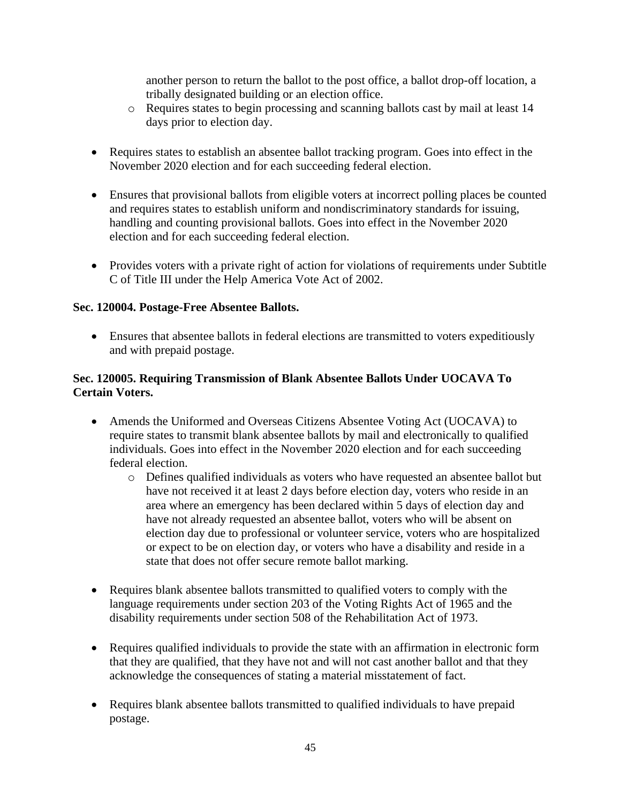another person to return the ballot to the post office, a ballot drop-off location, a tribally designated building or an election office.

- o Requires states to begin processing and scanning ballots cast by mail at least 14 days prior to election day.
- Requires states to establish an absentee ballot tracking program. Goes into effect in the November 2020 election and for each succeeding federal election.
- Ensures that provisional ballots from eligible voters at incorrect polling places be counted and requires states to establish uniform and nondiscriminatory standards for issuing, handling and counting provisional ballots. Goes into effect in the November 2020 election and for each succeeding federal election.
- Provides voters with a private right of action for violations of requirements under Subtitle C of Title III under the Help America Vote Act of 2002.

#### **Sec. 120004. Postage-Free Absentee Ballots.**

• Ensures that absentee ballots in federal elections are transmitted to voters expeditiously and with prepaid postage.

#### **Sec. 120005. Requiring Transmission of Blank Absentee Ballots Under UOCAVA To Certain Voters.**

- Amends the Uniformed and Overseas Citizens Absentee Voting Act (UOCAVA) to require states to transmit blank absentee ballots by mail and electronically to qualified individuals. Goes into effect in the November 2020 election and for each succeeding federal election.
	- o Defines qualified individuals as voters who have requested an absentee ballot but have not received it at least 2 days before election day, voters who reside in an area where an emergency has been declared within 5 days of election day and have not already requested an absentee ballot, voters who will be absent on election day due to professional or volunteer service, voters who are hospitalized or expect to be on election day, or voters who have a disability and reside in a state that does not offer secure remote ballot marking.
- Requires blank absentee ballots transmitted to qualified voters to comply with the language requirements under section 203 of the Voting Rights Act of 1965 and the disability requirements under section 508 of the Rehabilitation Act of 1973.
- Requires qualified individuals to provide the state with an affirmation in electronic form that they are qualified, that they have not and will not cast another ballot and that they acknowledge the consequences of stating a material misstatement of fact.
- Requires blank absentee ballots transmitted to qualified individuals to have prepaid postage.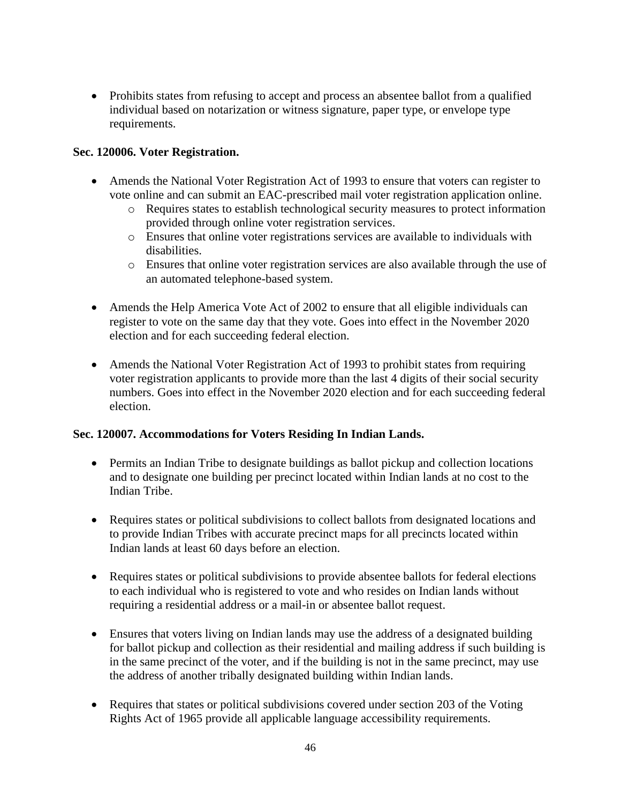• Prohibits states from refusing to accept and process an absentee ballot from a qualified individual based on notarization or witness signature, paper type, or envelope type requirements.

#### **Sec. 120006. Voter Registration.**

- Amends the National Voter Registration Act of 1993 to ensure that voters can register to vote online and can submit an EAC-prescribed mail voter registration application online.
	- o Requires states to establish technological security measures to protect information provided through online voter registration services.
	- o Ensures that online voter registrations services are available to individuals with disabilities.
	- o Ensures that online voter registration services are also available through the use of an automated telephone-based system.
- Amends the Help America Vote Act of 2002 to ensure that all eligible individuals can register to vote on the same day that they vote. Goes into effect in the November 2020 election and for each succeeding federal election.
- Amends the National Voter Registration Act of 1993 to prohibit states from requiring voter registration applicants to provide more than the last 4 digits of their social security numbers. Goes into effect in the November 2020 election and for each succeeding federal election.

#### **Sec. 120007. Accommodations for Voters Residing In Indian Lands.**

- Permits an Indian Tribe to designate buildings as ballot pickup and collection locations and to designate one building per precinct located within Indian lands at no cost to the Indian Tribe.
- Requires states or political subdivisions to collect ballots from designated locations and to provide Indian Tribes with accurate precinct maps for all precincts located within Indian lands at least 60 days before an election.
- Requires states or political subdivisions to provide absentee ballots for federal elections to each individual who is registered to vote and who resides on Indian lands without requiring a residential address or a mail-in or absentee ballot request.
- Ensures that voters living on Indian lands may use the address of a designated building for ballot pickup and collection as their residential and mailing address if such building is in the same precinct of the voter, and if the building is not in the same precinct, may use the address of another tribally designated building within Indian lands.
- Requires that states or political subdivisions covered under section 203 of the Voting Rights Act of 1965 provide all applicable language accessibility requirements.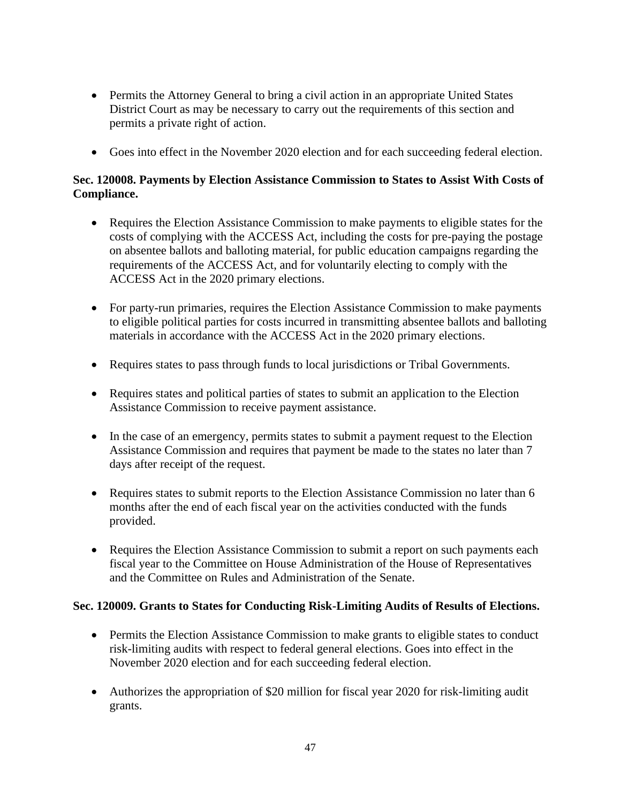- Permits the Attorney General to bring a civil action in an appropriate United States District Court as may be necessary to carry out the requirements of this section and permits a private right of action.
- Goes into effect in the November 2020 election and for each succeeding federal election.

#### **Sec. 120008. Payments by Election Assistance Commission to States to Assist With Costs of Compliance.**

- Requires the Election Assistance Commission to make payments to eligible states for the costs of complying with the ACCESS Act, including the costs for pre-paying the postage on absentee ballots and balloting material, for public education campaigns regarding the requirements of the ACCESS Act, and for voluntarily electing to comply with the ACCESS Act in the 2020 primary elections.
- For party-run primaries, requires the Election Assistance Commission to make payments to eligible political parties for costs incurred in transmitting absentee ballots and balloting materials in accordance with the ACCESS Act in the 2020 primary elections.
- Requires states to pass through funds to local jurisdictions or Tribal Governments.
- Requires states and political parties of states to submit an application to the Election Assistance Commission to receive payment assistance.
- In the case of an emergency, permits states to submit a payment request to the Election Assistance Commission and requires that payment be made to the states no later than 7 days after receipt of the request.
- Requires states to submit reports to the Election Assistance Commission no later than 6 months after the end of each fiscal year on the activities conducted with the funds provided.
- Requires the Election Assistance Commission to submit a report on such payments each fiscal year to the Committee on House Administration of the House of Representatives and the Committee on Rules and Administration of the Senate.

#### **Sec. 120009. Grants to States for Conducting Risk-Limiting Audits of Results of Elections.**

- Permits the Election Assistance Commission to make grants to eligible states to conduct risk-limiting audits with respect to federal general elections. Goes into effect in the November 2020 election and for each succeeding federal election.
- Authorizes the appropriation of \$20 million for fiscal year 2020 for risk-limiting audit grants.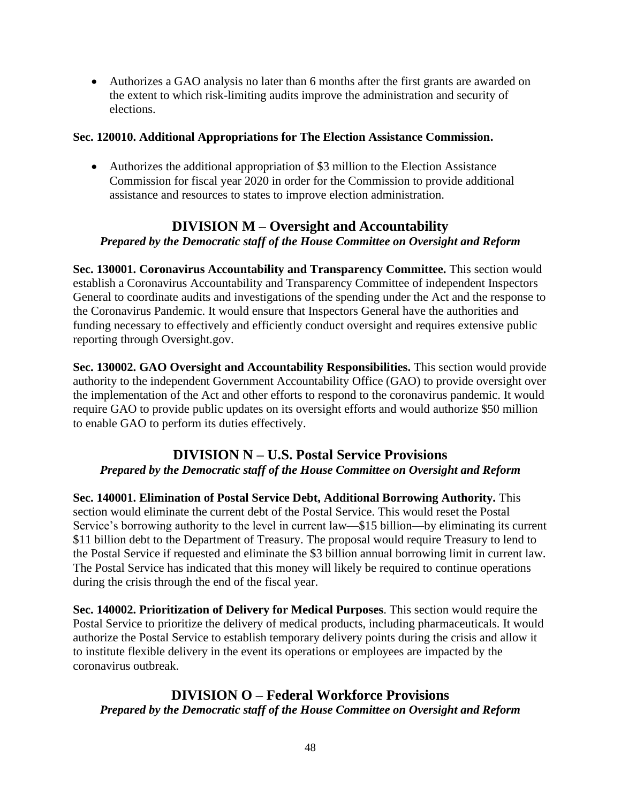• Authorizes a GAO analysis no later than 6 months after the first grants are awarded on the extent to which risk-limiting audits improve the administration and security of elections.

#### **Sec. 120010. Additional Appropriations for The Election Assistance Commission.**

• Authorizes the additional appropriation of \$3 million to the Election Assistance Commission for fiscal year 2020 in order for the Commission to provide additional assistance and resources to states to improve election administration.

## **DIVISION M – Oversight and Accountability** *Prepared by the Democratic staff of the House Committee on Oversight and Reform*

**Sec. 130001. Coronavirus Accountability and Transparency Committee.** This section would establish a Coronavirus Accountability and Transparency Committee of independent Inspectors General to coordinate audits and investigations of the spending under the Act and the response to the Coronavirus Pandemic. It would ensure that Inspectors General have the authorities and funding necessary to effectively and efficiently conduct oversight and requires extensive public reporting through Oversight.gov.

**Sec. 130002. GAO Oversight and Accountability Responsibilities.** This section would provide authority to the independent Government Accountability Office (GAO) to provide oversight over the implementation of the Act and other efforts to respond to the coronavirus pandemic. It would require GAO to provide public updates on its oversight efforts and would authorize \$50 million to enable GAO to perform its duties effectively.

#### **DIVISION N – U.S. Postal Service Provisions** *Prepared by the Democratic staff of the House Committee on Oversight and Reform*

**Sec. 140001. Elimination of Postal Service Debt, Additional Borrowing Authority.** This section would eliminate the current debt of the Postal Service. This would reset the Postal Service's borrowing authority to the level in current law—\$15 billion—by eliminating its current \$11 billion debt to the Department of Treasury. The proposal would require Treasury to lend to the Postal Service if requested and eliminate the \$3 billion annual borrowing limit in current law. The Postal Service has indicated that this money will likely be required to continue operations during the crisis through the end of the fiscal year.

**Sec. 140002. Prioritization of Delivery for Medical Purposes**. This section would require the Postal Service to prioritize the delivery of medical products, including pharmaceuticals. It would authorize the Postal Service to establish temporary delivery points during the crisis and allow it to institute flexible delivery in the event its operations or employees are impacted by the coronavirus outbreak.

#### **DIVISION O – Federal Workforce Provisions** *Prepared by the Democratic staff of the House Committee on Oversight and Reform*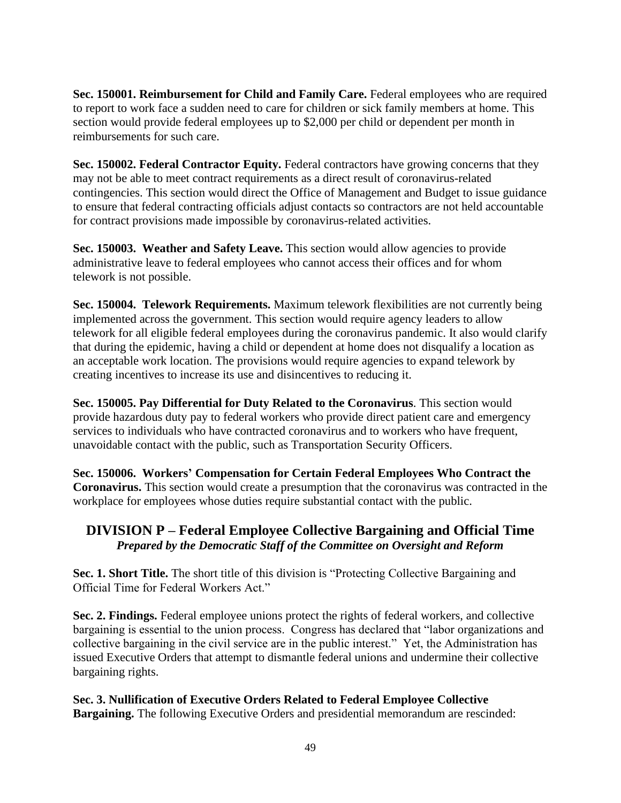**Sec. 150001. Reimbursement for Child and Family Care.** Federal employees who are required to report to work face a sudden need to care for children or sick family members at home. This section would provide federal employees up to \$2,000 per child or dependent per month in reimbursements for such care.

**Sec. 150002. Federal Contractor Equity.** Federal contractors have growing concerns that they may not be able to meet contract requirements as a direct result of coronavirus-related contingencies. This section would direct the Office of Management and Budget to issue guidance to ensure that federal contracting officials adjust contacts so contractors are not held accountable for contract provisions made impossible by coronavirus-related activities.

**Sec. 150003. Weather and Safety Leave.** This section would allow agencies to provide administrative leave to federal employees who cannot access their offices and for whom telework is not possible.

**Sec. 150004. Telework Requirements.** Maximum telework flexibilities are not currently being implemented across the government. This section would require agency leaders to allow telework for all eligible federal employees during the coronavirus pandemic. It also would clarify that during the epidemic, having a child or dependent at home does not disqualify a location as an acceptable work location. The provisions would require agencies to expand telework by creating incentives to increase its use and disincentives to reducing it.

**Sec. 150005. Pay Differential for Duty Related to the Coronavirus**. This section would provide hazardous duty pay to federal workers who provide direct patient care and emergency services to individuals who have contracted coronavirus and to workers who have frequent, unavoidable contact with the public, such as Transportation Security Officers.

**Sec. 150006. Workers' Compensation for Certain Federal Employees Who Contract the Coronavirus.** This section would create a presumption that the coronavirus was contracted in the workplace for employees whose duties require substantial contact with the public.

## **DIVISION P – Federal Employee Collective Bargaining and Official Time** *Prepared by the Democratic Staff of the Committee on Oversight and Reform*

**Sec. 1. Short Title.** The short title of this division is "Protecting Collective Bargaining and Official Time for Federal Workers Act."

**Sec. 2. Findings.** Federal employee unions protect the rights of federal workers, and collective bargaining is essential to the union process. Congress has declared that "labor organizations and collective bargaining in the civil service are in the public interest." Yet, the Administration has issued Executive Orders that attempt to dismantle federal unions and undermine their collective bargaining rights.

**Sec. 3. Nullification of Executive Orders Related to Federal Employee Collective Bargaining.** The following Executive Orders and presidential memorandum are rescinded: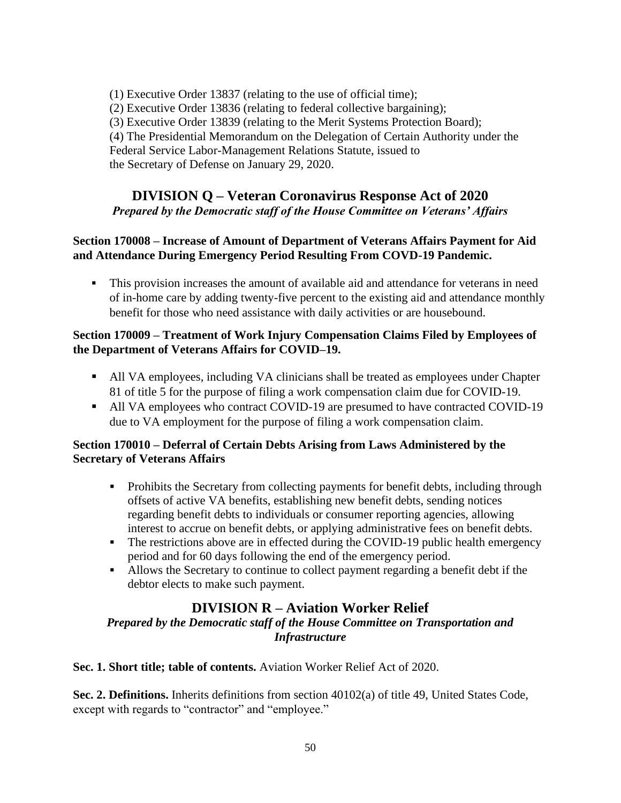(1) Executive Order 13837 (relating to the use of official time); (2) Executive Order 13836 (relating to federal collective bargaining); (3) Executive Order 13839 (relating to the Merit Systems Protection Board); (4) The Presidential Memorandum on the Delegation of Certain Authority under the Federal Service Labor-Management Relations Statute, issued to the Secretary of Defense on January 29, 2020.

## **DIVISION Q – Veteran Coronavirus Response Act of 2020**

*Prepared by the Democratic staff of the House Committee on Veterans' Affairs*

#### **Section 170008 – Increase of Amount of Department of Veterans Affairs Payment for Aid and Attendance During Emergency Period Resulting From COVD-19 Pandemic.**

**This provision increases the amount of available aid and attendance for veterans in need** of in-home care by adding twenty-five percent to the existing aid and attendance monthly benefit for those who need assistance with daily activities or are housebound.

#### **Section 170009 – Treatment of Work Injury Compensation Claims Filed by Employees of the Department of Veterans Affairs for COVID–19.**

- All VA employees, including VA clinicians shall be treated as employees under Chapter 81 of title 5 for the purpose of filing a work compensation claim due for COVID-19.
- All VA employees who contract COVID-19 are presumed to have contracted COVID-19 due to VA employment for the purpose of filing a work compensation claim.

#### **Section 170010 – Deferral of Certain Debts Arising from Laws Administered by the Secretary of Veterans Affairs**

- Prohibits the Secretary from collecting payments for benefit debts, including through offsets of active VA benefits, establishing new benefit debts, sending notices regarding benefit debts to individuals or consumer reporting agencies, allowing interest to accrue on benefit debts, or applying administrative fees on benefit debts.
- **•** The restrictions above are in effected during the COVID-19 public health emergency period and for 60 days following the end of the emergency period.
- Allows the Secretary to continue to collect payment regarding a benefit debt if the debtor elects to make such payment.

## **DIVISION R – Aviation Worker Relief**

*Prepared by the Democratic staff of the House Committee on Transportation and Infrastructure*

**Sec. 1. Short title; table of contents.** Aviation Worker Relief Act of 2020.

**Sec. 2. Definitions.** Inherits definitions from section 40102(a) of title 49, United States Code, except with regards to "contractor" and "employee."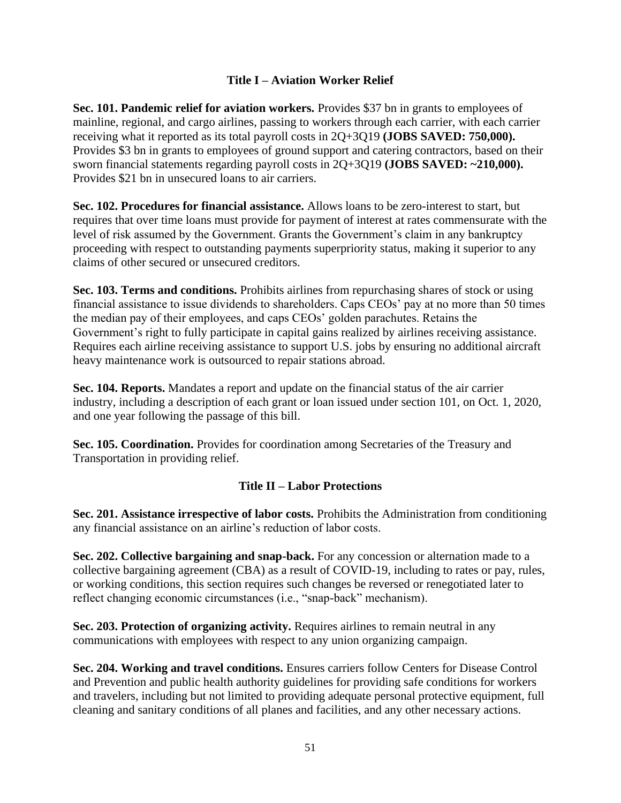#### **Title I – Aviation Worker Relief**

**Sec. 101. Pandemic relief for aviation workers.** Provides \$37 bn in grants to employees of mainline, regional, and cargo airlines, passing to workers through each carrier, with each carrier receiving what it reported as its total payroll costs in 2Q+3Q19 **(JOBS SAVED: 750,000).** Provides \$3 bn in grants to employees of ground support and catering contractors, based on their sworn financial statements regarding payroll costs in 2Q+3Q19 **(JOBS SAVED: ~210,000).** Provides \$21 bn in unsecured loans to air carriers.

**Sec. 102. Procedures for financial assistance.** Allows loans to be zero-interest to start, but requires that over time loans must provide for payment of interest at rates commensurate with the level of risk assumed by the Government. Grants the Government's claim in any bankruptcy proceeding with respect to outstanding payments superpriority status, making it superior to any claims of other secured or unsecured creditors.

**Sec. 103. Terms and conditions.** Prohibits airlines from repurchasing shares of stock or using financial assistance to issue dividends to shareholders. Caps CEOs' pay at no more than 50 times the median pay of their employees, and caps CEOs' golden parachutes. Retains the Government's right to fully participate in capital gains realized by airlines receiving assistance. Requires each airline receiving assistance to support U.S. jobs by ensuring no additional aircraft heavy maintenance work is outsourced to repair stations abroad.

**Sec. 104. Reports.** Mandates a report and update on the financial status of the air carrier industry, including a description of each grant or loan issued under section 101, on Oct. 1, 2020, and one year following the passage of this bill.

**Sec. 105. Coordination.** Provides for coordination among Secretaries of the Treasury and Transportation in providing relief.

#### **Title II – Labor Protections**

**Sec. 201. Assistance irrespective of labor costs.** Prohibits the Administration from conditioning any financial assistance on an airline's reduction of labor costs.

**Sec. 202. Collective bargaining and snap-back.** For any concession or alternation made to a collective bargaining agreement (CBA) as a result of COVID-19, including to rates or pay, rules, or working conditions, this section requires such changes be reversed or renegotiated later to reflect changing economic circumstances (i.e., "snap-back" mechanism).

**Sec. 203. Protection of organizing activity.** Requires airlines to remain neutral in any communications with employees with respect to any union organizing campaign.

**Sec. 204. Working and travel conditions.** Ensures carriers follow Centers for Disease Control and Prevention and public health authority guidelines for providing safe conditions for workers and travelers, including but not limited to providing adequate personal protective equipment, full cleaning and sanitary conditions of all planes and facilities, and any other necessary actions.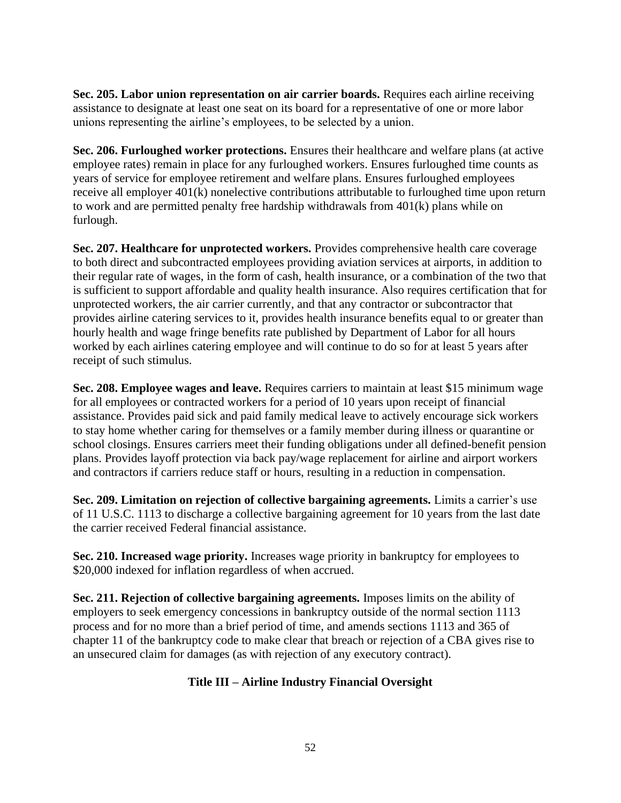**Sec. 205. Labor union representation on air carrier boards.** Requires each airline receiving assistance to designate at least one seat on its board for a representative of one or more labor unions representing the airline's employees, to be selected by a union.

**Sec. 206. Furloughed worker protections.** Ensures their healthcare and welfare plans (at active employee rates) remain in place for any furloughed workers. Ensures furloughed time counts as years of service for employee retirement and welfare plans. Ensures furloughed employees receive all employer 401(k) nonelective contributions attributable to furloughed time upon return to work and are permitted penalty free hardship withdrawals from 401(k) plans while on furlough.

**Sec. 207. Healthcare for unprotected workers.** Provides comprehensive health care coverage to both direct and subcontracted employees providing aviation services at airports, in addition to their regular rate of wages, in the form of cash, health insurance, or a combination of the two that is sufficient to support affordable and quality health insurance. Also requires certification that for unprotected workers, the air carrier currently, and that any contractor or subcontractor that provides airline catering services to it, provides health insurance benefits equal to or greater than hourly health and wage fringe benefits rate published by Department of Labor for all hours worked by each airlines catering employee and will continue to do so for at least 5 years after receipt of such stimulus.

**Sec. 208. Employee wages and leave.** Requires carriers to maintain at least \$15 minimum wage for all employees or contracted workers for a period of 10 years upon receipt of financial assistance. Provides paid sick and paid family medical leave to actively encourage sick workers to stay home whether caring for themselves or a family member during illness or quarantine or school closings. Ensures carriers meet their funding obligations under all defined-benefit pension plans. Provides layoff protection via back pay/wage replacement for airline and airport workers and contractors if carriers reduce staff or hours, resulting in a reduction in compensation.

**Sec. 209. Limitation on rejection of collective bargaining agreements.** Limits a carrier's use of 11 U.S.C. 1113 to discharge a collective bargaining agreement for 10 years from the last date the carrier received Federal financial assistance.

**Sec. 210. Increased wage priority.** Increases wage priority in bankruptcy for employees to \$20,000 indexed for inflation regardless of when accrued.

**Sec. 211. Rejection of collective bargaining agreements.** Imposes limits on the ability of employers to seek emergency concessions in bankruptcy outside of the normal section 1113 process and for no more than a brief period of time, and amends sections 1113 and 365 of chapter 11 of the bankruptcy code to make clear that breach or rejection of a CBA gives rise to an unsecured claim for damages (as with rejection of any executory contract).

#### **Title III – Airline Industry Financial Oversight**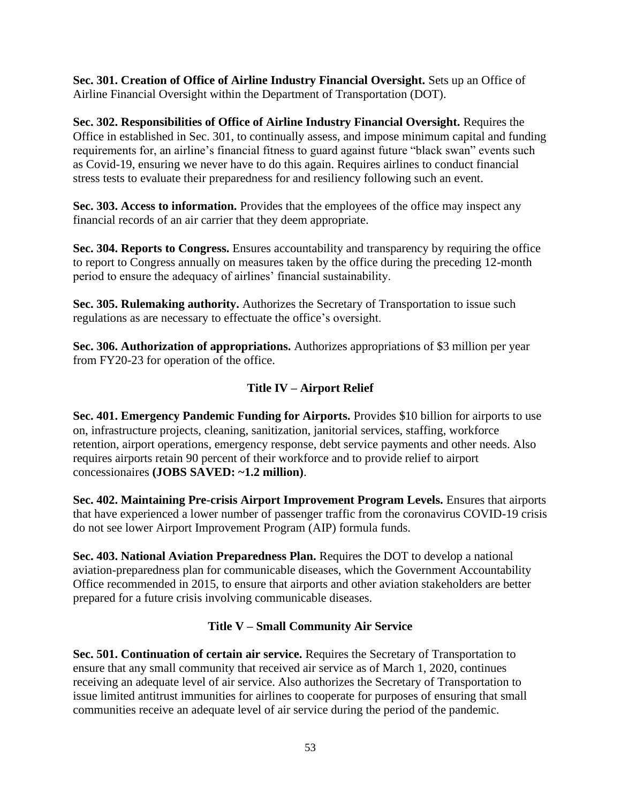**Sec. 301. Creation of Office of Airline Industry Financial Oversight.** Sets up an Office of Airline Financial Oversight within the Department of Transportation (DOT).

**Sec. 302. Responsibilities of Office of Airline Industry Financial Oversight.** Requires the Office in established in Sec. 301, to continually assess, and impose minimum capital and funding requirements for, an airline's financial fitness to guard against future "black swan" events such as Covid-19, ensuring we never have to do this again. Requires airlines to conduct financial stress tests to evaluate their preparedness for and resiliency following such an event.

**Sec. 303. Access to information.** Provides that the employees of the office may inspect any financial records of an air carrier that they deem appropriate.

**Sec. 304. Reports to Congress.** Ensures accountability and transparency by requiring the office to report to Congress annually on measures taken by the office during the preceding 12-month period to ensure the adequacy of airlines' financial sustainability.

**Sec. 305. Rulemaking authority.** Authorizes the Secretary of Transportation to issue such regulations as are necessary to effectuate the office's oversight.

**Sec. 306. Authorization of appropriations.** Authorizes appropriations of \$3 million per year from FY20-23 for operation of the office.

## **Title IV – Airport Relief**

**Sec. 401. Emergency Pandemic Funding for Airports.** Provides \$10 billion for airports to use on, infrastructure projects, cleaning, sanitization, janitorial services, staffing, workforce retention, airport operations, emergency response, debt service payments and other needs. Also requires airports retain 90 percent of their workforce and to provide relief to airport concessionaires **(JOBS SAVED: ~1.2 million)**.

**Sec. 402. Maintaining Pre-crisis Airport Improvement Program Levels.** Ensures that airports that have experienced a lower number of passenger traffic from the coronavirus COVID-19 crisis do not see lower Airport Improvement Program (AIP) formula funds.

**Sec. 403. National Aviation Preparedness Plan.** Requires the DOT to develop a national aviation-preparedness plan for communicable diseases, which the Government Accountability Office recommended in 2015, to ensure that airports and other aviation stakeholders are better prepared for a future crisis involving communicable diseases.

## **Title V – Small Community Air Service**

**Sec. 501. Continuation of certain air service.** Requires the Secretary of Transportation to ensure that any small community that received air service as of March 1, 2020, continues receiving an adequate level of air service. Also authorizes the Secretary of Transportation to issue limited antitrust immunities for airlines to cooperate for purposes of ensuring that small communities receive an adequate level of air service during the period of the pandemic.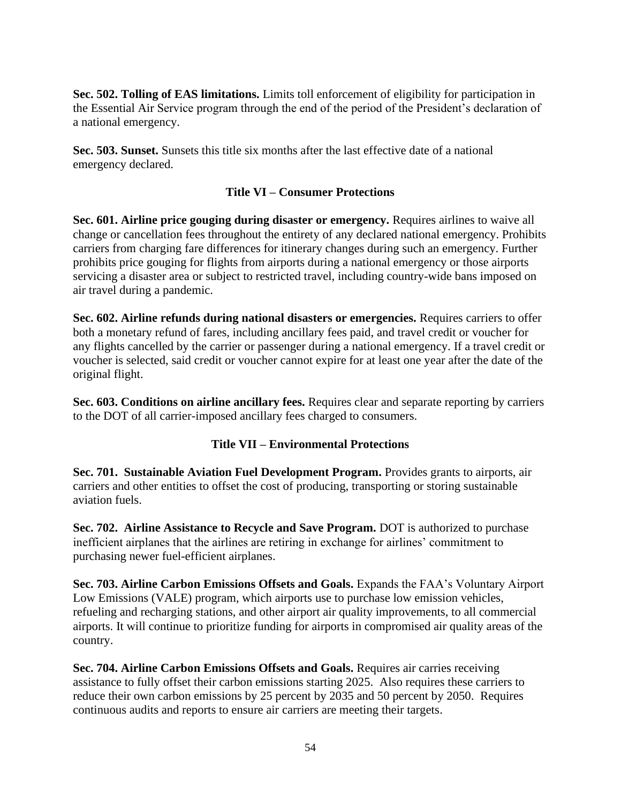**Sec. 502. Tolling of EAS limitations.** Limits toll enforcement of eligibility for participation in the Essential Air Service program through the end of the period of the President's declaration of a national emergency.

**Sec. 503. Sunset.** Sunsets this title six months after the last effective date of a national emergency declared.

#### **Title VI – Consumer Protections**

**Sec. 601. Airline price gouging during disaster or emergency.** Requires airlines to waive all change or cancellation fees throughout the entirety of any declared national emergency. Prohibits carriers from charging fare differences for itinerary changes during such an emergency. Further prohibits price gouging for flights from airports during a national emergency or those airports servicing a disaster area or subject to restricted travel, including country-wide bans imposed on air travel during a pandemic.

**Sec. 602. Airline refunds during national disasters or emergencies.** Requires carriers to offer both a monetary refund of fares, including ancillary fees paid, and travel credit or voucher for any flights cancelled by the carrier or passenger during a national emergency. If a travel credit or voucher is selected, said credit or voucher cannot expire for at least one year after the date of the original flight.

**Sec. 603. Conditions on airline ancillary fees.** Requires clear and separate reporting by carriers to the DOT of all carrier-imposed ancillary fees charged to consumers.

#### **Title VII – Environmental Protections**

**Sec. 701. Sustainable Aviation Fuel Development Program.** Provides grants to airports, air carriers and other entities to offset the cost of producing, transporting or storing sustainable aviation fuels.

**Sec. 702. Airline Assistance to Recycle and Save Program.** DOT is authorized to purchase inefficient airplanes that the airlines are retiring in exchange for airlines' commitment to purchasing newer fuel-efficient airplanes.

**Sec. 703. Airline Carbon Emissions Offsets and Goals.** Expands the FAA's Voluntary Airport Low Emissions (VALE) program, which airports use to purchase low emission vehicles, refueling and recharging stations, and other airport air quality improvements, to all commercial airports. It will continue to prioritize funding for airports in compromised air quality areas of the country.

**Sec. 704. Airline Carbon Emissions Offsets and Goals.** Requires air carries receiving assistance to fully offset their carbon emissions starting 2025. Also requires these carriers to reduce their own carbon emissions by 25 percent by 2035 and 50 percent by 2050. Requires continuous audits and reports to ensure air carriers are meeting their targets.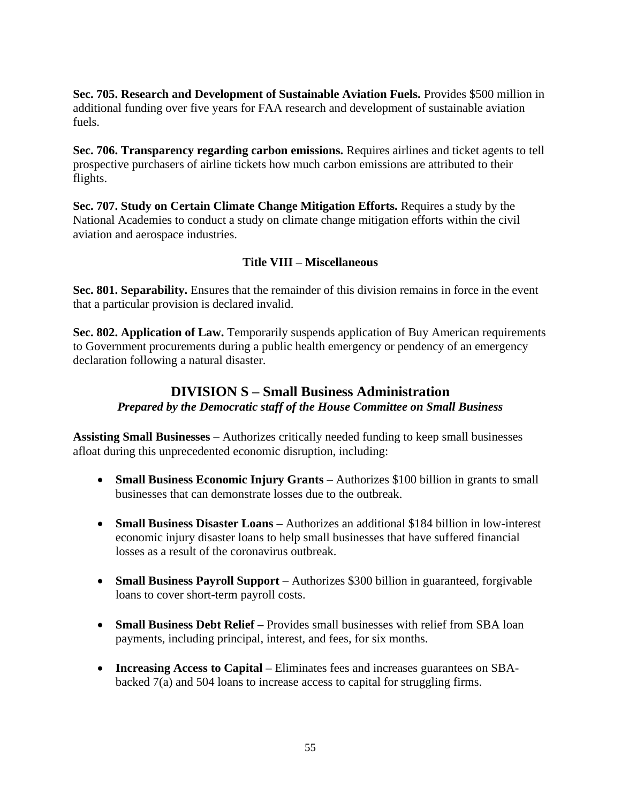**Sec. 705. Research and Development of Sustainable Aviation Fuels.** Provides \$500 million in additional funding over five years for FAA research and development of sustainable aviation fuels.

**Sec. 706. Transparency regarding carbon emissions.** Requires airlines and ticket agents to tell prospective purchasers of airline tickets how much carbon emissions are attributed to their flights.

**Sec. 707. Study on Certain Climate Change Mitigation Efforts.** Requires a study by the National Academies to conduct a study on climate change mitigation efforts within the civil aviation and aerospace industries.

#### **Title VIII – Miscellaneous**

**Sec. 801. Separability.** Ensures that the remainder of this division remains in force in the event that a particular provision is declared invalid.

**Sec. 802. Application of Law.** Temporarily suspends application of Buy American requirements to Government procurements during a public health emergency or pendency of an emergency declaration following a natural disaster.

## **DIVISION S – Small Business Administration** *Prepared by the Democratic staff of the House Committee on Small Business*

**Assisting Small Businesses** – Authorizes critically needed funding to keep small businesses afloat during this unprecedented economic disruption, including:

- **Small Business Economic Injury Grants** Authorizes \$100 billion in grants to small businesses that can demonstrate losses due to the outbreak.
- **Small Business Disaster Loans –** Authorizes an additional \$184 billion in low-interest economic injury disaster loans to help small businesses that have suffered financial losses as a result of the coronavirus outbreak.
- **Small Business Payroll Support** Authorizes \$300 billion in guaranteed, forgivable loans to cover short-term payroll costs.
- **Small Business Debt Relief –** Provides small businesses with relief from SBA loan payments, including principal, interest, and fees, for six months.
- **Increasing Access to Capital –** Eliminates fees and increases guarantees on SBAbacked 7(a) and 504 loans to increase access to capital for struggling firms.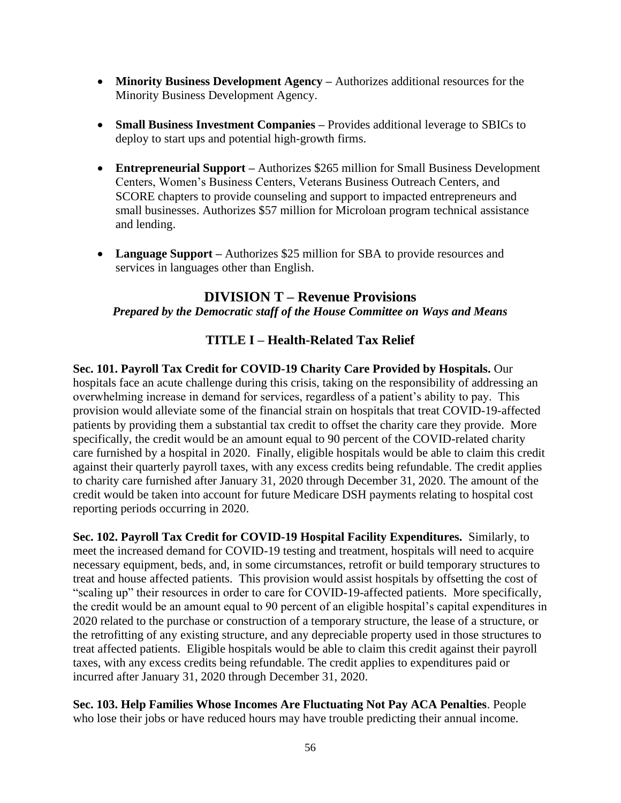- **Minority Business Development Agency –** Authorizes additional resources for the Minority Business Development Agency.
- **Small Business Investment Companies** Provides additional leverage to SBICs to deploy to start ups and potential high-growth firms.
- **Entrepreneurial Support –** Authorizes \$265 million for Small Business Development Centers, Women's Business Centers, Veterans Business Outreach Centers, and SCORE chapters to provide counseling and support to impacted entrepreneurs and small businesses. Authorizes \$57 million for Microloan program technical assistance and lending.
- **Language Support** Authorizes \$25 million for SBA to provide resources and services in languages other than English.

## **DIVISION T – Revenue Provisions**

#### *Prepared by the Democratic staff of the House Committee on Ways and Means*

## **TITLE I – Health-Related Tax Relief**

**Sec. 101. Payroll Tax Credit for COVID-19 Charity Care Provided by Hospitals.** Our hospitals face an acute challenge during this crisis, taking on the responsibility of addressing an overwhelming increase in demand for services, regardless of a patient's ability to pay. This provision would alleviate some of the financial strain on hospitals that treat COVID-19-affected patients by providing them a substantial tax credit to offset the charity care they provide. More specifically, the credit would be an amount equal to 90 percent of the COVID-related charity care furnished by a hospital in 2020. Finally, eligible hospitals would be able to claim this credit against their quarterly payroll taxes, with any excess credits being refundable. The credit applies to charity care furnished after January 31, 2020 through December 31, 2020. The amount of the credit would be taken into account for future Medicare DSH payments relating to hospital cost reporting periods occurring in 2020.

**Sec. 102. Payroll Tax Credit for COVID-19 Hospital Facility Expenditures.** Similarly, to meet the increased demand for COVID-19 testing and treatment, hospitals will need to acquire necessary equipment, beds, and, in some circumstances, retrofit or build temporary structures to treat and house affected patients. This provision would assist hospitals by offsetting the cost of "scaling up" their resources in order to care for COVID-19-affected patients. More specifically, the credit would be an amount equal to 90 percent of an eligible hospital's capital expenditures in 2020 related to the purchase or construction of a temporary structure, the lease of a structure, or the retrofitting of any existing structure, and any depreciable property used in those structures to treat affected patients. Eligible hospitals would be able to claim this credit against their payroll taxes, with any excess credits being refundable. The credit applies to expenditures paid or incurred after January 31, 2020 through December 31, 2020.

**Sec. 103. Help Families Whose Incomes Are Fluctuating Not Pay ACA Penalties**. People who lose their jobs or have reduced hours may have trouble predicting their annual income.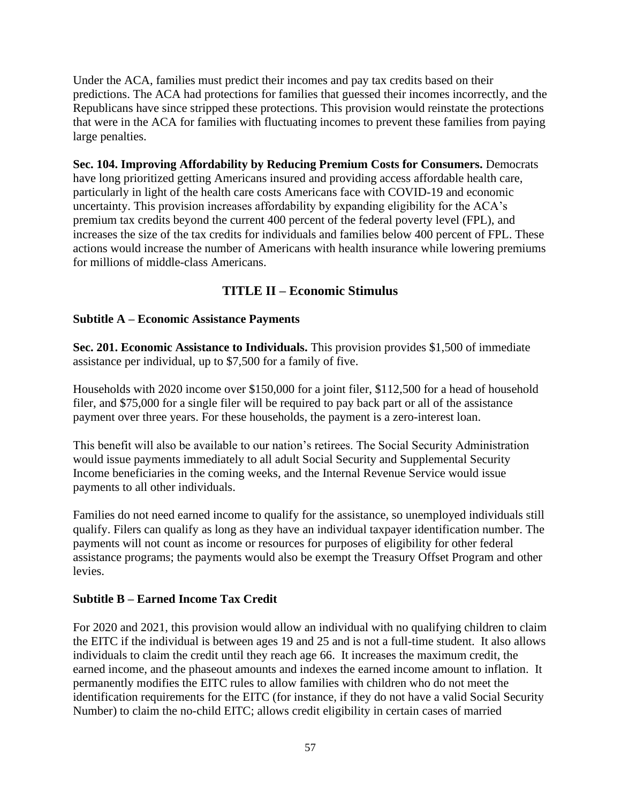Under the ACA, families must predict their incomes and pay tax credits based on their predictions. The ACA had protections for families that guessed their incomes incorrectly, and the Republicans have since stripped these protections. This provision would reinstate the protections that were in the ACA for families with fluctuating incomes to prevent these families from paying large penalties.

**Sec. 104. Improving Affordability by Reducing Premium Costs for Consumers.** Democrats have long prioritized getting Americans insured and providing access affordable health care, particularly in light of the health care costs Americans face with COVID-19 and economic uncertainty. This provision increases affordability by expanding eligibility for the ACA's premium tax credits beyond the current 400 percent of the federal poverty level (FPL), and increases the size of the tax credits for individuals and families below 400 percent of FPL. These actions would increase the number of Americans with health insurance while lowering premiums for millions of middle-class Americans.

## **TITLE II – Economic Stimulus**

#### **Subtitle A – Economic Assistance Payments**

**Sec. 201. Economic Assistance to Individuals.** This provision provides \$1,500 of immediate assistance per individual, up to \$7,500 for a family of five.

Households with 2020 income over \$150,000 for a joint filer, \$112,500 for a head of household filer, and \$75,000 for a single filer will be required to pay back part or all of the assistance payment over three years. For these households, the payment is a zero-interest loan.

This benefit will also be available to our nation's retirees. The Social Security Administration would issue payments immediately to all adult Social Security and Supplemental Security Income beneficiaries in the coming weeks, and the Internal Revenue Service would issue payments to all other individuals.

Families do not need earned income to qualify for the assistance, so unemployed individuals still qualify. Filers can qualify as long as they have an individual taxpayer identification number. The payments will not count as income or resources for purposes of eligibility for other federal assistance programs; the payments would also be exempt the Treasury Offset Program and other levies.

## **Subtitle B – Earned Income Tax Credit**

For 2020 and 2021, this provision would allow an individual with no qualifying children to claim the EITC if the individual is between ages 19 and 25 and is not a full-time student. It also allows individuals to claim the credit until they reach age 66. It increases the maximum credit, the earned income, and the phaseout amounts and indexes the earned income amount to inflation. It permanently modifies the EITC rules to allow families with children who do not meet the identification requirements for the EITC (for instance, if they do not have a valid Social Security Number) to claim the no-child EITC; allows credit eligibility in certain cases of married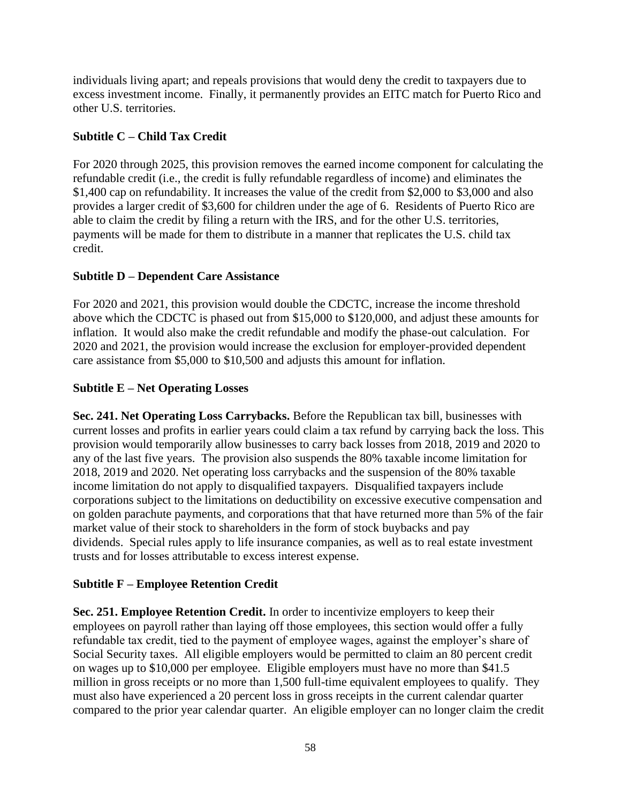individuals living apart; and repeals provisions that would deny the credit to taxpayers due to excess investment income. Finally, it permanently provides an EITC match for Puerto Rico and other U.S. territories.

#### **Subtitle C – Child Tax Credit**

For 2020 through 2025, this provision removes the earned income component for calculating the refundable credit (i.e., the credit is fully refundable regardless of income) and eliminates the \$1,400 cap on refundability. It increases the value of the credit from \$2,000 to \$3,000 and also provides a larger credit of \$3,600 for children under the age of 6. Residents of Puerto Rico are able to claim the credit by filing a return with the IRS, and for the other U.S. territories, payments will be made for them to distribute in a manner that replicates the U.S. child tax credit.

#### **Subtitle D – Dependent Care Assistance**

For 2020 and 2021, this provision would double the CDCTC, increase the income threshold above which the CDCTC is phased out from \$15,000 to \$120,000, and adjust these amounts for inflation. It would also make the credit refundable and modify the phase-out calculation. For 2020 and 2021, the provision would increase the exclusion for employer-provided dependent care assistance from \$5,000 to \$10,500 and adjusts this amount for inflation.

#### **Subtitle E – Net Operating Losses**

**Sec. 241. Net Operating Loss Carrybacks.** Before the Republican tax bill, businesses with current losses and profits in earlier years could claim a tax refund by carrying back the loss. This provision would temporarily allow businesses to carry back losses from 2018, 2019 and 2020 to any of the last five years. The provision also suspends the 80% taxable income limitation for 2018, 2019 and 2020. Net operating loss carrybacks and the suspension of the 80% taxable income limitation do not apply to disqualified taxpayers. Disqualified taxpayers include corporations subject to the limitations on deductibility on excessive executive compensation and on golden parachute payments, and corporations that that have returned more than 5% of the fair market value of their stock to shareholders in the form of stock buybacks and pay dividends. Special rules apply to life insurance companies, as well as to real estate investment trusts and for losses attributable to excess interest expense.

#### **Subtitle F – Employee Retention Credit**

**Sec. 251. Employee Retention Credit.** In order to incentivize employers to keep their employees on payroll rather than laying off those employees, this section would offer a fully refundable tax credit, tied to the payment of employee wages, against the employer's share of Social Security taxes. All eligible employers would be permitted to claim an 80 percent credit on wages up to \$10,000 per employee. Eligible employers must have no more than \$41.5 million in gross receipts or no more than 1,500 full-time equivalent employees to qualify. They must also have experienced a 20 percent loss in gross receipts in the current calendar quarter compared to the prior year calendar quarter. An eligible employer can no longer claim the credit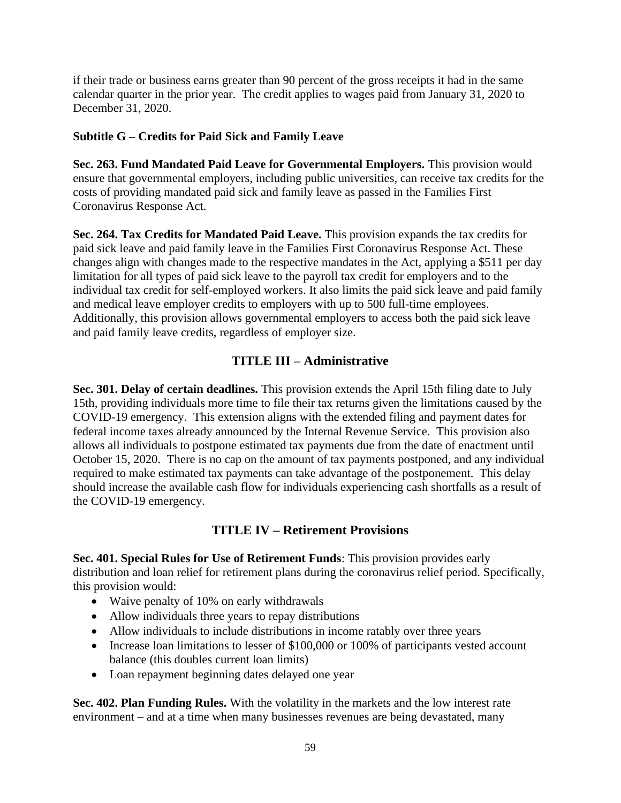if their trade or business earns greater than 90 percent of the gross receipts it had in the same calendar quarter in the prior year. The credit applies to wages paid from January 31, 2020 to December 31, 2020.

#### **Subtitle G – Credits for Paid Sick and Family Leave**

**Sec. 263. Fund Mandated Paid Leave for Governmental Employers.** This provision would ensure that governmental employers, including public universities, can receive tax credits for the costs of providing mandated paid sick and family leave as passed in the Families First Coronavirus Response Act.

**Sec. 264. Tax Credits for Mandated Paid Leave.** This provision expands the tax credits for paid sick leave and paid family leave in the Families First Coronavirus Response Act. These changes align with changes made to the respective mandates in the Act, applying a \$511 per day limitation for all types of paid sick leave to the payroll tax credit for employers and to the individual tax credit for self-employed workers. It also limits the paid sick leave and paid family and medical leave employer credits to employers with up to 500 full-time employees. Additionally, this provision allows governmental employers to access both the paid sick leave and paid family leave credits, regardless of employer size.

## **TITLE III – Administrative**

**Sec. 301. Delay of certain deadlines.** This provision extends the April 15th filing date to July 15th, providing individuals more time to file their tax returns given the limitations caused by the COVID-19 emergency. This extension aligns with the extended filing and payment dates for federal income taxes already announced by the Internal Revenue Service. This provision also allows all individuals to postpone estimated tax payments due from the date of enactment until October 15, 2020. There is no cap on the amount of tax payments postponed, and any individual required to make estimated tax payments can take advantage of the postponement. This delay should increase the available cash flow for individuals experiencing cash shortfalls as a result of the COVID-19 emergency.

## **TITLE IV – Retirement Provisions**

**Sec. 401. Special Rules for Use of Retirement Funds**: This provision provides early distribution and loan relief for retirement plans during the coronavirus relief period. Specifically, this provision would:

- Waive penalty of 10% on early withdrawals
- Allow individuals three years to repay distributions
- Allow individuals to include distributions in income ratably over three years
- Increase loan limitations to lesser of \$100,000 or 100% of participants vested account balance (this doubles current loan limits)
- Loan repayment beginning dates delayed one year

**Sec. 402. Plan Funding Rules.** With the volatility in the markets and the low interest rate environment – and at a time when many businesses revenues are being devastated, many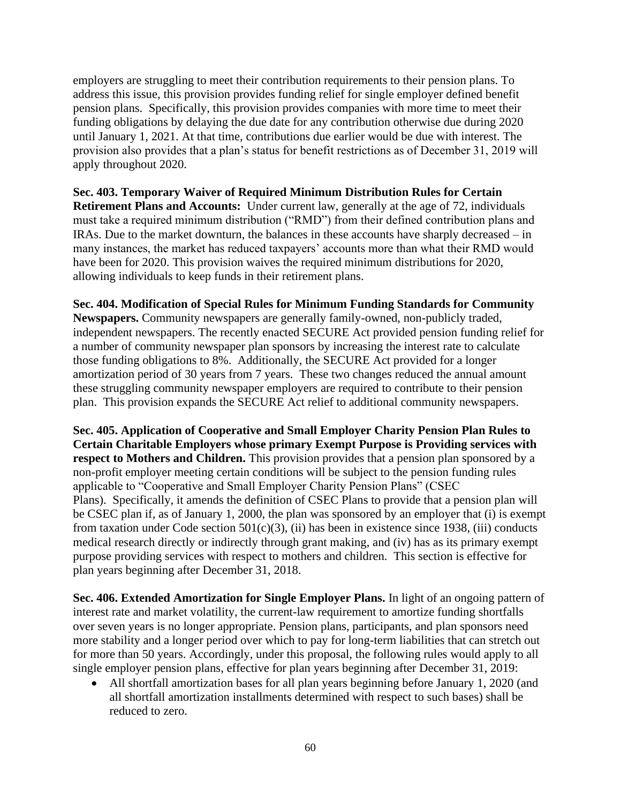employers are struggling to meet their contribution requirements to their pension plans. To address this issue, this provision provides funding relief for single employer defined benefit pension plans. Specifically, this provision provides companies with more time to meet their funding obligations by delaying the due date for any contribution otherwise due during 2020 until January 1, 2021. At that time, contributions due earlier would be due with interest. The provision also provides that a plan's status for benefit restrictions as of December 31, 2019 will apply throughout 2020.

**Sec. 403. Temporary Waiver of Required Minimum Distribution Rules for Certain Retirement Plans and Accounts:** Under current law, generally at the age of 72, individuals must take a required minimum distribution ("RMD") from their defined contribution plans and IRAs. Due to the market downturn, the balances in these accounts have sharply decreased – in many instances, the market has reduced taxpayers' accounts more than what their RMD would have been for 2020. This provision waives the required minimum distributions for 2020, allowing individuals to keep funds in their retirement plans.

**Sec. 404. Modification of Special Rules for Minimum Funding Standards for Community** 

**Newspapers.** Community newspapers are generally family-owned, non-publicly traded, independent newspapers. The recently enacted SECURE Act provided pension funding relief for a number of community newspaper plan sponsors by increasing the interest rate to calculate those funding obligations to 8%. Additionally, the SECURE Act provided for a longer amortization period of 30 years from 7 years. These two changes reduced the annual amount these struggling community newspaper employers are required to contribute to their pension plan. This provision expands the SECURE Act relief to additional community newspapers.

**Sec. 405. Application of Cooperative and Small Employer Charity Pension Plan Rules to Certain Charitable Employers whose primary Exempt Purpose is Providing services with respect to Mothers and Children.** This provision provides that a pension plan sponsored by a non-profit employer meeting certain conditions will be subject to the pension funding rules applicable to "Cooperative and Small Employer Charity Pension Plans" (CSEC Plans). Specifically, it amends the definition of CSEC Plans to provide that a pension plan will be CSEC plan if, as of January 1, 2000, the plan was sponsored by an employer that (i) is exempt from taxation under Code section  $501(c)(3)$ , (ii) has been in existence since 1938, (iii) conducts medical research directly or indirectly through grant making, and (iv) has as its primary exempt purpose providing services with respect to mothers and children. This section is effective for plan years beginning after December 31, 2018.

**Sec. 406. Extended Amortization for Single Employer Plans.** In light of an ongoing pattern of interest rate and market volatility, the current-law requirement to amortize funding shortfalls over seven years is no longer appropriate. Pension plans, participants, and plan sponsors need more stability and a longer period over which to pay for long-term liabilities that can stretch out for more than 50 years. Accordingly, under this proposal, the following rules would apply to all single employer pension plans, effective for plan years beginning after December 31, 2019:

• All shortfall amortization bases for all plan years beginning before January 1, 2020 (and all shortfall amortization installments determined with respect to such bases) shall be reduced to zero.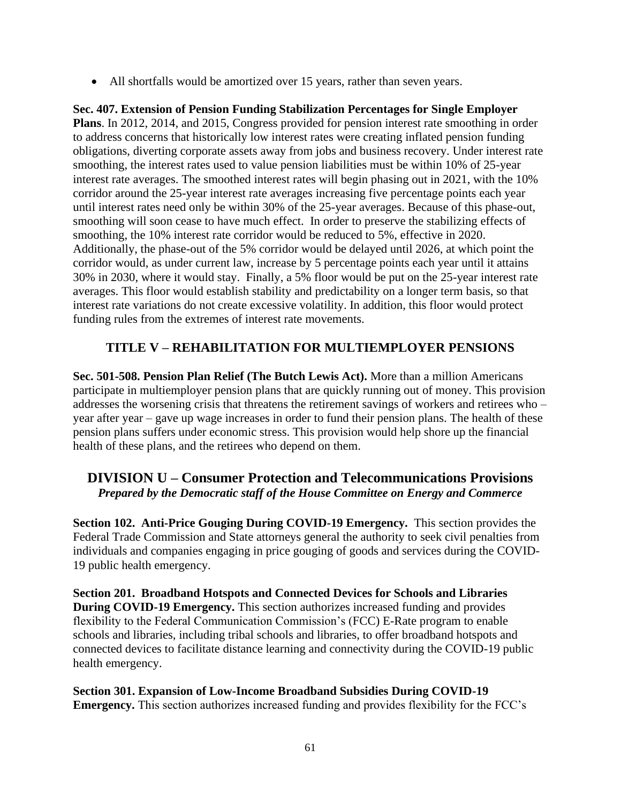• All shortfalls would be amortized over 15 years, rather than seven years.

**Sec. 407. Extension of Pension Funding Stabilization Percentages for Single Employer Plans**. In 2012, 2014, and 2015, Congress provided for pension interest rate smoothing in order to address concerns that historically low interest rates were creating inflated pension funding obligations, diverting corporate assets away from jobs and business recovery. Under interest rate smoothing, the interest rates used to value pension liabilities must be within 10% of 25-year interest rate averages. The smoothed interest rates will begin phasing out in 2021, with the 10% corridor around the 25-year interest rate averages increasing five percentage points each year until interest rates need only be within 30% of the 25-year averages. Because of this phase-out, smoothing will soon cease to have much effect. In order to preserve the stabilizing effects of smoothing, the 10% interest rate corridor would be reduced to 5%, effective in 2020. Additionally, the phase-out of the 5% corridor would be delayed until 2026, at which point the corridor would, as under current law, increase by 5 percentage points each year until it attains 30% in 2030, where it would stay. Finally, a 5% floor would be put on the 25-year interest rate averages. This floor would establish stability and predictability on a longer term basis, so that interest rate variations do not create excessive volatility. In addition, this floor would protect funding rules from the extremes of interest rate movements.

## **TITLE V – REHABILITATION FOR MULTIEMPLOYER PENSIONS**

**Sec. 501-508. Pension Plan Relief (The Butch Lewis Act).** More than a million Americans participate in multiemployer pension plans that are quickly running out of money. This provision addresses the worsening crisis that threatens the retirement savings of workers and retirees who – year after year – gave up wage increases in order to fund their pension plans. The health of these pension plans suffers under economic stress. This provision would help shore up the financial health of these plans, and the retirees who depend on them.

## **DIVISION U – Consumer Protection and Telecommunications Provisions** *Prepared by the Democratic staff of the House Committee on Energy and Commerce*

**Section 102. Anti-Price Gouging During COVID-19 Emergency.** This section provides the Federal Trade Commission and State attorneys general the authority to seek civil penalties from individuals and companies engaging in price gouging of goods and services during the COVID-19 public health emergency.

**Section 201. Broadband Hotspots and Connected Devices for Schools and Libraries During COVID-19 Emergency.** This section authorizes increased funding and provides flexibility to the Federal Communication Commission's (FCC) E-Rate program to enable schools and libraries, including tribal schools and libraries, to offer broadband hotspots and connected devices to facilitate distance learning and connectivity during the COVID-19 public health emergency.

**Section 301. Expansion of Low-Income Broadband Subsidies During COVID-19 Emergency.** This section authorizes increased funding and provides flexibility for the FCC's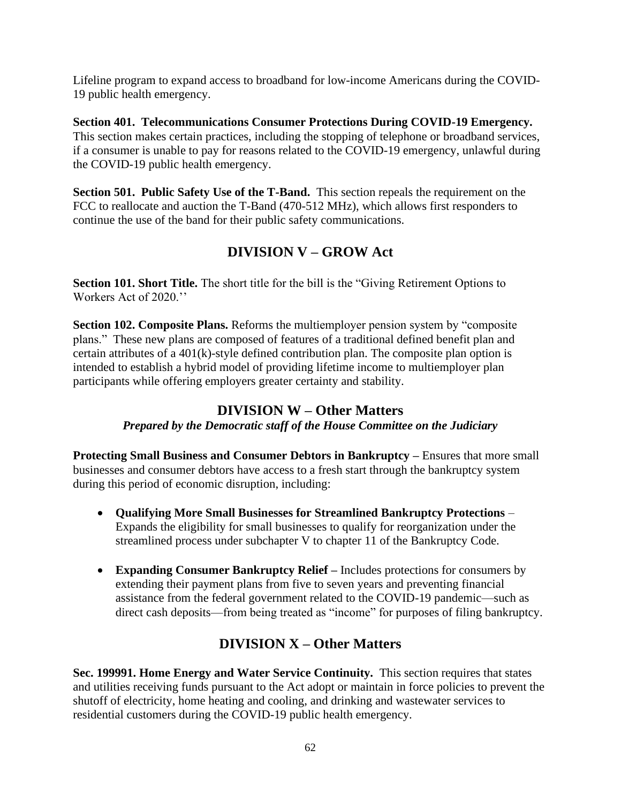Lifeline program to expand access to broadband for low-income Americans during the COVID-19 public health emergency.

**Section 401. Telecommunications Consumer Protections During COVID-19 Emergency.**  This section makes certain practices, including the stopping of telephone or broadband services, if a consumer is unable to pay for reasons related to the COVID-19 emergency, unlawful during the COVID-19 public health emergency.

**Section 501. Public Safety Use of the T-Band.** This section repeals the requirement on the FCC to reallocate and auction the T-Band (470-512 MHz), which allows first responders to continue the use of the band for their public safety communications.

# **DIVISION V – GROW Act**

**Section 101. Short Title.** The short title for the bill is the "Giving Retirement Options to Workers Act of 2020.''

**Section 102. Composite Plans.** Reforms the multiemployer pension system by "composite" plans." These new plans are composed of features of a traditional defined benefit plan and certain attributes of a 401(k)-style defined contribution plan. The composite plan option is intended to establish a hybrid model of providing lifetime income to multiemployer plan participants while offering employers greater certainty and stability.

## **DIVISION W – Other Matters**

#### *Prepared by the Democratic staff of the House Committee on the Judiciary*

**Protecting Small Business and Consumer Debtors in Bankruptcy –** Ensures that more small businesses and consumer debtors have access to a fresh start through the bankruptcy system during this period of economic disruption, including:

- **Qualifying More Small Businesses for Streamlined Bankruptcy Protections**  Expands the eligibility for small businesses to qualify for reorganization under the streamlined process under subchapter V to chapter 11 of the Bankruptcy Code.
- **Expanding Consumer Bankruptcy Relief –** Includes protections for consumers by extending their payment plans from five to seven years and preventing financial assistance from the federal government related to the COVID-19 pandemic—such as direct cash deposits—from being treated as "income" for purposes of filing bankruptcy.

# **DIVISION X – Other Matters**

**Sec. 199991. Home Energy and Water Service Continuity.** This section requires that states and utilities receiving funds pursuant to the Act adopt or maintain in force policies to prevent the shutoff of electricity, home heating and cooling, and drinking and wastewater services to residential customers during the COVID-19 public health emergency.